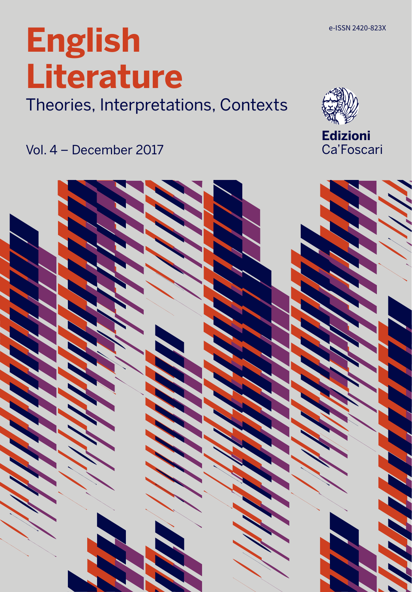# **English Literature**

Theories, Interpretations, Contexts

Vol. 4 – December 2017



**Edizioni** Ca'Foscari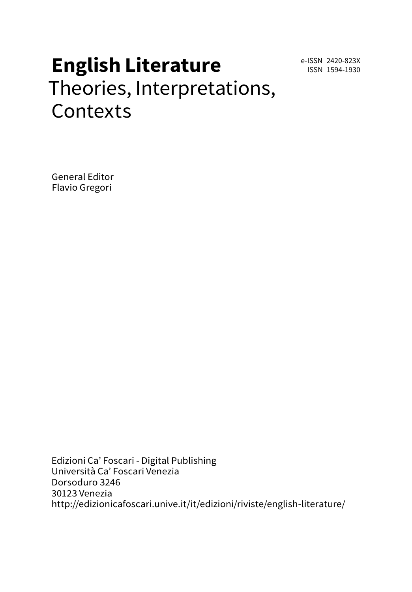e-ISSN 2420-823X ISSN 1594-1930

# **English Literature** Theories, Interpretations, **Contexts**

General Editor Flavio Gregori

Edizioni Ca' Foscari - Digital Publishing Università Ca' Foscari Venezia Dorsoduro 3246 30123 Venezia <http://edizionicafoscari.unive.it/it/edizioni/riviste/english-literature/>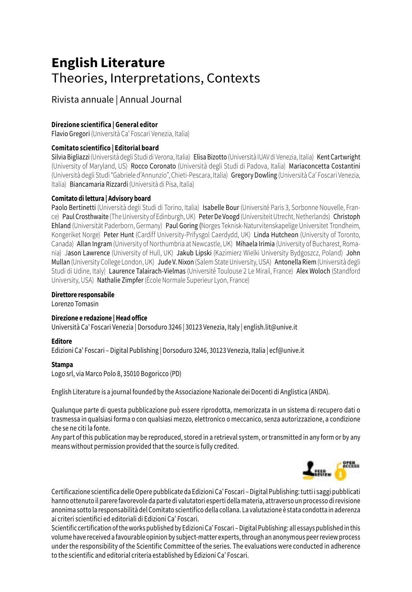# **English Literature** Theories, Interpretations, Contexts

### Rivista annuale | Annual Journal

### **Direzione scientifica | General editor**

Flavio Gregori (Università Ca' Foscari Venezia, Italia)

#### **Comitato scientifico | Editorial board**

Silvia Bigliazzi (Università degli Studi di Verona, Italia) Elisa Bizotto (Università IUAV di Venezia, Italia) Kent Cartwright (University of Maryland, US) Rocco Coronato (Università degli Studi di Padova, Italia) Mariaconcetta Costantini (Università degli Studi "Gabriele d'Annunzio", Chieti-Pescara, Italia) Gregory Dowling (Università Ca' Foscari Venezia, Italia) Biancamaria Rizzardi (Università di Pisa, Italia)

#### **Comitato di lettura | Advisory board**

Paolo Bertinetti (Università degli Studi di Torino, Italia) Isabelle Bour (Université Paris 3, Sorbonne Nouvelle, France) Paul Crosthwaite (The University of Edinburgh, UK) Peter De Voogd (Universiteit Utrecht, Netherlands) Christoph Ehland (Universität Paderborn, Germany) Paul Goring (Norges Teknisk-Naturvitenskapelige Universitet Trondheim, Kongeriket Norge) Peter Hunt (Cardiff University-Prifysgol Caerdydd, UK) Linda Hutcheon (University of Toronto, Canada) Allan Ingram (University of Northumbria at Newcastle, UK) Mihaela Irimia (University of Bucharest, Romania) Jason Lawrence (University of Hull, UK) Jakub Lipski (Kazimierz Wielki University Bydgoszcz, Poland) John Mullan (University College London, UK) Jude V. Nixon (Salem State University, USA) Antonella Riem (Università degli Studi di Udine, Italy) Laurence Talairach-Vielmas (Université Toulouse 2 Le Mirail, France) Alex Woloch (Standford University, USA) Nathalie Zimpfer (École Normale Superieur Lyon, France)

#### **Direttore responsabile**

Lorenzo Tomasin

### **Direzione e redazione | Head office**

Università Ca' Foscari Venezia | Dorsoduro 3246 | 30123 Venezia, Italy | english.lit@unive.it

### **Editore**

Edizioni Ca' Foscari – Digital Publishing | Dorsoduro 3246, 30123 Venezia, Italia | ecf@unive.it

#### **Stampa**

Logo srl, via Marco Polo 8, 35010 Bogoricco (PD)

English Literature is a journal founded by the Associazione Nazionale dei Docenti di Anglistica (ANDA).

Qualunque parte di questa pubblicazione può essere riprodotta, memorizzata in un sistema di recupero dati o trasmessa in qualsiasi forma o con qualsiasi mezzo, elettronico o meccanico, senza autorizzazione, a condizione che se ne citi la fonte.

Any part of this publication may be reproduced, stored in a retrieval system, or transmitted in any form or by any means without permission provided that the source is fully credited.



Certificazione scientifica delle Opere pubblicate da Edizioni Ca' Foscari – Digital Publishing: tutti i saggi pubblicati hanno ottenuto il parere favorevole da parte di valutatori esperti della materia, attraverso un processo di revisione anonima sotto la responsabilità del Comitato scientifico della collana. La valutazione è stata condotta in aderenza ai criteri scientifici ed editoriali di Edizioni Ca' Foscari.

Scientific certification of the works published by Edizioni Ca' Foscari – Digital Publishing: all essays published in this volume have received a favourable opinion by subject-matter experts, through an anonymous peer review process under the responsibility of the Scientific Committee of the series. The evaluations were conducted in adherence to the scientific and editorial criteria established by Edizioni Ca' Foscari.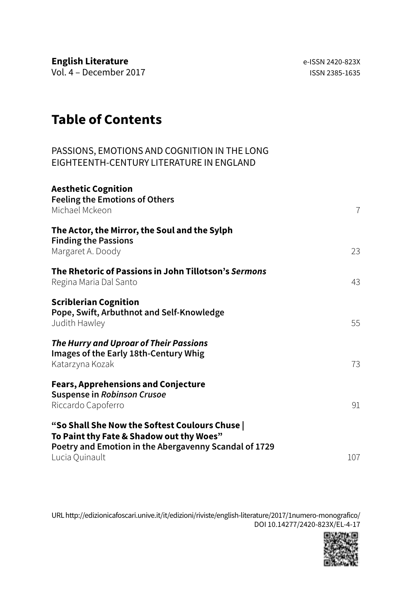**English Literature English Literature e-ISSN 2420-823X** Vol. 4 – December 2017 ISSN 2385-1635

# **Table of Contents**

# PASSIONS, EMOTIONS AND COGNITION IN THE LONG EIGHTEENTH-CENTURY LITERATURE IN ENGLAND

| <b>Aesthetic Cognition</b><br><b>Feeling the Emotions of Others</b><br>Michael Mckeon                                                                                 | $\overline{7}$ |
|-----------------------------------------------------------------------------------------------------------------------------------------------------------------------|----------------|
| The Actor, the Mirror, the Soul and the Sylph<br><b>Finding the Passions</b><br>Margaret A. Doody                                                                     | 23             |
| The Rhetoric of Passions in John Tillotson's Sermons<br>Regina Maria Dal Santo                                                                                        | 43             |
| <b>Scriblerian Cognition</b><br>Pope, Swift, Arbuthnot and Self-Knowledge<br>Judith Hawley                                                                            | 55             |
| The Hurry and Uproar of Their Passions<br>Images of the Early 18th-Century Whig<br>Katarzyna Kozak                                                                    | 73             |
| <b>Fears, Apprehensions and Conjecture</b><br><b>Suspense in Robinson Crusoe</b><br>Riccardo Capoferro                                                                | 91             |
| "So Shall She Now the Softest Coulours Chuse  <br>To Paint thy Fate & Shadow out thy Woes"<br>Poetry and Emotion in the Abergavenny Scandal of 1729<br>Lucia Quinault | 107            |

URL [http://edizionicafoscari.unive.it/it/edizioni/riviste/english-literature/2017/1numero-monografico/](http://edizionicafoscari.unive.it/it/edizioni/riviste/english-literature/2016/0numero-monografico/) DOI [10.14277/2420-823X/EL-4-17](http://doi.org/10.14277/2420-823X/EL-3-16)

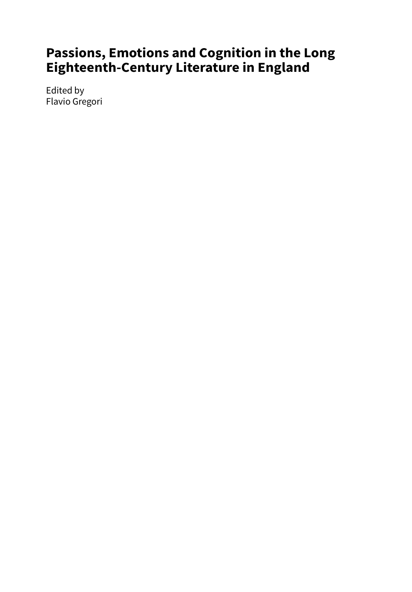# **Passions, Emotions and Cognition in the Long Eighteenth-Century Literature in England**

Edited by Flavio Gregori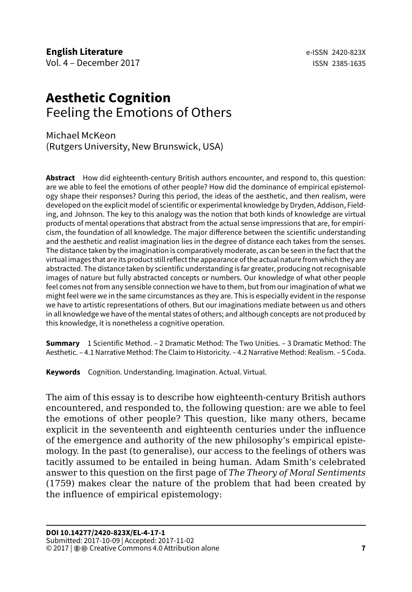# <span id="page-7-0"></span>**Aesthetic Cognition** Feeling the Emotions of Others

Michael McKeon (Rutgers University, New Brunswick, USA)

**Abstract** How did eighteenth-century British authors encounter, and respond to, this question: are we able to feel the emotions of other people? How did the dominance of empirical epistemology shape their responses? During this period, the ideas of the aesthetic, and then realism, were developed on the explicit model of scientific or experimental knowledge by Dryden, Addison, Fielding, and Johnson. The key to this analogy was the notion that both kinds of knowledge are virtual products of mental operations that abstract from the actual sense impressions that are, for empiricism, the foundation of all knowledge. The major difference between the scientific understanding and the aesthetic and realist imagination lies in the degree of distance each takes from the senses. The distance taken by the imagination is comparatively moderate, as can be seen in the fact that the virtual images that are its product still reflect the appearance of the actual nature from which they are abstracted. The distance taken by scientific understanding is far greater, producing not recognisable images of nature but fully abstracted concepts or numbers. Our knowledge of what other people feel comes not from any sensible connection we have to them, but from our imagination of what we might feel were we in the same circumstances as they are. This is especially evident in the response we have to artistic representations of others. But our imaginations mediate between us and others in all knowledge we have of the mental states of others; and although concepts are not produced by this knowledge, it is nonetheless a cognitive operation.

**Summary** 1 Scientific Method. – 2 Dramatic Method: The Two Unities. – 3 Dramatic Method: The Aesthetic. – 4.1 Narrative Method: The Claim to Historicity. – 4.2 Narrative Method: Realism. – 5 Coda.

**Keywords** Cognition. Understanding. Imagination. Actual. Virtual.

The aim of this essay is to describe how eighteenth-century British authors encountered, and responded to, the following question: are we able to feel the emotions of other people? This question, like many others, became explicit in the seventeenth and eighteenth centuries under the influence of the emergence and authority of the new philosophy's empirical epistemology. In the past (to generalise), our access to the feelings of others was tacitly assumed to be entailed in being human. Adam Smith's celebrated answer to this question on the first page of *The Theory of Moral Sentiments* (1759) makes clear the nature of the problem that had been created by the influence of empirical epistemology: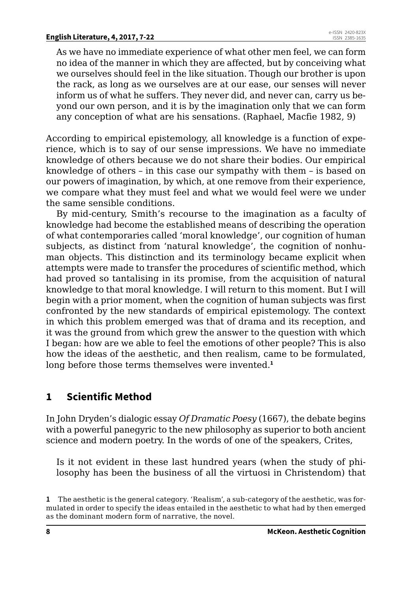As we have no immediate experience of what other men feel, we can form no idea of the manner in which they are affected, but by conceiving what we ourselves should feel in the like situation. Though our brother is upon the rack, as long as we ourselves are at our ease, our senses will never inform us of what he suffers. They never did, and never can, carry us beyond our own person, and it is by the imagination only that we can form any conception of what are his sensations. (Raphael, Macfie 1982, 9)

According to empirical epistemology, all knowledge is a function of experience, which is to say of our sense impressions. We have no immediate knowledge of others because we do not share their bodies. Our empirical knowledge of others – in this case our sympathy with them – is based on our powers of imagination, by which, at one remove from their experience, we compare what they must feel and what we would feel were we under the same sensible conditions.

By mid-century, Smith's recourse to the imagination as a faculty of knowledge had become the established means of describing the operation of what contemporaries called 'moral knowledge', our cognition of human subjects, as distinct from 'natural knowledge', the cognition of nonhuman objects. This distinction and its terminology became explicit when attempts were made to transfer the procedures of scientific method, which had proved so tantalising in its promise, from the acquisition of natural knowledge to that moral knowledge. I will return to this moment. But I will begin with a prior moment, when the cognition of human subjects was first confronted by the new standards of empirical epistemology. The context in which this problem emerged was that of drama and its reception, and it was the ground from which grew the answer to the question with which I began: how are we able to feel the emotions of other people? This is also how the ideas of the aesthetic, and then realism, came to be formulated, long before those terms themselves were invented.**<sup>1</sup>**

# **1 Scientific Method**

In John Dryden's dialogic essay *Of Dramatic Poesy* (1667), the debate begins with a powerful panegyric to the new philosophy as superior to both ancient science and modern poetry. In the words of one of the speakers, Crites,

Is it not evident in these last hundred years (when the study of philosophy has been the business of all the virtuosi in Christendom) that

**<sup>1</sup>** The aesthetic is the general category. 'Realism', a sub-category of the aesthetic, was formulated in order to specify the ideas entailed in the aesthetic to what had by then emerged as the dominant modern form of narrative, the novel.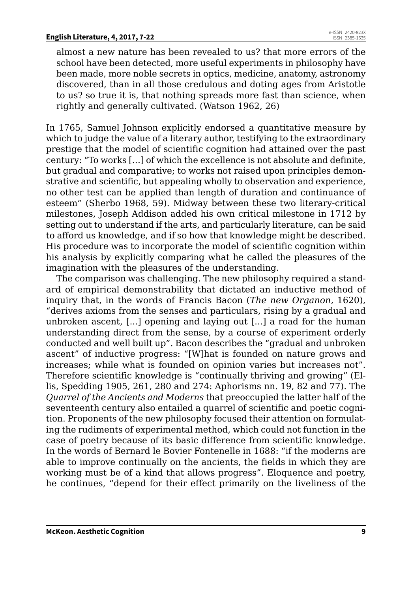almost a new nature has been revealed to us? that more errors of the school have been detected, more useful experiments in philosophy have been made, more noble secrets in optics, medicine, anatomy, astronomy discovered, than in all those credulous and doting ages from Aristotle to us? so true it is, that nothing spreads more fast than science, when rightly and generally cultivated. (Watson 1962, 26)

In 1765, Samuel Johnson explicitly endorsed a quantitative measure by which to judge the value of a literary author, testifying to the extraordinary prestige that the model of scientific cognition had attained over the past century: "To works […] of which the excellence is not absolute and definite, but gradual and comparative; to works not raised upon principles demonstrative and scientific, but appealing wholly to observation and experience, no other test can be applied than length of duration and continuance of esteem" (Sherbo 1968, 59). Midway between these two literary-critical milestones, Joseph Addison added his own critical milestone in 1712 by setting out to understand if the arts, and particularly literature, can be said to afford us knowledge, and if so how that knowledge might be described. His procedure was to incorporate the model of scientific cognition within his analysis by explicitly comparing what he called the pleasures of the imagination with the pleasures of the understanding.

The comparison was challenging. The new philosophy required a standard of empirical demonstrability that dictated an inductive method of inquiry that, in the words of Francis Bacon (*The new Organon*, 1620), "derives axioms from the senses and particulars, rising by a gradual and unbroken ascent, [...] opening and laying out [...] a road for the human understanding direct from the sense, by a course of experiment orderly conducted and well built up". Bacon describes the "gradual and unbroken ascent" of inductive progress: "[W]hat is founded on nature grows and increases; while what is founded on opinion varies but increases not". Therefore scientific knowledge is "continually thriving and growing" (Ellis, Spedding 1905, 261, 280 and 274: Aphorisms nn. 19, 82 and 77). The *Quarrel of the Ancients and Moderns* that preoccupied the latter half of the seventeenth century also entailed a quarrel of scientific and poetic cognition. Proponents of the new philosophy focused their attention on formulating the rudiments of experimental method, which could not function in the case of poetry because of its basic difference from scientific knowledge. In the words of Bernard le Bovier Fontenelle in 1688: "if the moderns are able to improve continually on the ancients, the fields in which they are working must be of a kind that allows progress". Eloquence and poetry, he continues, "depend for their effect primarily on the liveliness of the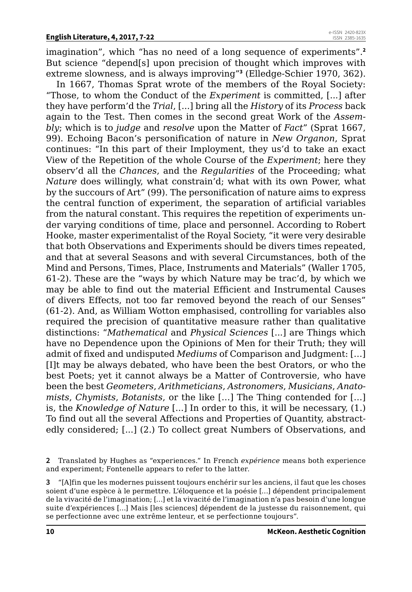imagination", which "has no need of a long sequence of experiments".**<sup>2</sup>** But science "depend[s] upon precision of thought which improves with extreme slowness, and is always improving"**<sup>3</sup>** (Elledge-Schier 1970, 362).

In 1667, Thomas Sprat wrote of the members of the Royal Society: "Those, to whom the Conduct of the *Experiment* is committed, [...] after they have perform'd the *Trial*, [...] bring all the *History* of its *Process* back again to the Test. Then comes in the second great Work of the *Assembly*; which is to *judge* and *resolve* upon the Matter of *Fact*" (Sprat 1667, 99). Echoing Bacon's personification of nature in *New Organon*, Sprat continues: "In this part of their Imployment, they us'd to take an exact View of the Repetition of the whole Course of the *Experiment*; here they observ'd all the *Chances*, and the *Regularities* of the Proceeding; what *Nature* does willingly, what constrain'd; what with its own Power, what by the succours of Art" (99). The personification of nature aims to express the central function of experiment, the separation of artificial variables from the natural constant. This requires the repetition of experiments under varying conditions of time, place and personnel. According to Robert Hooke, master experimentalist of the Royal Society, "it were very desirable that both Observations and Experiments should be divers times repeated, and that at several Seasons and with several Circumstances, both of the Mind and Persons, Times, Place, Instruments and Materials" (Waller 1705, 61-2). These are the "ways by which Nature may be trac'd, by which we may be able to find out the material Efficient and Instrumental Causes of divers Effects, not too far removed beyond the reach of our Senses" (61-2). And, as William Wotton emphasised, controlling for variables also required the precision of quantitative measure rather than qualitative distinctions: "*Mathematical* and *Physical Sciences* [...] are Things which have no Dependence upon the Opinions of Men for their Truth; they will admit of fixed and undisputed *Mediums* of Comparison and Judgment: […] [I]t may be always debated, who have been the best Orators, or who the best Poets; yet it cannot always be a Matter of Controversie, who have been the best *Geometers*, *Arithmeticians*, *Astronomers*, *Musicians*, *Anatomists*, *Chymists*, *Botanists*, or the like […] The Thing contended for […] is, the *Knowledge of Nature* [...] In order to this, it will be necessary, (1.) To find out all the several Affections and Properties of Quantity, abstractedly considered; [...] (2.) To collect great Numbers of Observations, and

**3** "[A]fin que les modernes puissent toujours enchérir sur les anciens, il faut que les choses soient d'une espèce à le permettre. L'éloquence et la poésie […] dépendent principalement de la vivacité de l'imagination; […] et la vivacité de l'imagination n'a pas besoin d'une longue suite d'expériences […] Mais [les sciences] dépendent de la justesse du raisonnement, qui se perfectionne avec une extrême lenteur, et se perfectionne toujours".

**<sup>2</sup>** Translated by Hughes as "experiences." In French *expérience* means both experience and experiment; Fontenelle appears to refer to the latter.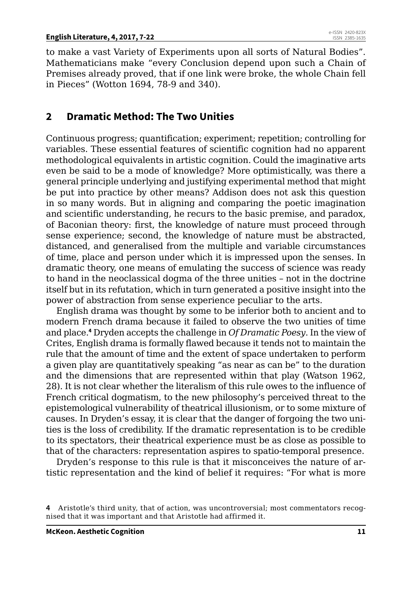to make a vast Variety of Experiments upon all sorts of Natural Bodies". Mathematicians make "every Conclusion depend upon such a Chain of Premises already proved, that if one link were broke, the whole Chain fell in Pieces" (Wotton 1694, 78-9 and 340).

# **2 Dramatic Method: The Two Unities**

Continuous progress; quantification; experiment; repetition; controlling for variables. These essential features of scientific cognition had no apparent methodological equivalents in artistic cognition. Could the imaginative arts even be said to be a mode of knowledge? More optimistically, was there a general principle underlying and justifying experimental method that might be put into practice by other means? Addison does not ask this question in so many words. But in aligning and comparing the poetic imagination and scientific understanding, he recurs to the basic premise, and paradox, of Baconian theory: first, the knowledge of nature must proceed through sense experience; second, the knowledge of nature must be abstracted, distanced, and generalised from the multiple and variable circumstances of time, place and person under which it is impressed upon the senses. In dramatic theory, one means of emulating the success of science was ready to hand in the neoclassical dogma of the three unities – not in the doctrine itself but in its refutation, which in turn generated a positive insight into the power of abstraction from sense experience peculiar to the arts.

English drama was thought by some to be inferior both to ancient and to modern French drama because it failed to observe the two unities of time and place.**<sup>4</sup>** Dryden accepts the challenge in *Of Dramatic Poesy*. In the view of Crites, English drama is formally flawed because it tends not to maintain the rule that the amount of time and the extent of space undertaken to perform a given play are quantitatively speaking "as near as can be" to the duration and the dimensions that are represented within that play (Watson 1962, 28). It is not clear whether the literalism of this rule owes to the influence of French critical dogmatism, to the new philosophy's perceived threat to the epistemological vulnerability of theatrical illusionism, or to some mixture of causes. In Dryden's essay, it is clear that the danger of forgoing the two unities is the loss of credibility. If the dramatic representation is to be credible to its spectators, their theatrical experience must be as close as possible to that of the characters: representation aspires to spatio-temporal presence.

Dryden's response to this rule is that it misconceives the nature of artistic representation and the kind of belief it requires: "For what is more

**<sup>4</sup>** Aristotle's third unity, that of action, was uncontroversial; most commentators recognised that it was important and that Aristotle had affirmed it.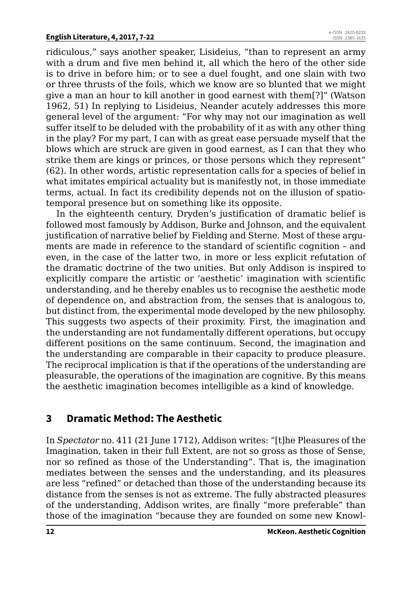ridiculous," says another speaker, Lisideius, "than to represent an army with a drum and five men behind it, all which the hero of the other side is to drive in before him; or to see a duel fought, and one slain with two or three thrusts of the foils, which we know are so blunted that we might give a man an hour to kill another in good earnest with them[?]" (Watson 1962, 51) In replying to Lisideius, Neander acutely addresses this more general level of the argument: "For why may not our imagination as well suffer itself to be deluded with the probability of it as with any other thing in the play? For my part, I can with as great ease persuade myself that the blows which are struck are given in good earnest, as I can that they who strike them are kings or princes, or those persons which they represent" (62). In other words, artistic representation calls for a species of belief in what imitates empirical actuality but is manifestly not, in those immediate terms, actual. In fact its credibility depends not on the illusion of spatiotemporal presence but on something like its opposite.

In the eighteenth century, Dryden's justification of dramatic belief is followed most famously by Addison, Burke and Johnson, and the equivalent justification of narrative belief by Fielding and Sterne. Most of these arguments are made in reference to the standard of scientific cognition – and even, in the case of the latter two, in more or less explicit refutation of the dramatic doctrine of the two unities. But only Addison is inspired to explicitly compare the artistic or 'aesthetic' imagination with scientific understanding, and he thereby enables us to recognise the aesthetic mode of dependence on, and abstraction from, the senses that is analogous to, but distinct from, the experimental mode developed by the new philosophy. This suggests two aspects of their proximity. First, the imagination and the understanding are not fundamentally different operations, but occupy different positions on the same continuum. Second, the imagination and the understanding are comparable in their capacity to produce pleasure. The reciprocal implication is that if the operations of the understanding are pleasurable, the operations of the imagination are cognitive. By this means the aesthetic imagination becomes intelligible as a kind of knowledge.

### **3 Dramatic Method: The Aesthetic**

In *Spectator* no. 411 (21 June 1712), Addison writes: "[t]he Pleasures of the Imagination, taken in their full Extent, are not so gross as those of Sense, nor so refined as those of the Understanding". That is, the imagination mediates between the senses and the understanding, and its pleasures are less "refined" or detached than those of the understanding because its distance from the senses is not as extreme. The fully abstracted pleasures of the understanding, Addison writes, are finally "more preferable" than those of the imagination "because they are founded on some new Knowl-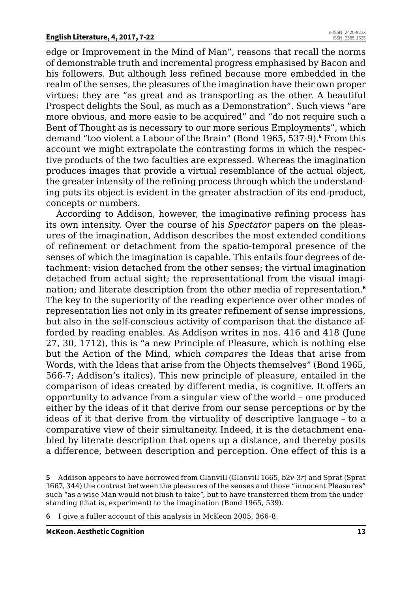edge or Improvement in the Mind of Man", reasons that recall the norms of demonstrable truth and incremental progress emphasised by Bacon and his followers. But although less refined because more embedded in the realm of the senses, the pleasures of the imagination have their own proper virtues: they are "as great and as transporting as the other. A beautiful Prospect delights the Soul, as much as a Demonstration". Such views "are more obvious, and more easie to be acquired" and "do not require such a Bent of Thought as is necessary to our more serious Employments", which demand "too violent a Labour of the Brain" (Bond 1965, 537-9).**<sup>5</sup>** From this account we might extrapolate the contrasting forms in which the respective products of the two faculties are expressed. Whereas the imagination produces images that provide a virtual resemblance of the actual object, the greater intensity of the refining process through which the understanding puts its object is evident in the greater abstraction of its end-product, concepts or numbers.

According to Addison, however, the imaginative refining process has its own intensity. Over the course of his *Spectator* papers on the pleasures of the imagination, Addison describes the most extended conditions of refinement or detachment from the spatio-temporal presence of the senses of which the imagination is capable. This entails four degrees of detachment: vision detached from the other senses; the virtual imagination detached from actual sight; the representational from the visual imagination; and literate description from the other media of representation.**<sup>6</sup>** The key to the superiority of the reading experience over other modes of representation lies not only in its greater refinement of sense impressions, but also in the self-conscious activity of comparison that the distance afforded by reading enables. As Addison writes in nos. 416 and 418 (June 27, 30, 1712), this is "a new Principle of Pleasure, which is nothing else but the Action of the Mind, which *compares* the Ideas that arise from Words, with the Ideas that arise from the Objects themselves" (Bond 1965, 566-7; Addison's italics). This new principle of pleasure, entailed in the comparison of ideas created by different media, is cognitive. It offers an opportunity to advance from a singular view of the world – one produced either by the ideas of it that derive from our sense perceptions or by the ideas of it that derive from the virtuality of descriptive language – to a comparative view of their simultaneity. Indeed, it is the detachment enabled by literate description that opens up a distance, and thereby posits a difference, between description and perception. One effect of this is a

**5** Addison appears to have borrowed from Glanvill (Glanvill 1665, b2*v*-3*r*) and Sprat (Sprat 1667, 344) the contrast between the pleasures of the senses and those "innocent Pleasures" such "as a wise Man would not blush to take", but to have transferred them from the understanding (that is, experiment) to the imagination (Bond 1965, 539).

**6** I give a fuller account of this analysis in McKeon 2005, 366-8.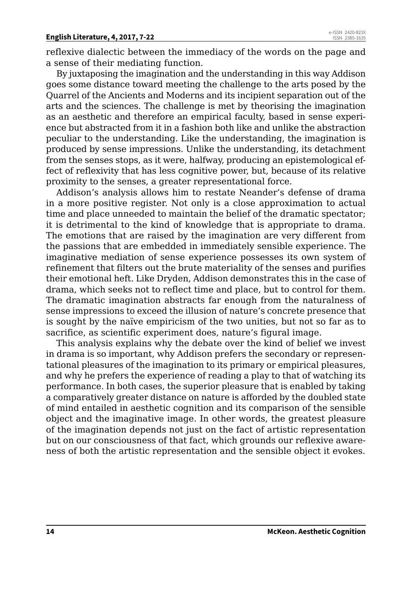reflexive dialectic between the immediacy of the words on the page and a sense of their mediating function.

By juxtaposing the imagination and the understanding in this way Addison goes some distance toward meeting the challenge to the arts posed by the Quarrel of the Ancients and Moderns and its incipient separation out of the arts and the sciences. The challenge is met by theorising the imagination as an aesthetic and therefore an empirical faculty, based in sense experience but abstracted from it in a fashion both like and unlike the abstraction peculiar to the understanding. Like the understanding, the imagination is produced by sense impressions. Unlike the understanding, its detachment from the senses stops, as it were, halfway, producing an epistemological effect of reflexivity that has less cognitive power, but, because of its relative proximity to the senses, a greater representational force.

Addison's analysis allows him to restate Neander's defense of drama in a more positive register. Not only is a close approximation to actual time and place unneeded to maintain the belief of the dramatic spectator; it is detrimental to the kind of knowledge that is appropriate to drama. The emotions that are raised by the imagination are very different from the passions that are embedded in immediately sensible experience. The imaginative mediation of sense experience possesses its own system of refinement that filters out the brute materiality of the senses and purifies their emotional heft. Like Dryden, Addison demonstrates this in the case of drama, which seeks not to reflect time and place, but to control for them. The dramatic imagination abstracts far enough from the naturalness of sense impressions to exceed the illusion of nature's concrete presence that is sought by the naïve empiricism of the two unities, but not so far as to sacrifice, as scientific experiment does, nature's figural image.

This analysis explains why the debate over the kind of belief we invest in drama is so important, why Addison prefers the secondary or representational pleasures of the imagination to its primary or empirical pleasures, and why he prefers the experience of reading a play to that of watching its performance. In both cases, the superior pleasure that is enabled by taking a comparatively greater distance on nature is afforded by the doubled state of mind entailed in aesthetic cognition and its comparison of the sensible object and the imaginative image. In other words, the greatest pleasure of the imagination depends not just on the fact of artistic representation but on our consciousness of that fact, which grounds our reflexive awareness of both the artistic representation and the sensible object it evokes.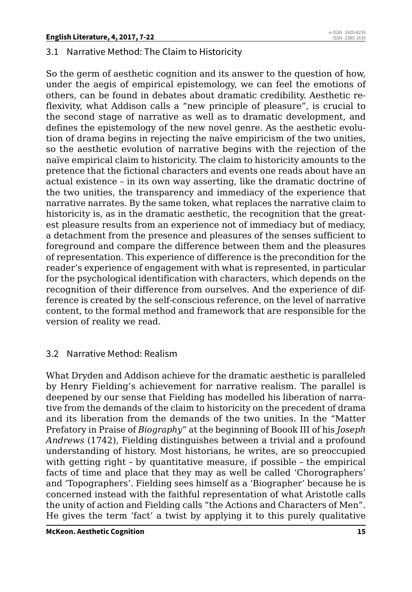### 3.1 Narrative Method: The Claim to Historicity

So the germ of aesthetic cognition and its answer to the question of how, under the aegis of empirical epistemology, we can feel the emotions of others, can be found in debates about dramatic credibility. Aesthetic reflexivity, what Addison calls a "new principle of pleasure", is crucial to the second stage of narrative as well as to dramatic development, and defines the epistemology of the new novel genre. As the aesthetic evolution of drama begins in rejecting the naïve empiricism of the two unities, so the aesthetic evolution of narrative begins with the rejection of the naïve empirical claim to historicity. The claim to historicity amounts to the pretence that the fictional characters and events one reads about have an actual existence – in its own way asserting, like the dramatic doctrine of the two unities, the transparency and immediacy of the experience that narrative narrates. By the same token, what replaces the narrative claim to historicity is, as in the dramatic aesthetic, the recognition that the greatest pleasure results from an experience not of immediacy but of mediacy, a detachment from the presence and pleasures of the senses sufficient to foreground and compare the difference between them and the pleasures of representation. This experience of difference is the precondition for the reader's experience of engagement with what is represented, in particular for the psychological identification with characters, which depends on the recognition of their difference from ourselves. And the experience of difference is created by the self-conscious reference, on the level of narrative content, to the formal method and framework that are responsible for the version of reality we read.

### 3.2 Narrative Method: Realism

What Dryden and Addison achieve for the dramatic aesthetic is paralleled by Henry Fielding's achievement for narrative realism. The parallel is deepened by our sense that Fielding has modelled his liberation of narrative from the demands of the claim to historicity on the precedent of drama and its liberation from the demands of the two unities. In the "Matter Prefatory in Praise of *Biography*" at the beginning of Boook III of his *Joseph Andrews* (1742), Fielding distinguishes between a trivial and a profound understanding of history. Most historians, he writes, are so preoccupied with getting right – by quantitative measure, if possible – the empirical facts of time and place that they may as well be called 'Chorographers' and 'Topographers'. Fielding sees himself as a 'Biographer' because he is concerned instead with the faithful representation of what Aristotle calls the unity of action and Fielding calls "the Actions and Characters of Men". He gives the term 'fact' a twist by applying it to this purely qualitative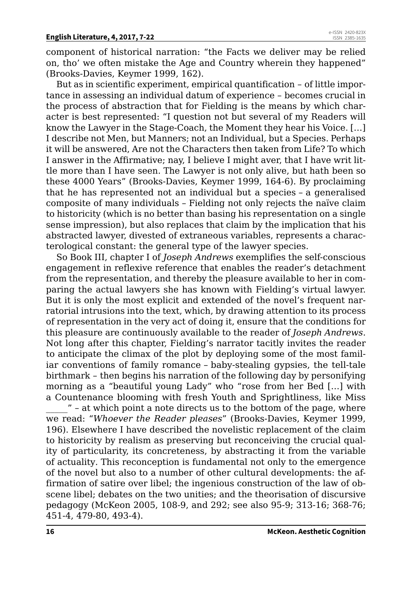component of historical narration: "the Facts we deliver may be relied on, tho' we often mistake the Age and Country wherein they happened" (Brooks-Davies, Keymer 1999, 162).

But as in scientific experiment, empirical quantification – of little importance in assessing an individual datum of experience – becomes crucial in the process of abstraction that for Fielding is the means by which character is best represented: "I question not but several of my Readers will know the Lawyer in the Stage-Coach, the Moment they hear his Voice. […] I describe not Men, but Manners; not an Individual, but a Species. Perhaps it will be answered, Are not the Characters then taken from Life? To which I answer in the Affirmative; nay, I believe I might aver, that I have writ little more than I have seen. The Lawyer is not only alive, but hath been so these 4000 Years" (Brooks-Davies, Keymer 1999, 164-6). By proclaiming that he has represented not an individual but a species – a generalised composite of many individuals – Fielding not only rejects the naïve claim to historicity (which is no better than basing his representation on a single sense impression), but also replaces that claim by the implication that his abstracted lawyer, divested of extraneous variables, represents a characterological constant: the general type of the lawyer species.

So Book III, chapter I of *Joseph Andrews* exemplifies the self-conscious engagement in reflexive reference that enables the reader's detachment from the representation, and thereby the pleasure available to her in comparing the actual lawyers she has known with Fielding's virtual lawyer. But it is only the most explicit and extended of the novel's frequent narratorial intrusions into the text, which, by drawing attention to its process of representation in the very act of doing it, ensure that the conditions for this pleasure are continuously available to the reader of *Joseph Andrews*. Not long after this chapter, Fielding's narrator tacitly invites the reader to anticipate the climax of the plot by deploying some of the most familiar conventions of family romance – baby-stealing gypsies, the tell-tale birthmark – then begins his narration of the following day by personifying morning as a "beautiful young Lady" who "rose from her Bed […] with a Countenance blooming with fresh Youth and Sprightliness, like Miss

\_\_\_\_\_" – at which point a note directs us to the bottom of the page, where we read: "*Whoever the Reader pleases*" (Brooks-Davies, Keymer 1999, 196). Elsewhere I have described the novelistic replacement of the claim to historicity by realism as preserving but reconceiving the crucial quality of particularity, its concreteness, by abstracting it from the variable of actuality*.* This reconception is fundamental not only to the emergence of the novel but also to a number of other cultural developments: the affirmation of satire over libel; the ingenious construction of the law of obscene libel; debates on the two unities; and the theorisation of discursive pedagogy (McKeon 2005, 108-9, and 292; see also 95-9; 313-16; 368-76; 451-4, 479-80, 493-4).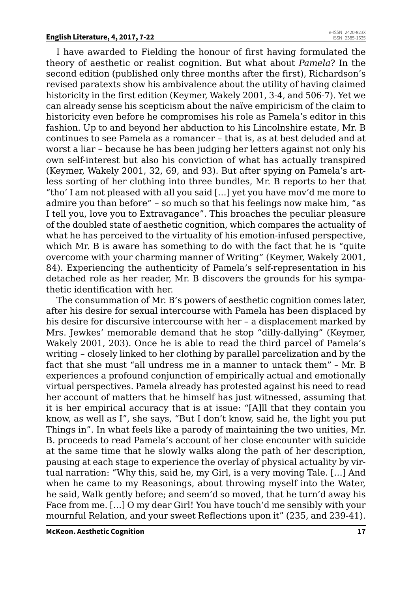I have awarded to Fielding the honour of first having formulated the theory of aesthetic or realist cognition. But what about *Pamela*? In the second edition (published only three months after the first), Richardson's revised paratexts show his ambivalence about the utility of having claimed historicity in the first edition (Keymer, Wakely 2001, 3-4, and 506-7). Yet we can already sense his scepticism about the naïve empiricism of the claim to historicity even before he compromises his role as Pamela's editor in this fashion. Up to and beyond her abduction to his Lincolnshire estate, Mr. B continues to see Pamela as a romancer – that is, as at best deluded and at worst a liar – because he has been judging her letters against not only his own self-interest but also his conviction of what has actually transpired (Keymer, Wakely 2001, 32, 69, and 93). But after spying on Pamela's artless sorting of her clothing into three bundles, Mr. B reports to her that "tho' I am not pleased with all you said […] yet you have mov'd me more to admire you than before" – so much so that his feelings now make him, "as I tell you, love you to Extravagance". This broaches the peculiar pleasure of the doubled state of aesthetic cognition, which compares the actuality of what he has perceived to the virtuality of his emotion-infused perspective, which Mr. B is aware has something to do with the fact that he is "quite overcome with your charming manner of Writing" (Keymer, Wakely 2001, 84). Experiencing the authenticity of Pamela's self-representation in his detached role as her reader, Mr. B discovers the grounds for his sympathetic identification with her.

The consummation of Mr. B's powers of aesthetic cognition comes later, after his desire for sexual intercourse with Pamela has been displaced by his desire for discursive intercourse with her – a displacement marked by Mrs. Jewkes' memorable demand that he stop "dilly-dallying" (Keymer, Wakely 2001, 203). Once he is able to read the third parcel of Pamela's writing – closely linked to her clothing by parallel parcelization and by the fact that she must "all undress me in a manner to untack them" – Mr. B experiences a profound conjunction of empirically actual and emotionally virtual perspectives. Pamela already has protested against his need to read her account of matters that he himself has just witnessed, assuming that it is her empirical accuracy that is at issue: "[A]ll that they contain you know, as well as I", she says, "But I don't know, said he, the light you put Things in". In what feels like a parody of maintaining the two unities, Mr. B. proceeds to read Pamela's account of her close encounter with suicide at the same time that he slowly walks along the path of her description, pausing at each stage to experience the overlay of physical actuality by virtual narration: "Why this, said he, my Girl, is a very moving Tale. […] And when he came to my Reasonings, about throwing myself into the Water, he said, Walk gently before; and seem'd so moved, that he turn'd away his Face from me. […] O my dear Girl! You have touch'd me sensibly with your mournful Relation, and your sweet Reflections upon it" (235, and 239-41).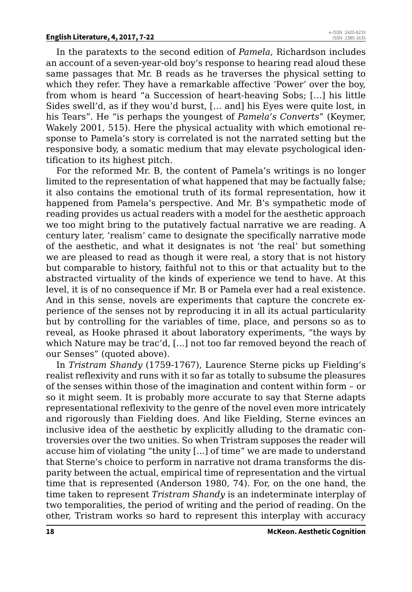In the paratexts to the second edition of *Pamela*, Richardson includes an account of a seven-year-old boy's response to hearing read aloud these same passages that Mr. B reads as he traverses the physical setting to which they refer. They have a remarkable affective 'Power' over the boy, from whom is heard "a Succession of heart-heaving Sobs; […] his little Sides swell'd, as if they wou'd burst, [… and] his Eyes were quite lost, in his Tears". He "is perhaps the youngest of *Pamela's Converts*" (Keymer, Wakely 2001, 515). Here the physical actuality with which emotional response to Pamela's story is correlated is not the narrated setting but the responsive body, a somatic medium that may elevate psychological identification to its highest pitch.

For the reformed Mr. B, the content of Pamela's writings is no longer limited to the representation of what happened that may be factually false; it also contains the emotional truth of its formal representation, how it happened from Pamela's perspective. And Mr. B's sympathetic mode of reading provides us actual readers with a model for the aesthetic approach we too might bring to the putatively factual narrative we are reading. A century later, 'realism' came to designate the specifically narrative mode of the aesthetic, and what it designates is not 'the real' but something we are pleased to read as though it were real, a story that is not history but comparable to history, faithful not to this or that actuality but to the abstracted virtuality of the kinds of experience we tend to have. At this level, it is of no consequence if Mr. B or Pamela ever had a real existence. And in this sense, novels are experiments that capture the concrete experience of the senses not by reproducing it in all its actual particularity but by controlling for the variables of time, place, and persons so as to reveal, as Hooke phrased it about laboratory experiments, "the ways by which Nature may be trac'd, [...] not too far removed beyond the reach of our Senses" (quoted above).

In *Tristram Shandy* (1759-1767), Laurence Sterne picks up Fielding's realist reflexivity and runs with it so far as totally to subsume the pleasures of the senses within those of the imagination and content within form – or so it might seem. It is probably more accurate to say that Sterne adapts representational reflexivity to the genre of the novel even more intricately and rigorously than Fielding does. And like Fielding, Sterne evinces an inclusive idea of the aesthetic by explicitly alluding to the dramatic controversies over the two unities. So when Tristram supposes the reader will accuse him of violating "the unity [...] of time" we are made to understand that Sterne's choice to perform in narrative not drama transforms the disparity between the actual, empirical time of representation and the virtual time that is represented (Anderson 1980, 74). For, on the one hand, the time taken to represent *Tristram Shandy* is an indeterminate interplay of two temporalities, the period of writing and the period of reading. On the other, Tristram works so hard to represent this interplay with accuracy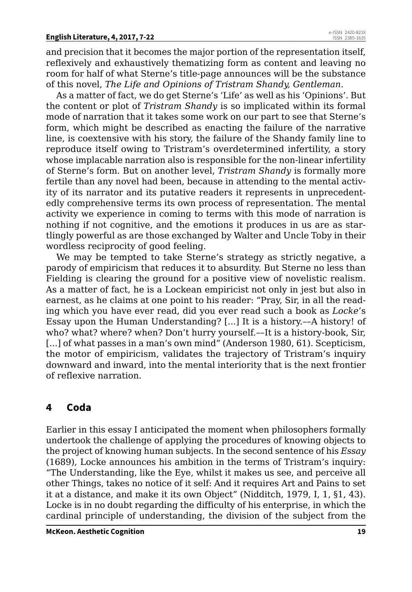and precision that it becomes the major portion of the representation itself, reflexively and exhaustively thematizing form as content and leaving no room for half of what Sterne's title-page announces will be the substance of this novel, *The Life and Opinions of Tristram Shandy, Gentleman*.

As a matter of fact, we do get Sterne's 'Life' as well as his 'Opinions'. But the content or plot of *Tristram Shandy* is so implicated within its formal mode of narration that it takes some work on our part to see that Sterne's form, which might be described as enacting the failure of the narrative line, is coextensive with his story, the failure of the Shandy family line to reproduce itself owing to Tristram's overdetermined infertility, a story whose implacable narration also is responsible for the non-linear infertility of Sterne's form. But on another level, *Tristram Shandy* is formally more fertile than any novel had been, because in attending to the mental activity of its narrator and its putative readers it represents in unprecedentedly comprehensive terms its own process of representation. The mental activity we experience in coming to terms with this mode of narration is nothing if not cognitive, and the emotions it produces in us are as startlingly powerful as are those exchanged by Walter and Uncle Toby in their wordless reciprocity of good feeling.

We may be tempted to take Sterne's strategy as strictly negative, a parody of empiricism that reduces it to absurdity. But Sterne no less than Fielding is clearing the ground for a positive view of novelistic realism. As a matter of fact, he is a Lockean empiricist not only in jest but also in earnest, as he claims at one point to his reader: "Pray, Sir, in all the reading which you have ever read, did you ever read such a book as *Locke*'s Essay upon the Human Understanding? [...] It is a history.––A history! of who? what? where? when? Don't hurry yourself.––It is a history-book, Sir, [...] of what passes in a man's own mind" (Anderson 1980, 61). Scepticism, the motor of empiricism, validates the trajectory of Tristram's inquiry downward and inward, into the mental interiority that is the next frontier of reflexive narration.

# **4 Coda**

Earlier in this essay I anticipated the moment when philosophers formally undertook the challenge of applying the procedures of knowing objects to the project of knowing human subjects. In the second sentence of his *Essay* (1689), Locke announces his ambition in the terms of Tristram's inquiry: "The Understanding, like the Eye, whilst it makes us see, and perceive all other Things, takes no notice of it self: And it requires Art and Pains to set it at a distance, and make it its own Object" (Nidditch, 1979, I, 1, §1, 43). Locke is in no doubt regarding the difficulty of his enterprise, in which the cardinal principle of understanding, the division of the subject from the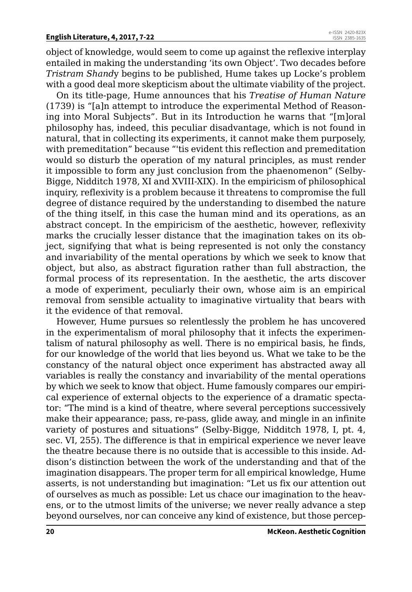object of knowledge, would seem to come up against the reflexive interplay entailed in making the understanding 'its own Object'. Two decades before *Tristram Shand*y begins to be published, Hume takes up Locke's problem with a good deal more skepticism about the ultimate viability of the project.

On its title-page, Hume announces that his *Treatise of Human Nature* (1739) is "[a]n attempt to introduce the experimental Method of Reasoning into Moral Subjects". But in its Introduction he warns that "[m]oral philosophy has, indeed, this peculiar disadvantage, which is not found in natural, that in collecting its experiments, it cannot make them purposely, with premeditation" because "'tis evident this reflection and premeditation would so disturb the operation of my natural principles, as must render it impossible to form any just conclusion from the phaenomenon" (Selby-Bigge, Nidditch 1978, XI and XVIII-XIX). In the empiricism of philosophical inquiry, reflexivity is a problem because it threatens to compromise the full degree of distance required by the understanding to disembed the nature of the thing itself, in this case the human mind and its operations, as an abstract concept. In the empiricism of the aesthetic, however, reflexivity marks the crucially lesser distance that the imagination takes on its object, signifying that what is being represented is not only the constancy and invariability of the mental operations by which we seek to know that object, but also, as abstract figuration rather than full abstraction, the formal process of its representation. In the aesthetic, the arts discover a mode of experiment, peculiarly their own, whose aim is an empirical removal from sensible actuality to imaginative virtuality that bears with it the evidence of that removal.

However, Hume pursues so relentlessly the problem he has uncovered in the experimentalism of moral philosophy that it infects the experimentalism of natural philosophy as well. There is no empirical basis, he finds, for our knowledge of the world that lies beyond us. What we take to be the constancy of the natural object once experiment has abstracted away all variables is really the constancy and invariability of the mental operations by which we seek to know that object. Hume famously compares our empirical experience of external objects to the experience of a dramatic spectator: "The mind is a kind of theatre, where several perceptions successively make their appearance; pass, re-pass, glide away, and mingle in an infinite variety of postures and situations" (Selby-Bigge, Nidditch 1978, I, pt. 4, sec. VI, 255). The difference is that in empirical experience we never leave the theatre because there is no outside that is accessible to this inside. Addison's distinction between the work of the understanding and that of the imagination disappears. The proper term for all empirical knowledge, Hume asserts, is not understanding but imagination: "Let us fix our attention out of ourselves as much as possible: Let us chace our imagination to the heavens, or to the utmost limits of the universe; we never really advance a step beyond ourselves, nor can conceive any kind of existence, but those percep-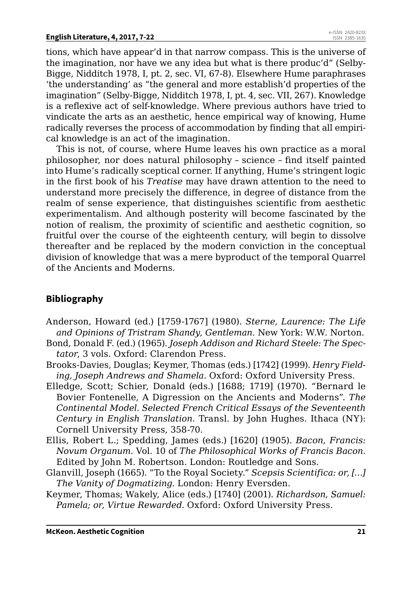tions, which have appear'd in that narrow compass. This is the universe of the imagination, nor have we any idea but what is there produc'd" (Selby-Bigge, Nidditch 1978, I, pt. 2, sec. VI, 67-8). Elsewhere Hume paraphrases 'the understanding' as "the general and more establish'd properties of the imagination" (Selby-Bigge, Nidditch 1978, I, pt. 4, sec. VII, 267). Knowledge is a reflexive act of self-knowledge. Where previous authors have tried to vindicate the arts as an aesthetic, hence empirical way of knowing, Hume radically reverses the process of accommodation by finding that all empirical knowledge is an act of the imagination.

This is not, of course, where Hume leaves his own practice as a moral philosopher, nor does natural philosophy – science – find itself painted into Hume's radically sceptical corner. If anything, Hume's stringent logic in the first book of his *Treatise* may have drawn attention to the need to understand more precisely the difference, in degree of distance from the realm of sense experience, that distinguishes scientific from aesthetic experimentalism. And although posterity will become fascinated by the notion of realism, the proximity of scientific and aesthetic cognition, so fruitful over the course of the eighteenth century, will begin to dissolve thereafter and be replaced by the modern conviction in the conceptual division of knowledge that was a mere byproduct of the temporal Quarrel of the Ancients and Moderns.

# **Bibliography**

- Anderson, Howard (ed.) [1759-1767] (1980). *Sterne, Laurence: The Life and Opinions of Tristram Shandy, Gentleman.* New York: W.W. Norton.
- Bond, Donald F. (ed.) (1965). *Joseph Addison and Richard Steele: The Spectator*, 3 vols. Oxford: Clarendon Press.
- Brooks-Davies, Douglas; Keymer, Thomas (eds.) [1742] (1999). *Henry Fielding, Joseph Andrews and Shamela*. Oxford: Oxford University Press.
- Elledge, Scott; Schier, Donald (eds.) [1688; 1719] (1970). "Bernard le Bovier Fontenelle, A Digression on the Ancients and Moderns". *The Continental Model. Selected French Critical Essays of the Seventeenth Century in English Translation*. Transl. by John Hughes. Ithaca (NY): Cornell University Press, 358-70.
- Ellis, Robert L.; Spedding, James (eds.) [1620] (1905). *Bacon, Francis: Novum Organum*. Vol. 10 of *The Philosophical Works of Francis Bacon*. Edited by John M. Robertson. London: Routledge and Sons.
- Glanvill, Joseph (1665). "To the Royal Society." *Scepsis Scientifica: or, […] The Vanity of Dogmatizing.* London: Henry Eversden.
- Keymer, Thomas; Wakely, Alice (eds.) [1740] (2001). *Richardson, Samuel: Pamela; or, Virtue Rewarded*. Oxford: Oxford University Press.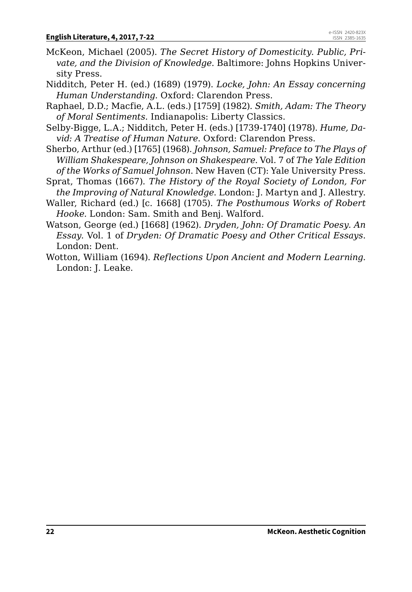- McKeon, Michael (2005). *The Secret History of Domesticity. Public, Private, and the Division of Knowledge*. Baltimore: Johns Hopkins University Press.
- Nidditch, Peter H. (ed.) (1689) (1979). *Locke, John: An Essay concerning Human Understanding*. Oxford: Clarendon Press.
- Raphael, D.D.; Macfie, A.L. (eds.) [1759] (1982). *Smith, Adam: The Theory of Moral Sentiments*. Indianapolis: Liberty Classics.
- Selby-Bigge, L.A.; Nidditch, Peter H. (eds.) [1739-1740] (1978). *Hume, David: A Treatise of Human Nature*. Oxford: Clarendon Press.
- Sherbo, Arthur (ed.) [1765] (1968). *Johnson, Samuel: Preface to The Plays of William Shakespeare, Johnson on Shakespeare*. Vol. 7 of *The Yale Edition of the Works of Samuel Johnson*. New Haven (CT): Yale University Press.
- Sprat, Thomas (1667). *The History of the Royal Society of London, For the Improving of Natural Knowledge*. London: J. Martyn and J. Allestry.
- Waller, Richard (ed.) [c. 1668] (1705). *The Posthumous Works of Robert Hooke.* London: Sam. Smith and Benj. Walford.
- Watson, George (ed.) [1668] (1962). *Dryden, John: Of Dramatic Poesy. An Essay*. Vol. 1 of *Dryden: Of Dramatic Poesy and Other Critical Essays*. London: Dent.
- Wotton, William (1694). *Reflections Upon Ancient and Modern Learning.*  London: J. Leake.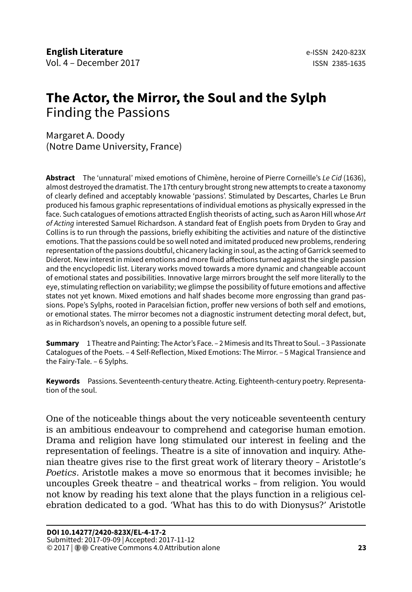# <span id="page-23-0"></span>**The Actor, the Mirror, the Soul and the Sylph** Finding the Passions

Margaret A. Doody (Notre Dame University, France)

**Abstract** The 'unnatural' mixed emotions of Chimène, heroine of Pierre Corneille's *Le Cid* (1636), almost destroyed the dramatist. The 17th century brought strong new attempts to create a taxonomy of clearly defined and acceptably knowable 'passions'. Stimulated by Descartes, Charles Le Brun produced his famous graphic representations of individual emotions as physically expressed in the face. Such catalogues of emotions attracted English theorists of acting, such as Aaron Hill whose *Art of Acting* interested Samuel Richardson. A standard feat of English poets from Dryden to Gray and Collins is to run through the passions, briefly exhibiting the activities and nature of the distinctive emotions. That the passions could be so well noted and imitated produced new problems, rendering representation of the passions doubtful, chicanery lacking in soul, as the acting of Garrick seemed to Diderot. New interest in mixed emotions and more fluid affections turned against the single passion and the encyclopedic list. Literary works moved towards a more dynamic and changeable account of emotional states and possibilities. Innovative large mirrors brought the self more literally to the eye, stimulating reflection on variability; we glimpse the possibility of future emotions and affective states not yet known. Mixed emotions and half shades become more engrossing than grand passions. Pope's Sylphs, rooted in Paracelsian fiction, proffer new versions of both self and emotions, or emotional states. The mirror becomes not a diagnostic instrument detecting moral defect, but, as in Richardson's novels, an opening to a possible future self.

**Summary** 1 Theatre and Painting: The Actor's Face. – 2 Mimesis and Its Threat to Soul. – 3 Passionate Catalogues of the Poets. – 4 Self-Reflection, Mixed Emotions: The Mirror. – 5 Magical Transience and the Fairy-Tale. – 6 Sylphs.

**Keywords** Passions. Seventeenth-century theatre. Acting. Eighteenth-century poetry. Representation of the soul.

One of the noticeable things about the very noticeable seventeenth century is an ambitious endeavour to comprehend and categorise human emotion. Drama and religion have long stimulated our interest in feeling and the representation of feelings. Theatre is a site of innovation and inquiry. Athenian theatre gives rise to the first great work of literary theory – Aristotle's *Poetics.* Aristotle makes a move so enormous that it becomes invisible; he uncouples Greek theatre – and theatrical works – from religion. You would not know by reading his text alone that the plays function in a religious celebration dedicated to a god. 'What has this to do with Dionysus?' Aristotle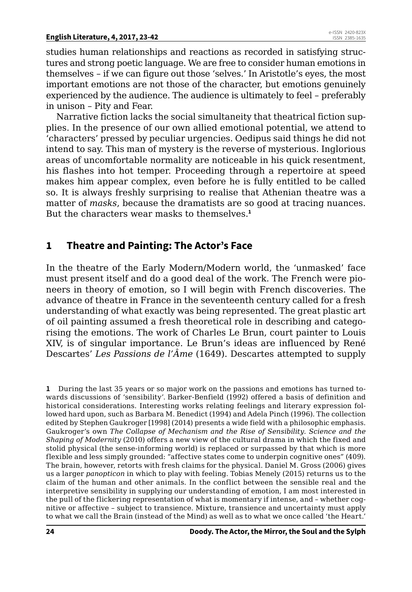studies human relationships and reactions as recorded in satisfying structures and strong poetic language. We are free to consider human emotions in themselves – if we can figure out those 'selves.' In Aristotle's eyes, the most important emotions are not those of the character, but emotions genuinely experienced by the audience. The audience is ultimately to feel – preferably in unison – Pity and Fear.

Narrative fiction lacks the social simultaneity that theatrical fiction supplies. In the presence of our own allied emotional potential, we attend to 'characters' pressed by peculiar urgencies. Oedipus said things he did not intend to say. This man of mystery is the reverse of mysterious. Inglorious areas of uncomfortable normality are noticeable in his quick resentment, his flashes into hot temper. Proceeding through a repertoire at speed makes him appear complex, even before he is fully entitled to be called so. It is always freshly surprising to realise that Athenian theatre was a matter of *masks*, because the dramatists are so good at tracing nuances. But the characters wear masks to themselves.**<sup>1</sup>**

# **1 Theatre and Painting: The Actor's Face**

In the theatre of the Early Modern/Modern world, the 'unmasked' face must present itself and do a good deal of the work. The French were pioneers in theory of emotion, so I will begin with French discoveries. The advance of theatre in France in the seventeenth century called for a fresh understanding of what exactly was being represented. The great plastic art of oil painting assumed a fresh theoretical role in describing and categorising the emotions. The work of Charles Le Brun, court painter to Louis XIV, is of singular importance. Le Brun's ideas are influenced by René Descartes' *Les Passions de l'Âme* (1649). Descartes attempted to supply

**1** During the last 35 years or so major work on the passions and emotions has turned towards discussions of 'sensibility'. Barker-Benfield (1992) offered a basis of definition and historical considerations. Interesting works relating feelings and literary expression followed hard upon, such as Barbara M. Benedict (1994) and Adela Pinch (1996). The collection edited by Stephen Gaukroger [1998] (2014) presents a wide field with a philosophic emphasis. Gaukroger's own *The Collapse of Mechanism and the Rise of Sensibility. Science and the Shaping of Modernity* (2010) offers a new view of the cultural drama in which the fixed and stolid physical (the sense-informing world) is replaced or surpassed by that which is more flexible and less simply grounded: "affective states come to underpin cognitive ones" (409). The brain, however, retorts with fresh claims for the physical. Daniel M. Gross (2006) gives us a larger *panopticon* in which to play with feeling. Tobias Menely (2015) returns us to the claim of the human and other animals. In the conflict between the sensible real and the interpretive sensibility in supplying our understanding of emotion, I am most interested in the pull of the flickering representation of what is momentary if intense, and – whether cognitive or affective – subject to transience. Mixture, transience and uncertainty must apply to what we call the Brain (instead of the Mind) as well as to what we once called 'the Heart.'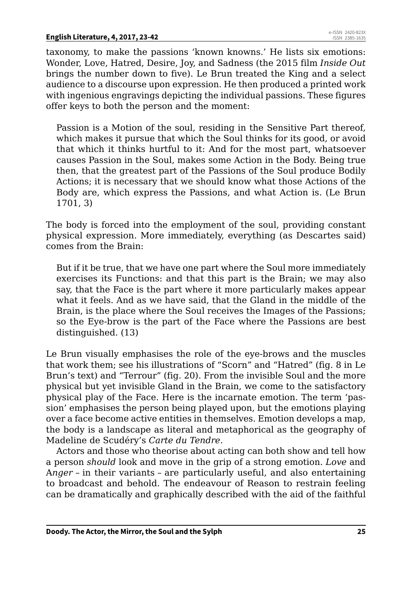taxonomy, to make the passions 'known knowns.' He lists six emotions: Wonder, Love, Hatred, Desire, Joy, and Sadness (the 2015 film *Inside Out* brings the number down to five). Le Brun treated the King and a select audience to a discourse upon expression. He then produced a printed work with ingenious engravings depicting the individual passions. These figures offer keys to both the person and the moment:

Passion is a Motion of the soul, residing in the Sensitive Part thereof, which makes it pursue that which the Soul thinks for its good, or avoid that which it thinks hurtful to it: And for the most part, whatsoever causes Passion in the Soul, makes some Action in the Body. Being true then, that the greatest part of the Passions of the Soul produce Bodily Actions; it is necessary that we should know what those Actions of the Body are, which express the Passions, and what Action is. (Le Brun 1701, 3)

The body is forced into the employment of the soul, providing constant physical expression. More immediately, everything (as Descartes said) comes from the Brain:

But if it be true, that we have one part where the Soul more immediately exercises its Functions: and that this part is the Brain; we may also say, that the Face is the part where it more particularly makes appear what it feels. And as we have said, that the Gland in the middle of the Brain, is the place where the Soul receives the Images of the Passions; so the Eye-brow is the part of the Face where the Passions are best distinguished. (13)

Le Brun visually emphasises the role of the eye-brows and the muscles that work them; see his illustrations of "Scorn" and "Hatred" (fig. 8 in Le Brun's text) and "Terrour" (fig. 20). From the invisible Soul and the more physical but yet invisible Gland in the Brain, we come to the satisfactory physical play of the Face. Here is the incarnate emotion. The term 'passion' emphasises the person being played upon, but the emotions playing over a face become active entities in themselves. Emotion develops a map, the body is a landscape as literal and metaphorical as the geography of Madeline de Scudéry's *Carte du Tendre*.

Actors and those who theorise about acting can both show and tell how a person *should* look and move in the grip of a strong emotion. *Love* and A*nger –* in their variants *–* are particularly useful, and also entertaining to broadcast and behold. The endeavour of Reason to restrain feeling can be dramatically and graphically described with the aid of the faithful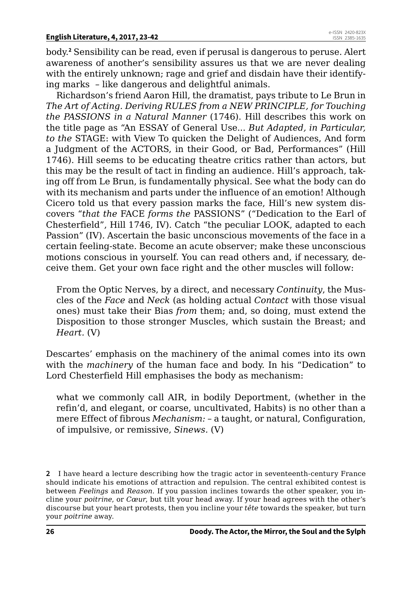body.**<sup>2</sup>** Sensibility can be read, even if perusal is dangerous to peruse. Alert awareness of another's sensibility assures us that we are never dealing with the entirely unknown; rage and grief and disdain have their identifying marks – like dangerous and delightful animals.

Richardson's friend Aaron Hill, the dramatist, pays tribute to Le Brun in *The Art of Acting. Deriving RULES from a NEW PRINCIPLE, for Touching the PASSIONS in a Natural Manner* (1746). Hill describes this work on the title page as "An ESSAY of General Use... *But Adapted, in Particular, to the* STAGE: with View To quicken the Delight of Audiences, And form a Judgment of the ACTORS, in their Good, or Bad, Performances" (Hill 1746). Hill seems to be educating theatre critics rather than actors, but this may be the result of tact in finding an audience. Hill's approach, taking off from Le Brun, is fundamentally physical. See what the body can do with its mechanism and parts under the influence of an emotion! Although Cicero told us that every passion marks the face, Hill's new system discovers "*that the* FACE *forms the* PASSIONS" ("Dedication to the Earl of Chesterfield", Hill 1746, IV). Catch "the peculiar LOOK, adapted to each Passion" (IV). Ascertain the basic unconscious movements of the face in a certain feeling-state. Become an acute observer; make these unconscious motions conscious in yourself. You can read others and, if necessary, deceive them. Get your own face right and the other muscles will follow:

From the Optic Nerves, by a direct, and necessary *Continuity*, the Muscles of the *Face* and *Neck* (as holding actual *Contact* with those visual ones) must take their Bias *from* them; and, so doing, must extend the Disposition to those stronger Muscles, which sustain the Breast; and *Heart.* (V)

Descartes' emphasis on the machinery of the animal comes into its own with the *machinery* of the human face and body. In his "Dedication" to Lord Chesterfield Hill emphasises the body as mechanism:

what we commonly call AIR, in bodily Deportment, (whether in the refin'd, and elegant, or coarse, uncultivated, Habits) is no other than a mere Effect of fibrous *Mechanism:* – a taught, or natural, Configuration, of impulsive, or remissive, *Sinews.* (V)

**<sup>2</sup>** I have heard a lecture describing how the tragic actor in seventeenth-century France should indicate his emotions of attraction and repulsion. The central exhibited contest is between *Feelings* and *Reason*. If you passion inclines towards the other speaker, you incline your *poitrine*, or *Cœur*, but tilt your head away. If your head agrees with the other's discourse but your heart protests, then you incline your *tête* towards the speaker, but turn your *poitrine* away.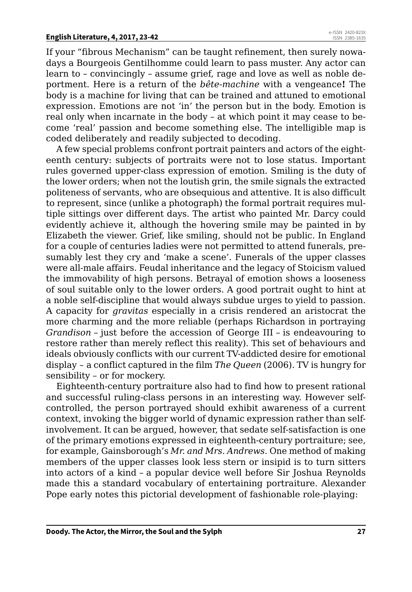If your "fibrous Mechanism" can be taught refinement, then surely nowadays a Bourgeois Gentilhomme could learn to pass muster. Any actor can learn to – convincingly – assume grief, rage and love as well as noble deportment. Here is a return of the *bête-machine* with a vengeance**!** The body is a machine for living that can be trained and attuned to emotional expression. Emotions are not 'in' the person but in the body. Emotion is real only when incarnate in the body – at which point it may cease to become 'real' passion and become something else. The intelligible map is coded deliberately and readily subjected to decoding.

A few special problems confront portrait painters and actors of the eighteenth century: subjects of portraits were not to lose status. Important rules governed upper-class expression of emotion. Smiling is the duty of the lower orders; when not the loutish grin, the smile signals the extracted politeness of servants, who are obsequious and attentive. It is also difficult to represent, since (unlike a photograph) the formal portrait requires multiple sittings over different days. The artist who painted Mr. Darcy could evidently achieve it, although the hovering smile may be painted in by Elizabeth the viewer. Grief, like smiling, should not be public. In England for a couple of centuries ladies were not permitted to attend funerals, presumably lest they cry and 'make a scene'. Funerals of the upper classes were all-male affairs. Feudal inheritance and the legacy of Stoicism valued the immovability of high persons. Betrayal of emotion shows a looseness of soul suitable only to the lower orders. A good portrait ought to hint at a noble self-discipline that would always subdue urges to yield to passion. A capacity for *gravitas* especially in a crisis rendered an aristocrat the more charming and the more reliable (perhaps Richardson in portraying *Grandison* – just before the accession of George III – is endeavouring to restore rather than merely reflect this reality). This set of behaviours and ideals obviously conflicts with our current TV-addicted desire for emotional display – a conflict captured in the film *The Queen* (2006). TV is hungry for sensibility – or for mockery.

Eighteenth-century portraiture also had to find how to present rational and successful ruling-class persons in an interesting way. However selfcontrolled, the person portrayed should exhibit awareness of a current context, invoking the bigger world of dynamic expression rather than selfinvolvement. It can be argued, however, that sedate self-satisfaction is one of the primary emotions expressed in eighteenth-century portraiture; see, for example, Gainsborough's *Mr. and Mrs. Andrews*. One method of making members of the upper classes look less stern or insipid is to turn sitters into actors of a kind – a popular device well before Sir Joshua Reynolds made this a standard vocabulary of entertaining portraiture. Alexander Pope early notes this pictorial development of fashionable role-playing: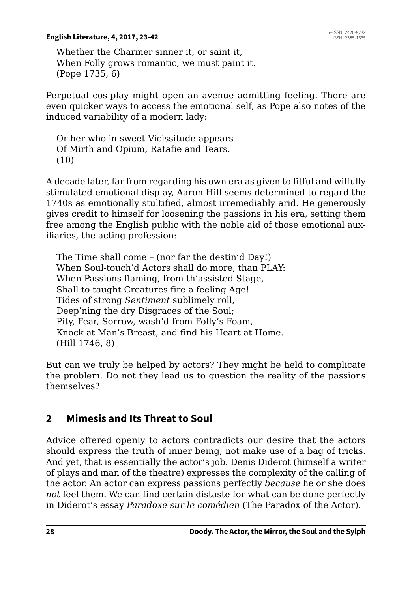Whether the Charmer sinner it, or saint it, When Folly grows romantic, we must paint it. (Pope 1735, 6)

Perpetual cos-play might open an avenue admitting feeling. There are even quicker ways to access the emotional self, as Pope also notes of the induced variability of a modern lady:

Or her who in sweet Vicissitude appears Of Mirth and Opium, Ratafie and Tears. (10)

A decade later, far from regarding his own era as given to fitful and wilfully stimulated emotional display, Aaron Hill seems determined to regard the 1740s as emotionally stultified, almost irremediably arid. He generously gives credit to himself for loosening the passions in his era, setting them free among the English public with the noble aid of those emotional auxiliaries, the acting profession:

The Time shall come – (nor far the destin'd Day!) When Soul-touch'd Actors shall do more, than PLAY: When Passions flaming, from th'assisted Stage, Shall to taught Creatures fire a feeling Age! Tides of strong *Sentiment* sublimely roll, Deep'ning the dry Disgraces of the Soul; Pity, Fear, Sorrow, wash'd from Folly's Foam, Knock at Man's Breast, and find his Heart at Home. (Hill 1746, 8)

But can we truly be helped by actors? They might be held to complicate the problem. Do not they lead us to question the reality of the passions themselves?

# **2 Mimesis and Its Threat to Soul**

Advice offered openly to actors contradicts our desire that the actors should express the truth of inner being, not make use of a bag of tricks. And yet, that is essentially the actor's job. Denis Diderot (himself a writer of plays and man of the theatre) expresses the complexity of the calling of the actor. An actor can express passions perfectly *because* he or she does *not* feel them. We can find certain distaste for what can be done perfectly in Diderot's essay *Paradoxe sur le comédien* (The Paradox of the Actor).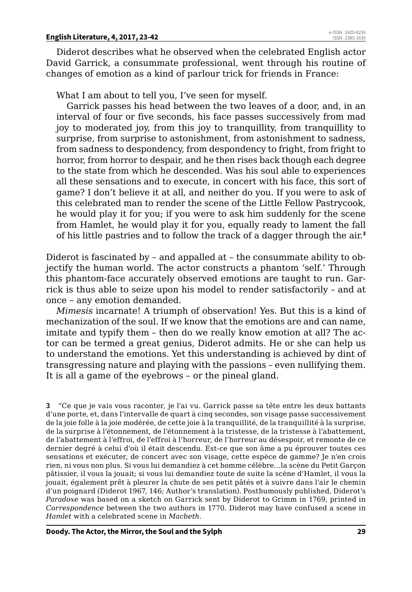Diderot describes what he observed when the celebrated English actor David Garrick, a consummate professional, went through his routine of changes of emotion as a kind of parlour trick for friends in France:

What I am about to tell you, I've seen for myself.

Garrick passes his head between the two leaves of a door, and, in an interval of four or five seconds, his face passes successively from mad joy to moderated joy, from this joy to tranquillity, from tranquillity to surprise, from surprise to astonishment, from astonishment to sadness, from sadness to despondency, from despondency to fright, from fright to horror, from horror to despair, and he then rises back though each degree to the state from which he descended. Was his soul able to experiences all these sensations and to execute, in concert with his face, this sort of game? I don't believe it at all, and neither do you. If you were to ask of this celebrated man to render the scene of the Little Fellow Pastrycook, he would play it for you; if you were to ask him suddenly for the scene from Hamlet, he would play it for you, equally ready to lament the fall of his little pastries and to follow the track of a dagger through the air.**<sup>3</sup>**

Diderot is fascinated by – and appalled at – the consummate ability to objectify the human world. The actor constructs a phantom 'self.' Through this phantom-face accurately observed emotions are taught to run. Garrick is thus able to seize upon his model to render satisfactorily – and at once – any emotion demanded.

*Mimesis* incarnate! A triumph of observation! Yes. But this is a kind of mechanization of the soul. If we know that the emotions are and can name, imitate and typify them – then do we really know emotion at all? The actor can be termed a great genius, Diderot admits. He or she can help us to understand the emotions. Yet this understanding is achieved by dint of transgressing nature and playing with the passions – even nullifying them. It is all a game of the eyebrows – or the pineal gland.

**3** "Ce que je vais vous raconter, je l'ai vu. Garrick passe sa tête entre les deux battants d'une porte, et, dans l'intervalle de quart à cinq secondes, son visage passe successivement de la joie folle à la joie modérée, de cette joie à la tranquillité, de la tranquillité à la surprise, de la surprise à l'étonnement, de l'étonnement à la tristesse, de la tristesse à l'abattement, de l'abattement à l'effroi, de l'effroi à l'horreur, de l'horreur au désespoir, et remonte de ce dernier degré à celui d'où il était descendu. Est-ce que son âme a pu éprouver toutes ces sensations et exécuter, de concert avec son visage, cette espèce de gamme? Je n'en crois rien, ni vous non plus. Si vous lui demandiez à cet homme célèbre…la scène du Petit Garçon pâtissier, il vous la jouait; si vous lui demandiez toute de suite la scène d'Hamlet, il vous la jouait, également prêt à pleurer la chute de ses petit pâtés et à suivre dans l'air le chemin d'un poignard (Diderot 1967, 146; Author's translation). Posthumously published, Diderot's *Paradoxe* was based on a sketch on Garrick sent by Diderot to Grimm in 1769, printed in *Correspondence* between the two authors in 1770. Diderot may have confused a scene in *Hamlet* with a celebrated scene in *Macbeth*.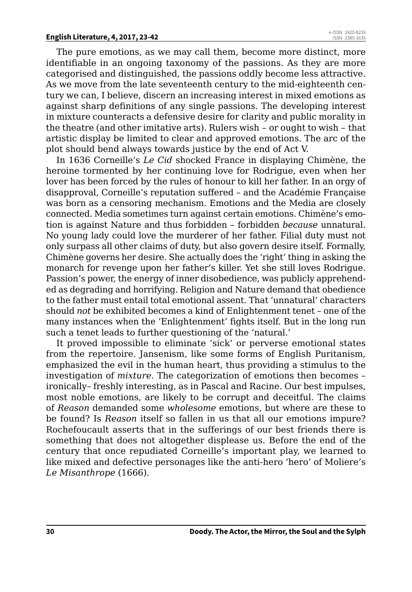The pure emotions, as we may call them, become more distinct, more identifiable in an ongoing taxonomy of the passions. As they are more categorised and distinguished, the passions oddly become less attractive. As we move from the late seventeenth century to the mid-eighteenth century we can, I believe, discern an increasing interest in mixed emotions as against sharp definitions of any single passions. The developing interest in mixture counteracts a defensive desire for clarity and public morality in the theatre (and other imitative arts). Rulers wish – or ought to wish – that artistic display be limited to clear and approved emotions. The arc of the plot should bend always towards justice by the end of Act V.

In 1636 Corneille's *Le Cid* shocked France in displaying Chimène, the heroine tormented by her continuing love for Rodrigue, even when her lover has been forced by the rules of honour to kill her father. In an orgy of disapproval, Corneille's reputation suffered – and the Académie Française was born as a censoring mechanism. Emotions and the Media are closely connected. Media sometimes turn against certain emotions. Chimène's emotion is against Nature and thus forbidden – forbidden *because* unnatural. No young lady could love the murderer of her father. Filial duty must not only surpass all other claims of duty, but also govern desire itself. Formally, Chimène governs her desire. She actually does the 'right' thing in asking the monarch for revenge upon her father's killer. Yet she still loves Rodrigue. Passion's power, the energy of inner disobedience, was publicly apprehended as degrading and horrifying. Religion and Nature demand that obedience to the father must entail total emotional assent. That 'unnatural' characters should *not* be exhibited becomes a kind of Enlightenment tenet – one of the many instances when the 'Enlightenment' fights itself. But in the long run such a tenet leads to further questioning of the 'natural.'

It proved impossible to eliminate 'sick' or perverse emotional states from the repertoire. Jansenism, like some forms of English Puritanism, emphasized the evil in the human heart, thus providing a stimulus to the investigation of *mixture.* The categorization of emotions then becomes – ironically– freshly interesting, as in Pascal and Racine. Our best impulses, most noble emotions, are likely to be corrupt and deceitful. The claims of *Reason* demanded some *wholesome* emotions, but where are these to be found? Is *Reason* itself so fallen in us that all our emotions impure? Rochefoucault asserts that in the sufferings of our best friends there is something that does not altogether displease us. Before the end of the century that once repudiated Corneille's important play, we learned to like mixed and defective personages like the anti-hero 'hero' of Moliere's *Le Misanthrope* (1666).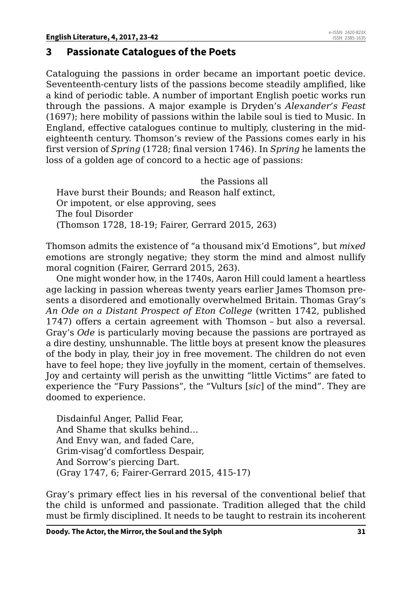### **3 Passionate Catalogues of the Poets**

Cataloguing the passions in order became an important poetic device. Seventeenth-century lists of the passions become steadily amplified, like a kind of periodic table. A number of important English poetic works run through the passions. A major example is Dryden's *Alexander's Feast* (1697); here mobility of passions within the labile soul is tied to Music. In England, effective catalogues continue to multiply, clustering in the mideighteenth century. Thomson's review of the Passions comes early in his first version of *Spring* (1728; final version 1746). In *Spring* he laments the loss of a golden age of concord to a hectic age of passions:

 the Passions all Have burst their Bounds; and Reason half extinct, Or impotent, or else approving, sees The foul Disorder (Thomson 1728, 18-19; Fairer, Gerrard 2015, 263)

Thomson admits the existence of "a thousand mix'd Emotions", but *mixed* emotions are strongly negative; they storm the mind and almost nullify moral cognition (Fairer, Gerrard 2015, 263).

One might wonder how, in the 1740s, Aaron Hill could lament a heartless age lacking in passion whereas twenty years earlier James Thomson presents a disordered and emotionally overwhelmed Britain. Thomas Gray's *An Ode on a Distant Prospect of Eton College* (written 1742, published 1747) offers a certain agreement with Thomson – but also a reversal. Gray's *Ode* is particularly moving because the passions are portrayed as a dire destiny, unshunnable. The little boys at present know the pleasures of the body in play, their joy in free movement. The children do not even have to feel hope; they live joyfully in the moment, certain of themselves. Joy and certainty will perish as the unwitting "little Victims" are fated to experience the "Fury Passions", the "Vulturs [*sic*] of the mind". They are doomed to experience.

Disdainful Anger, Pallid Fear, And Shame that skulks behind… And Envy wan, and faded Care, Grim-visag'd comfortless Despair, And Sorrow's piercing Dart. (Gray 1747, 6; Fairer-Gerrard 2015, 415-17)

Gray's primary effect lies in his reversal of the conventional belief that the child is unformed and passionate. Tradition alleged that the child must be firmly disciplined. It needs to be taught to restrain its incoherent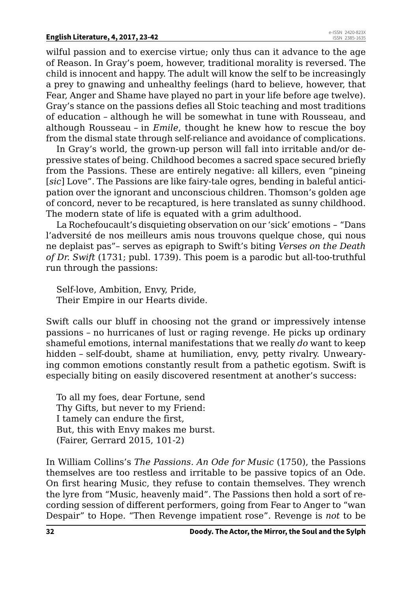wilful passion and to exercise virtue; only thus can it advance to the age of Reason. In Gray's poem, however, traditional morality is reversed. The child is innocent and happy. The adult will know the self to be increasingly a prey to gnawing and unhealthy feelings (hard to believe, however, that Fear, Anger and Shame have played no part in your life before age twelve). Gray's stance on the passions defies all Stoic teaching and most traditions of education – although he will be somewhat in tune with Rousseau, and although Rousseau – in *Emile*, thought he knew how to rescue the boy from the dismal state through self-reliance and avoidance of complications.

In Gray's world, the grown-up person will fall into irritable and/or depressive states of being. Childhood becomes a sacred space secured briefly from the Passions. These are entirely negative: all killers, even "pineing [*sic*] Love". The Passions are like fairy-tale ogres, bending in baleful anticipation over the ignorant and unconscious children. Thomson's golden age of concord, never to be recaptured, is here translated as sunny childhood. The modern state of life is equated with a grim adulthood.

La Rochefoucault's disquieting observation on our 'sick' emotions – "Dans l'adversité de nos meilleurs amis nous trouvons quelque chose, qui nous ne deplaist pas"– serves as epigraph to Swift's biting *Verses on the Death of Dr. Swift* (1731; publ. 1739). This poem is a parodic but all-too-truthful run through the passions:

Self-love, Ambition, Envy, Pride, Their Empire in our Hearts divide.

Swift calls our bluff in choosing not the grand or impressively intense passions – no hurricanes of lust or raging revenge. He picks up ordinary shameful emotions, internal manifestations that we really *do* want to keep hidden – self-doubt, shame at humiliation, envy, petty rivalry. Unwearying common emotions constantly result from a pathetic egotism. Swift is especially biting on easily discovered resentment at another's success:

To all my foes, dear Fortune, send Thy Gifts, but never to my Friend: I tamely can endure the first, But, this with Envy makes me burst. (Fairer, Gerrard 2015, 101-2)

In William Collins's *The Passions. An Ode for Music* (1750), the Passions themselves are too restless and irritable to be passive topics of an Ode. On first hearing Music, they refuse to contain themselves. They wrench the lyre from "Music, heavenly maid". The Passions then hold a sort of recording session of different performers, going from Fear to Anger to "wan Despair" to Hope. "Then Revenge impatient rose". Revenge is *not* to be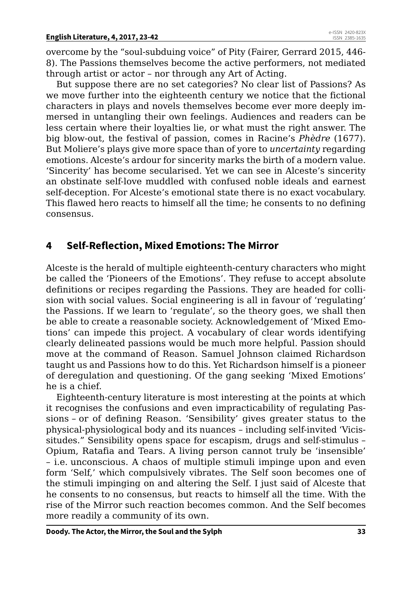overcome by the "soul-subduing voice" of Pity (Fairer, Gerrard 2015, 446- 8). The Passions themselves become the active performers, not mediated through artist or actor – nor through any Art of Acting.

But suppose there are no set categories? No clear list of Passions? As we move further into the eighteenth century we notice that the fictional characters in plays and novels themselves become ever more deeply immersed in untangling their own feelings. Audiences and readers can be less certain where their loyalties lie, or what must the right answer. The big blow-out, the festival of passion, comes in Racine's *Phèdre* (1677). But Moliere's plays give more space than of yore to *uncertainty* regarding emotions. Alceste's ardour for sincerity marks the birth of a modern value. 'Sincerity' has become secularised. Yet we can see in Alceste's sincerity an obstinate self-love muddled with confused noble ideals and earnest self-deception. For Alceste's emotional state there is no exact vocabulary. This flawed hero reacts to himself all the time; he consents to no defining consensus.

# **4 Self-Reflection, Mixed Emotions: The Mirror**

Alceste is the herald of multiple eighteenth-century characters who might be called the 'Pioneers of the Emotions'. They refuse to accept absolute definitions or recipes regarding the Passions. They are headed for collision with social values. Social engineering is all in favour of 'regulating' the Passions. If we learn to 'regulate', so the theory goes, we shall then be able to create a reasonable society. Acknowledgement of 'Mixed Emotions' can impede this project. A vocabulary of clear words identifying clearly delineated passions would be much more helpful. Passion should move at the command of Reason. Samuel Johnson claimed Richardson taught us and Passions how to do this. Yet Richardson himself is a pioneer of deregulation and questioning. Of the gang seeking 'Mixed Emotions' he is a chief.

Eighteenth-century literature is most interesting at the points at which it recognises the confusions and even impracticability of regulating Passions – or of defining Reason. 'Sensibility' gives greater status to the physical-physiological body and its nuances – including self-invited 'Vicissitudes." Sensibility opens space for escapism, drugs and self-stimulus – Opium, Ratafia and Tears. A living person cannot truly be 'insensible' – i.e. unconscious. A chaos of multiple stimuli impinge upon and even form 'Self,' which compulsively vibrates. The Self soon becomes one of the stimuli impinging on and altering the Self. I just said of Alceste that he consents to no consensus, but reacts to himself all the time. With the rise of the Mirror such reaction becomes common. And the Self becomes more readily a community of its own.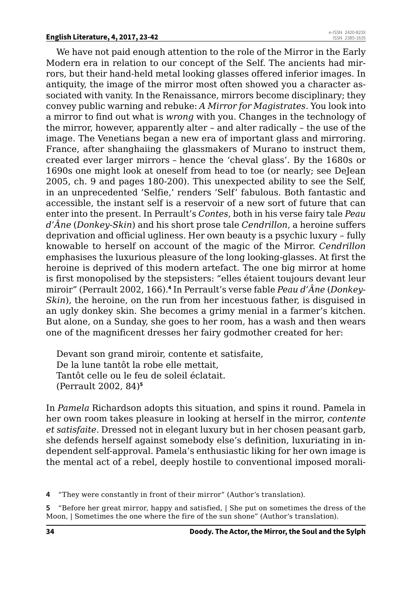We have not paid enough attention to the role of the Mirror in the Early Modern era in relation to our concept of the Self. The ancients had mirrors, but their hand-held metal looking glasses offered inferior images. In antiquity, the image of the mirror most often showed you a character associated with vanity. In the Renaissance, mirrors become disciplinary; they convey public warning and rebuke: *A Mirror for Magistrates*. You look into a mirror to find out what is *wrong* with you. Changes in the technology of the mirror, however, apparently alter – and alter radically – the use of the image. The Venetians began a new era of important glass and mirroring. France, after shanghaiing the glassmakers of Murano to instruct them, created ever larger mirrors – hence the 'cheval glass'. By the 1680s or 1690s one might look at oneself from head to toe (or nearly; see DeJean 2005, ch. 9 and pages 180-200). This unexpected ability to see the Self, in an unprecedented 'Selfie,' renders 'Self' fabulous. Both fantastic and accessible, the instant self is a reservoir of a new sort of future that can enter into the present. In Perrault's *Contes*, both in his verse fairy tale *Peau d'Âne* (*Donkey-Skin*) and his short prose tale *Cendrillon*, a heroine suffers deprivation and official ugliness. Her own beauty is a psychic luxury – fully knowable to herself on account of the magic of the Mirror. *Cendrillon* emphasises the luxurious pleasure of the long looking-glasses. At first the heroine is deprived of this modern artefact. The one big mirror at home is first monopolised by the stepsisters: "elles étaient toujours devant leur miroir" (Perrault 2002, 166).**<sup>4</sup>** In Perrault's verse fable *Peau d'Âne* (*Donkey-Skin*), the heroine, on the run from her incestuous father, is disguised in an ugly donkey skin. She becomes a grimy menial in a farmer's kitchen. But alone, on a Sunday, she goes to her room, has a wash and then wears one of the magnificent dresses her fairy godmother created for her:

Devant son grand miroir, contente et satisfaite, De la lune tantôt la robe elle mettait, Tantôt celle ou le feu de soleil éclatait. (Perrault 2002, 84)**<sup>5</sup>**

In *Pamela* Richardson adopts this situation, and spins it round. Pamela in her own room takes pleasure in looking at herself in the mirror, *contente et satisfaite*. Dressed not in elegant luxury but in her chosen peasant garb, she defends herself against somebody else's definition, luxuriating in independent self-approval. Pamela's enthusiastic liking for her own image is the mental act of a rebel, deeply hostile to conventional imposed morali-

**4** "They were constantly in front of their mirror" (Author's translation).

**5** "Before her great mirror, happy and satisfied, | She put on sometimes the dress of the Moon, | Sometimes the one where the fire of the sun shone" (Author's translation).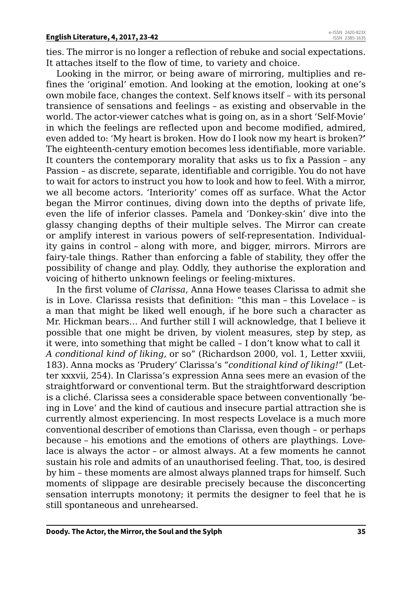ties. The mirror is no longer a reflection of rebuke and social expectations. It attaches itself to the flow of time, to variety and choice.

Looking in the mirror, or being aware of mirroring, multiplies and refines the 'original' emotion. And looking at the emotion, looking at one's own mobile face, changes the context. Self knows itself – with its personal transience of sensations and feelings – as existing and observable in the world. The actor-viewer catches what is going on, as in a short 'Self-Movie' in which the feelings are reflected upon and become modified, admired, even added to: 'My heart is broken. How do I look now my heart is broken?**'** The eighteenth-century emotion becomes less identifiable, more variable. It counters the contemporary morality that asks us to fix a Passion – any Passion – as discrete, separate, identifiable and corrigible. You do not have to wait for actors to instruct you how to look and how to feel. With a mirror, we all become actors. 'Interiority' comes off as surface. What the Actor began the Mirror continues, diving down into the depths of private life, even the life of inferior classes. Pamela and 'Donkey-skin' dive into the glassy changing depths of their multiple selves. The Mirror can create or amplify interest in various powers of self-representation. Individuality gains in control – along with more, and bigger, mirrors. Mirrors are fairy-tale things. Rather than enforcing a fable of stability, they offer the possibility of change and play. Oddly, they authorise the exploration and voicing of hitherto unknown feelings or feeling-mixtures.

In the first volume of *Clarissa*, Anna Howe teases Clarissa to admit she is in Love. Clarissa resists that definition: "this man – this Lovelace – is a man that might be liked well enough, if he bore such a character as Mr. Hickman bears… And further still I will acknowledge, that I believe it possible that one might be driven, by violent measures, step by step, as it were, into something that might be called – I don't know what to call it *A conditional kind of liking*, or so" (Richardson 2000, vol. 1, Letter xxviii, 183). Anna mocks as 'Prudery' Clarissa's "*conditional kind of liking!*" (Letter xxxvii, 254). In Clarissa's expression Anna sees mere an evasion of the straightforward or conventional term. But the straightforward description is a cliché. Clarissa sees a considerable space between conventionally 'being in Love' and the kind of cautious and insecure partial attraction she is currently almost experiencing. In most respects Lovelace is a much more conventional describer of emotions than Clarissa, even though – or perhaps because – his emotions and the emotions of others are playthings. Lovelace is always the actor – or almost always. At a few moments he cannot sustain his role and admits of an unauthorised feeling. That, too, is desired by him – these moments are almost always planned traps for himself. Such moments of slippage are desirable precisely because the disconcerting sensation interrupts monotony; it permits the designer to feel that he is still spontaneous and unrehearsed.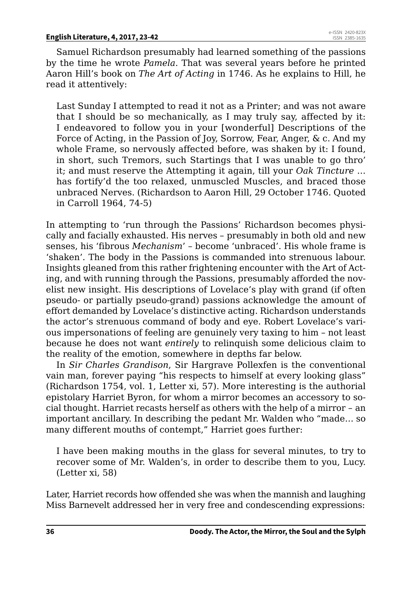Samuel Richardson presumably had learned something of the passions by the time he wrote *Pamela*. That was several years before he printed Aaron Hill's book on *The Art of Acting* in 1746. As he explains to Hill, he read it attentively:

Last Sunday I attempted to read it not as a Printer; and was not aware that I should be so mechanically, as I may truly say, affected by it: I endeavored to follow you in your [wonderful] Descriptions of the Force of Acting, in the Passion of Joy, Sorrow, Fear, Anger, & c. And my whole Frame, so nervously affected before, was shaken by it: I found, in short, such Tremors, such Startings that I was unable to go thro' it; and must reserve the Attempting it again, till your *Oak Tincture* … has fortify'd the too relaxed, unmuscled Muscles, and braced those unbraced Nerves. (Richardson to Aaron Hill, 29 October 1746. Quoted in Carroll 1964, 74-5)

In attempting to 'run through the Passions' Richardson becomes physically and facially exhausted. His nerves – presumably in both old and new senses, his 'fibrous *Mechanism*' – become 'unbraced'. His whole frame is 'shaken'. The body in the Passions is commanded into strenuous labour. Insights gleaned from this rather frightening encounter with the Art of Acting, and with running through the Passions, presumably afforded the novelist new insight. His descriptions of Lovelace's play with grand (if often pseudo- or partially pseudo-grand) passions acknowledge the amount of effort demanded by Lovelace's distinctive acting. Richardson understands the actor's strenuous command of body and eye. Robert Lovelace's various impersonations of feeling are genuinely very taxing to him – not least because he does not want *entirely* to relinquish some delicious claim to the reality of the emotion, somewhere in depths far below.

In *Sir Charles Grandison*, Sir Hargrave Pollexfen is the conventional vain man, forever paying "his respects to himself at every looking glass" (Richardson 1754, vol. 1, Letter xi, 57). More interesting is the authorial epistolary Harriet Byron, for whom a mirror becomes an accessory to social thought. Harriet recasts herself as others with the help of a mirror – an important ancillary. In describing the pedant Mr. Walden who "made… so many different mouths of contempt," Harriet goes further:

I have been making mouths in the glass for several minutes, to try to recover some of Mr. Walden's, in order to describe them to you, Lucy. (Letter xi, 58)

Later, Harriet records how offended she was when the mannish and laughing Miss Barnevelt addressed her in very free and condescending expressions: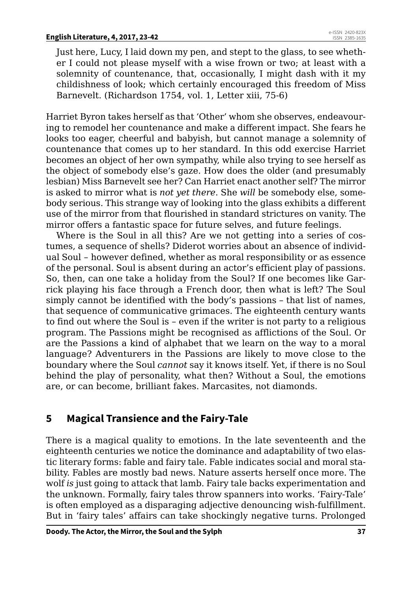Just here, Lucy, I laid down my pen, and stept to the glass, to see whether I could not please myself with a wise frown or two; at least with a solemnity of countenance, that, occasionally, I might dash with it my childishness of look; which certainly encouraged this freedom of Miss Barnevelt. (Richardson 1754, vol. 1, Letter xiii, 75-6)

Harriet Byron takes herself as that 'Other' whom she observes, endeavouring to remodel her countenance and make a different impact. She fears he looks too eager, cheerful and babyish, but cannot manage a solemnity of countenance that comes up to her standard. In this odd exercise Harriet becomes an object of her own sympathy, while also trying to see herself as the object of somebody else's gaze. How does the older (and presumably lesbian) Miss Barnevelt see her? Can Harriet enact another self? The mirror is asked to mirror what is *not yet there*. She *will* be somebody else, somebody serious. This strange way of looking into the glass exhibits a different use of the mirror from that flourished in standard strictures on vanity. The mirror offers a fantastic space for future selves, and future feelings.

Where is the Soul in all this? Are we not getting into a series of costumes, a sequence of shells? Diderot worries about an absence of individual Soul – however defined, whether as moral responsibility or as essence of the personal. Soul is absent during an actor's efficient play of passions. So, then, can one take a holiday from the Soul? If one becomes like Garrick playing his face through a French door, then what is left? The Soul simply cannot be identified with the body's passions – that list of names, that sequence of communicative grimaces. The eighteenth century wants to find out where the Soul is – even if the writer is not party to a religious program. The Passions might be recognised as afflictions of the Soul. Or are the Passions a kind of alphabet that we learn on the way to a moral language? Adventurers in the Passions are likely to move close to the boundary where the Soul *cannot* say it knows itself. Yet, if there is no Soul behind the play of personality, what then? Without a Soul, the emotions are, or can become, brilliant fakes. Marcasites, not diamonds.

# **5 Magical Transience and the Fairy-Tale**

There is a magical quality to emotions. In the late seventeenth and the eighteenth centuries we notice the dominance and adaptability of two elastic literary forms: fable and fairy tale. Fable indicates social and moral stability. Fables are mostly bad news. Nature asserts herself once more. The wolf *is* just going to attack that lamb. Fairy tale backs experimentation and the unknown. Formally, fairy tales throw spanners into works. 'Fairy-Tale' is often employed as a disparaging adjective denouncing wish-fulfillment. But in 'fairy tales' affairs can take shockingly negative turns. Prolonged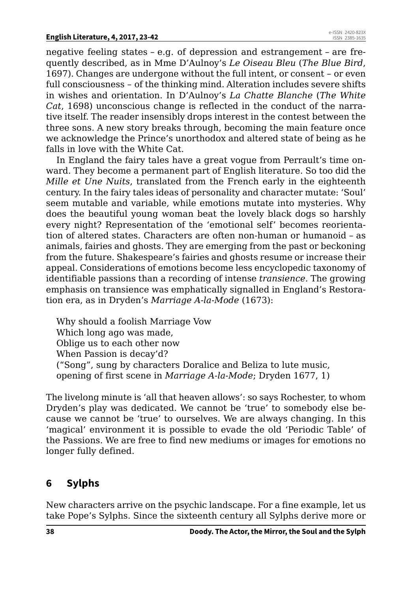negative feeling states – e.g. of depression and estrangement – are frequently described, as in Mme D'Aulnoy's *Le Oiseau Bleu* (*The Blue Bird*, 1697). Changes are undergone without the full intent, or consent – or even full consciousness – of the thinking mind. Alteration includes severe shifts in wishes and orientation. In D'Aulnoy's *La Chatte Blanche* (*The White Cat*, 1698) unconscious change is reflected in the conduct of the narrative itself. The reader insensibly drops interest in the contest between the three sons. A new story breaks through, becoming the main feature once we acknowledge the Prince's unorthodox and altered state of being as he falls in love with the White Cat.

In England the fairy tales have a great vogue from Perrault's time onward. They become a permanent part of English literature. So too did the *Mille et Une Nuits*, translated from the French early in the eighteenth century. In the fairy tales ideas of personality and character mutate: 'Soul' seem mutable and variable, while emotions mutate into mysteries. Why does the beautiful young woman beat the lovely black dogs so harshly every night? Representation of the 'emotional self' becomes reorientation of altered states. Characters are often non-human or humanoid – as animals, fairies and ghosts. They are emerging from the past or beckoning from the future. Shakespeare's fairies and ghosts resume or increase their appeal. Considerations of emotions become less encyclopedic taxonomy of identifiable passions than a recording of intense *transience.* The growing emphasis on transience was emphatically signalled in England's Restoration era, as in Dryden's *Marriage A-la-Mode* (1673):

Why should a foolish Marriage Vow Which long ago was made, Oblige us to each other now When Passion is decay'd? ("Song", sung by characters Doralice and Beliza to lute music, opening of first scene in *Marriage A-la-Mode*; Dryden 1677, 1)

The livelong minute is 'all that heaven allows': so says Rochester, to whom Dryden's play was dedicated. We cannot be 'true' to somebody else because we cannot be 'true' to ourselves. We are always changing. In this 'magical' environment it is possible to evade the old 'Periodic Table' of the Passions. We are free to find new mediums or images for emotions no longer fully defined.

# **6 Sylphs**

New characters arrive on the psychic landscape. For a fine example, let us take Pope's Sylphs. Since the sixteenth century all Sylphs derive more or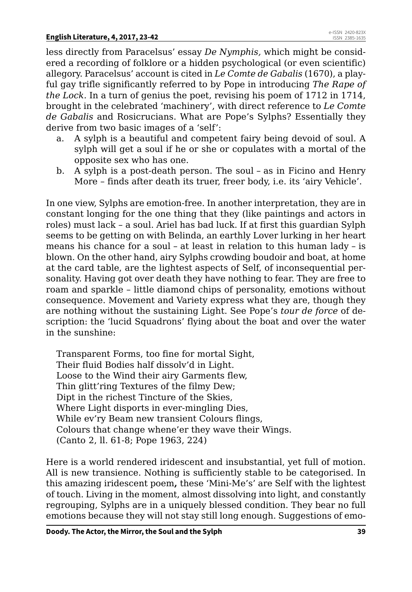less directly from Paracelsus' essay *De Nymphis,* which might be considered a recording of folklore or a hidden psychological (or even scientific) allegory. Paracelsus' account is cited in *Le Comte de Gabalis* (1670), a playful gay trifle significantly referred to by Pope in introducing *The Rape of the Lock.* In a turn of genius the poet, revising his poem of 1712 in 1714, brought in the celebrated 'machinery', with direct reference to *Le Comte de Gabalis* and Rosicrucians. What are Pope's Sylphs? Essentially they derive from two basic images of a 'self':

- a. A sylph is a beautiful and competent fairy being devoid of soul. A sylph will get a soul if he or she or copulates with a mortal of the opposite sex who has one.
- b. A sylph is a post-death person. The soul as in Ficino and Henry More – finds after death its truer, freer body, i.e. its 'airy Vehicle'.

In one view, Sylphs are emotion-free. In another interpretation, they are in constant longing for the one thing that they (like paintings and actors in roles) must lack – a soul. Ariel has bad luck. If at first this guardian Sylph seems to be getting on with Belinda, an earthly Lover lurking in her heart means his chance for a soul – at least in relation to this human lady – is blown. On the other hand, airy Sylphs crowding boudoir and boat, at home at the card table, are the lightest aspects of Self, of inconsequential personality. Having got over death they have nothing to fear. They are free to roam and sparkle – little diamond chips of personality, emotions without consequence. Movement and Variety express what they are, though they are nothing without the sustaining Light. See Pope's *tour de force* of description: the 'lucid Squadrons' flying about the boat and over the water in the sunshine:

Transparent Forms, too fine for mortal Sight, Their fluid Bodies half dissolv'd in Light. Loose to the Wind their airy Garments flew, Thin glitt'ring Textures of the filmy Dew; Dipt in the richest Tincture of the Skies, Where Light disports in ever-mingling Dies, While ev'ry Beam new transient Colours flings, Colours that change whene'er they wave their Wings. (Canto 2, ll. 61-8; Pope 1963, 224)

Here is a world rendered iridescent and insubstantial, yet full of motion. All is new transience. Nothing is sufficiently stable to be categorised. In this amazing iridescent poem**,** these 'Mini-Me's' are Self with the lightest of touch. Living in the moment, almost dissolving into light, and constantly regrouping, Sylphs are in a uniquely blessed condition. They bear no full emotions because they will not stay still long enough. Suggestions of emo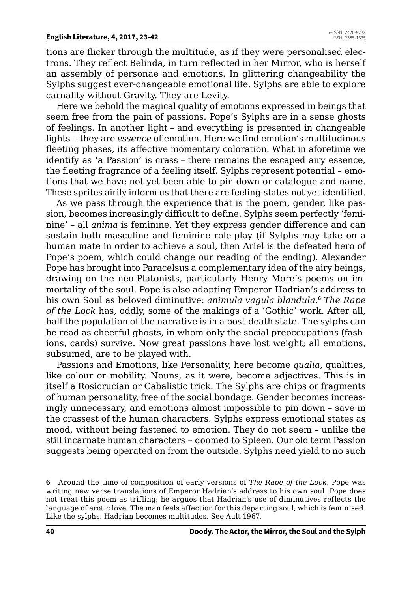tions are flicker through the multitude, as if they were personalised electrons. They reflect Belinda, in turn reflected in her Mirror, who is herself an assembly of personae and emotions. In glittering changeability the Sylphs suggest ever-changeable emotional life. Sylphs are able to explore carnality without Gravity. They are Levity.

Here we behold the magical quality of emotions expressed in beings that seem free from the pain of passions. Pope's Sylphs are in a sense ghosts of feelings. In another light – and everything is presented in changeable lights – they are *essence* of emotion. Here we find emotion's multitudinous fleeting phases, its affective momentary coloration. What in aforetime we identify as 'a Passion' is crass – there remains the escaped airy essence, the fleeting fragrance of a feeling itself. Sylphs represent potential – emotions that we have not yet been able to pin down or catalogue and name. These sprites airily inform us that there are feeling-states not yet identified.

As we pass through the experience that is the poem, gender, like passion, becomes increasingly difficult to define. Sylphs seem perfectly 'feminine' – all *anima* is feminine. Yet they express gender difference and can sustain both masculine and feminine role-play (if Sylphs may take on a human mate in order to achieve a soul, then Ariel is the defeated hero of Pope's poem, which could change our reading of the ending). Alexander Pope has brought into Paracelsus a complementary idea of the airy beings, drawing on the neo-Platonists, particularly Henry More's poems on immortality of the soul. Pope is also adapting Emperor Hadrian's address to his own Soul as beloved diminutive: *animula vagula blandula*. **<sup>6</sup>** *The Rape of the Lock* has, oddly, some of the makings of a 'Gothic' work. After all, half the population of the narrative is in a post-death state. The sylphs can be read as cheerful ghosts, in whom only the social preoccupations (fashions, cards) survive. Now great passions have lost weight; all emotions, subsumed, are to be played with.

Passions and Emotions, like Personality, here become *qualia*, qualities, like colour or mobility. Nouns, as it were, become adjectives. This is in itself a Rosicrucian or Cabalistic trick. The Sylphs are chips or fragments of human personality, free of the social bondage. Gender becomes increasingly unnecessary, and emotions almost impossible to pin down – save in the crassest of the human characters. Sylphs express emotional states as mood, without being fastened to emotion. They do not seem – unlike the still incarnate human characters – doomed to Spleen. Our old term Passion suggests being operated on from the outside. Sylphs need yield to no such

**<sup>6</sup>** Around the time of composition of early versions of *The Rape of the Lock*, Pope was writing new verse translations of Emperor Hadrian's address to his own soul. Pope does not treat this poem as trifling; he argues that Hadrian's use of diminutives reflects the language of erotic love. The man feels affection for this departing soul, which is feminised. Like the sylphs, Hadrian becomes multitudes. See Ault 1967.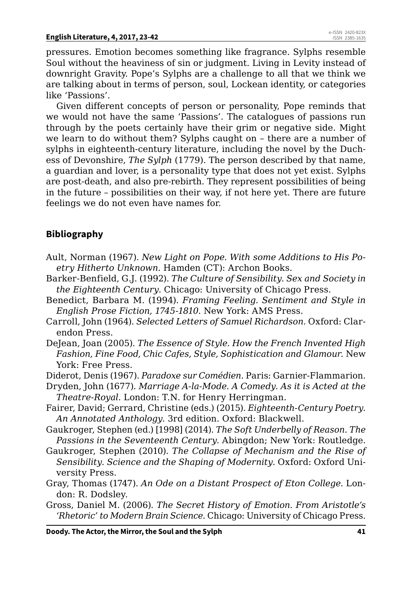pressures. Emotion becomes something like fragrance. Sylphs resemble Soul without the heaviness of sin or judgment. Living in Levity instead of downright Gravity. Pope's Sylphs are a challenge to all that we think we are talking about in terms of person, soul, Lockean identity, or categories like 'Passions'.

Given different concepts of person or personality, Pope reminds that we would not have the same 'Passions'. The catalogues of passions run through by the poets certainly have their grim or negative side. Might we learn to do without them? Sylphs caught on – there are a number of sylphs in eighteenth-century literature, including the novel by the Duchess of Devonshire, *The Sylph* (1779). The person described by that name, a guardian and lover, is a personality type that does not yet exist. Sylphs are post-death, and also pre-rebirth. They represent possibilities of being in the future – possibilities on their way, if not here yet. There are future feelings we do not even have names for.

## **Bibliography**

- Ault, Norman (1967). *New Light on Pope. With some Additions to His Poetry Hitherto Unknown.* Hamden (CT): Archon Books.
- Barker-Benfield, G.J. (1992). *The Culture of Sensibility. Sex and Society in the Eighteenth Century*. Chicago: University of Chicago Press.
- Benedict, Barbara M. (1994). *Framing Feeling. Sentiment and Style in English Prose Fiction, 1745-1810*. New York: AMS Press.
- Carroll, John (1964). *Selected Letters of Samuel Richardson.* Oxford: Clarendon Press.
- DeJean, Joan (2005). *The Essence of Style. How the French Invented High Fashion, Fine Food, Chic Cafes, Style, Sophistication and Glamour*. New York: Free Press.
- Diderot, Denis (1967). *Paradoxe sur Comédien*. Paris: Garnier-Flammarion.
- Dryden, John (1677). *Marriage A-la-Mode. A Comedy. As it is Acted at the Theatre-Royal*. London: T.N. for Henry Herringman.
- Fairer, David; Gerrard, Christine (eds.) (2015). *Eighteenth-Century Poetry. An Annotated Anthology*. 3rd edition. Oxford: Blackwell.
- Gaukroger, Stephen (ed.) [1998] (2014). *The Soft Underbelly of Reason. The Passions in the Seventeenth Century*. Abingdon; New York: Routledge.
- Gaukroger, Stephen (2010). *The Collapse of Mechanism and the Rise of Sensibility. Science and the Shaping of Modernity*. Oxford: Oxford University Press.
- Gray, Thomas (1747). *An Ode on a Distant Prospect of Eton College*. London: R. Dodsley.
- Gross, Daniel M. (2006). *The Secret History of Emotion. From Aristotle's 'Rhetoric' to Modern Brain Science*. Chicago: University of Chicago Press.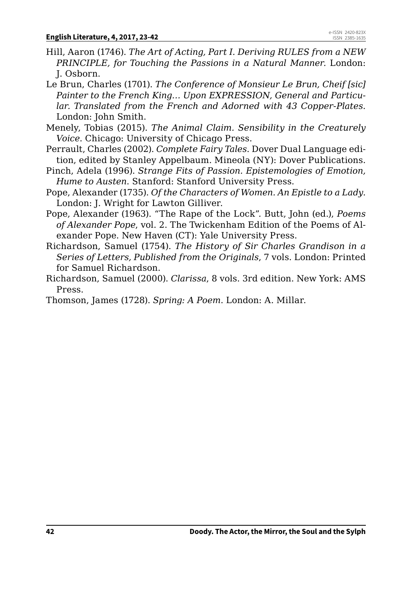- Hill, Aaron (1746). *The Art of Acting, Part I. Deriving RULES from a NEW PRINCIPLE, for Touching the Passions in a Natural Manner.* London: J. Osborn.
- Le Brun, Charles (1701). *The Conference of Monsieur Le Brun, Cheif [sic] Painter to the French King… Upon EXPRESSION, General and Particular. Translated from the French and Adorned with 43 Copper-Plates*. London: John Smith.
- Menely, Tobias (2015). *The Animal Claim. Sensibility in the Creaturely Voice*. Chicago: University of Chicago Press.
- Perrault, Charles (2002). *Complete Fairy Tales*. Dover Dual Language edition, edited by Stanley Appelbaum. Mineola (NY): Dover Publications.
- Pinch, Adela (1996). *Strange Fits of Passion. Epistemologies of Emotion, Hume to Austen*. Stanford: Stanford University Press.
- Pope, Alexander (1735). *Of the Characters of Women. An Epistle to a Lady*. London: J. Wright for Lawton Gilliver.
- Pope, Alexander (1963). "The Rape of the Lock"*.* Butt, John (ed.), *Poems of Alexander Pope*, vol. 2. The Twickenham Edition of the Poems of Alexander Pope. New Haven (CT): Yale University Press.
- Richardson, Samuel (1754). *The History of Sir Charles Grandison in a Series of Letters, Published from the Originals*, 7 vols. London: Printed for Samuel Richardson.
- Richardson, Samuel (2000). *Clarissa*, 8 vols. 3rd edition. New York: AMS Press.

Thomson, James (1728). *Spring: A Poem*. London: A. Millar.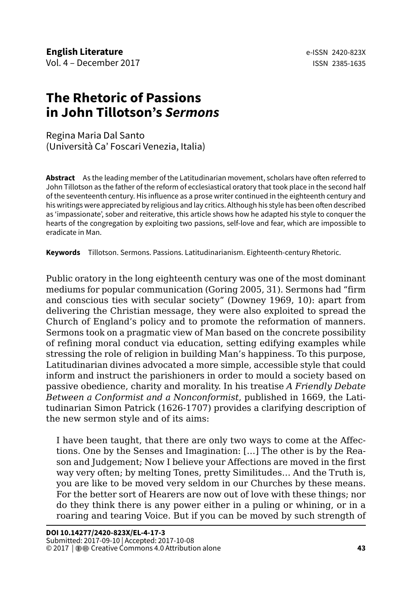# **The Rhetoric of Passions in John Tillotson's** *Sermons*

Regina Maria Dal Santo (Università Ca' Foscari Venezia, Italia)

**Abstract** As the leading member of the Latitudinarian movement, scholars have often referred to John Tillotson as the father of the reform of ecclesiastical oratory that took place in the second half of the seventeenth century. His influence as a prose writer continued in the eighteenth century and his writings were appreciated by religious and lay critics. Although his style has been often described as 'impassionate', sober and reiterative, this article shows how he adapted his style to conquer the hearts of the congregation by exploiting two passions, self-love and fear, which are impossible to eradicate in Man.

**Keywords** Tillotson. Sermons. Passions. Latitudinarianism. Eighteenth-century Rhetoric.

Public oratory in the long eighteenth century was one of the most dominant mediums for popular communication (Goring 2005, 31). Sermons had "firm and conscious ties with secular society" (Downey 1969, 10): apart from delivering the Christian message, they were also exploited to spread the Church of England's policy and to promote the reformation of manners. Sermons took on a pragmatic view of Man based on the concrete possibility of refining moral conduct via education, setting edifying examples while stressing the role of religion in building Man's happiness. To this purpose, Latitudinarian divines advocated a more simple, accessible style that could inform and instruct the parishioners in order to mould a society based on passive obedience, charity and morality. In his treatise *A Friendly Debate Between a Conformist and a Nonconformist*, published in 1669, the Latitudinarian Simon Patrick (1626-1707) provides a clarifying description of the new sermon style and of its aims:

I have been taught, that there are only two ways to come at the Affections. One by the Senses and Imagination: […] The other is by the Reason and Judgement; Now I believe your Affections are moved in the first way very often; by melting Tones, pretty Similitudes… And the Truth is, you are like to be moved very seldom in our Churches by these means. For the better sort of Hearers are now out of love with these things; nor do they think there is any power either in a puling or whining, or in a roaring and tearing Voice. But if you can be moved by such strength of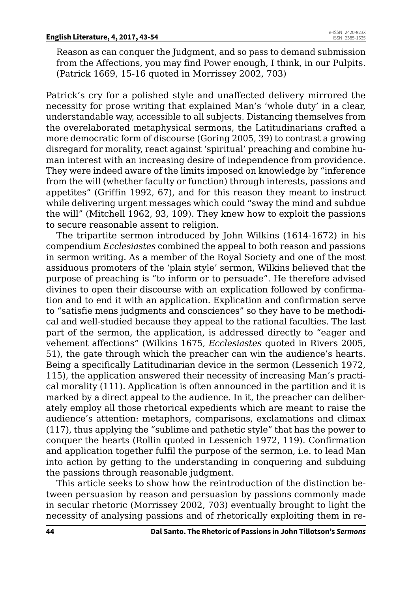Reason as can conquer the Judgment, and so pass to demand submission from the Affections, you may find Power enough, I think, in our Pulpits. (Patrick 1669, 15-16 quoted in Morrissey 2002, 703)

Patrick's cry for a polished style and unaffected delivery mirrored the necessity for prose writing that explained Man's 'whole duty' in a clear, understandable way, accessible to all subjects. Distancing themselves from the overelaborated metaphysical sermons, the Latitudinarians crafted a more democratic form of discourse (Goring 2005, 39) to contrast a growing disregard for morality, react against 'spiritual' preaching and combine human interest with an increasing desire of independence from providence. They were indeed aware of the limits imposed on knowledge by "inference from the will (whether faculty or function) through interests, passions and appetites" (Griffin 1992, 67), and for this reason they meant to instruct while delivering urgent messages which could "sway the mind and subdue the will" (Mitchell 1962, 93, 109). They knew how to exploit the passions to secure reasonable assent to religion.

The tripartite sermon introduced by John Wilkins (1614-1672) in his compendium *Ecclesiastes* combined the appeal to both reason and passions in sermon writing. As a member of the Royal Society and one of the most assiduous promoters of the 'plain style' sermon, Wilkins believed that the purpose of preaching is "to inform or to persuade". He therefore advised divines to open their discourse with an explication followed by confirmation and to end it with an application. Explication and confirmation serve to "satisfie mens judgments and consciences" so they have to be methodical and well-studied because they appeal to the rational faculties. The last part of the sermon, the application, is addressed directly to "eager and vehement affections" (Wilkins 1675, *Ecclesiastes* quoted in Rivers 2005, 51), the gate through which the preacher can win the audience's hearts. Being a specifically Latitudinarian device in the sermon (Lessenich 1972, 115), the application answered their necessity of increasing Man's practical morality (111). Application is often announced in the partition and it is marked by a direct appeal to the audience. In it, the preacher can deliberately employ all those rhetorical expedients which are meant to raise the audience's attention: metaphors, comparisons, exclamations and climax (117), thus applying the "sublime and pathetic style" that has the power to conquer the hearts (Rollin quoted in Lessenich 1972, 119). Confirmation and application together fulfil the purpose of the sermon, i.e. to lead Man into action by getting to the understanding in conquering and subduing the passions through reasonable judgment.

This article seeks to show how the reintroduction of the distinction between persuasion by reason and persuasion by passions commonly made in secular rhetoric (Morrissey 2002, 703) eventually brought to light the necessity of analysing passions and of rhetorically exploiting them in re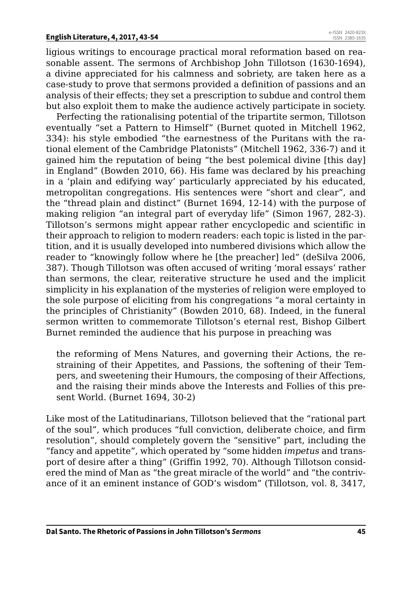ligious writings to encourage practical moral reformation based on reasonable assent. The sermons of Archbishop John Tillotson (1630-1694), a divine appreciated for his calmness and sobriety, are taken here as a case-study to prove that sermons provided a definition of passions and an analysis of their effects; they set a prescription to subdue and control them but also exploit them to make the audience actively participate in society.

Perfecting the rationalising potential of the tripartite sermon, Tillotson eventually "set a Pattern to Himself" (Burnet quoted in Mitchell 1962, 334): his style embodied "the earnestness of the Puritans with the rational element of the Cambridge Platonists" (Mitchell 1962, 336-7) and it gained him the reputation of being "the best polemical divine [this day] in England" (Bowden 2010, 66). His fame was declared by his preaching in a 'plain and edifying way' particularly appreciated by his educated, metropolitan congregations. His sentences were "short and clear", and the "thread plain and distinct" (Burnet 1694, 12-14) with the purpose of making religion "an integral part of everyday life" (Simon 1967, 282-3). Tillotson's sermons might appear rather encyclopedic and scientific in their approach to religion to modern readers: each topic is listed in the partition, and it is usually developed into numbered divisions which allow the reader to "knowingly follow where he [the preacher] led" (deSilva 2006, 387). Though Tillotson was often accused of writing 'moral essays' rather than sermons, the clear, reiterative structure he used and the implicit simplicity in his explanation of the mysteries of religion were employed to the sole purpose of eliciting from his congregations "a moral certainty in the principles of Christianity" (Bowden 2010, 68). Indeed, in the funeral sermon written to commemorate Tillotson's eternal rest, Bishop Gilbert Burnet reminded the audience that his purpose in preaching was

the reforming of Mens Natures, and governing their Actions, the restraining of their Appetites, and Passions, the softening of their Tempers, and sweetening their Humours, the composing of their Affections, and the raising their minds above the Interests and Follies of this present World. (Burnet 1694, 30-2)

Like most of the Latitudinarians, Tillotson believed that the "rational part of the soul", which produces "full conviction, deliberate choice, and firm resolution", should completely govern the "sensitive" part, including the "fancy and appetite", which operated by "some hidden *impetus* and transport of desire after a thing" (Griffin 1992, 70). Although Tillotson considered the mind of Man as "the great miracle of the world" and "the contrivance of it an eminent instance of GOD's wisdom" (Tillotson, vol. 8, 3417,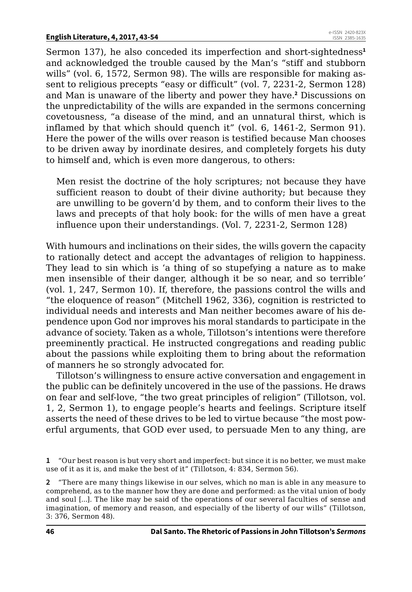Sermon 137), he also conceded its imperfection and short-sightedness**<sup>1</sup>** and acknowledged the trouble caused by the Man's "stiff and stubborn wills" (vol. 6, 1572, Sermon 98). The wills are responsible for making assent to religious precepts "easy or difficult" (vol. 7, 2231-2, Sermon 128) and Man is unaware of the liberty and power they have.**<sup>2</sup>** Discussions on the unpredictability of the wills are expanded in the sermons concerning covetousness, "a disease of the mind, and an unnatural thirst, which is inflamed by that which should quench it" (vol. 6, 1461-2, Sermon 91). Here the power of the wills over reason is testified because Man chooses to be driven away by inordinate desires, and completely forgets his duty to himself and, which is even more dangerous, to others:

Men resist the doctrine of the holy scriptures; not because they have sufficient reason to doubt of their divine authority; but because they are unwilling to be govern'd by them, and to conform their lives to the laws and precepts of that holy book: for the wills of men have a great influence upon their understandings. (Vol. 7, 2231-2, Sermon 128)

With humours and inclinations on their sides, the wills govern the capacity to rationally detect and accept the advantages of religion to happiness. They lead to sin which is 'a thing of so stupefying a nature as to make men insensible of their danger, although it be so near, and so terrible' (vol. 1, 247, Sermon 10). If, therefore, the passions control the wills and "the eloquence of reason" (Mitchell 1962, 336), cognition is restricted to individual needs and interests and Man neither becomes aware of his dependence upon God nor improves his moral standards to participate in the advance of society. Taken as a whole, Tillotson's intentions were therefore preeminently practical. He instructed congregations and reading public about the passions while exploiting them to bring about the reformation of manners he so strongly advocated for.

Tillotson's willingness to ensure active conversation and engagement in the public can be definitely uncovered in the use of the passions. He draws on fear and self-love, "the two great principles of religion" (Tillotson, vol. 1, 2, Sermon 1), to engage people's hearts and feelings. Scripture itself asserts the need of these drives to be led to virtue because "the most powerful arguments, that GOD ever used, to persuade Men to any thing, are

**<sup>1</sup>** "Our best reason is but very short and imperfect: but since it is no better, we must make use of it as it is, and make the best of it" (Tillotson, 4: 834, Sermon 56).

**<sup>2</sup>** "There are many things likewise in our selves, which no man is able in any measure to comprehend, as to the manner how they are done and performed: as the vital union of body and soul [...]. The like may be said of the operations of our several faculties of sense and imagination, of memory and reason, and especially of the liberty of our wills" (Tillotson, 3: 376, Sermon 48).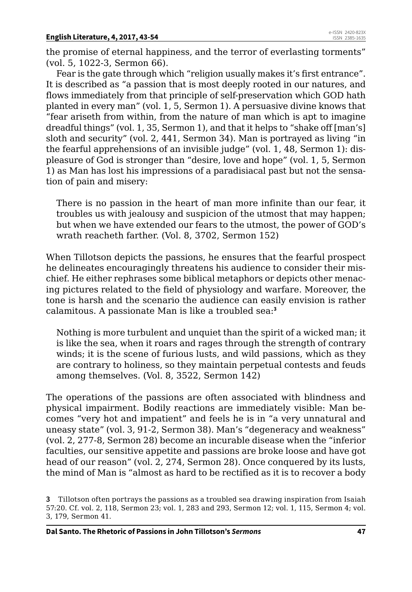the promise of eternal happiness, and the terror of everlasting torments" (vol. 5, 1022-3, Sermon 66).

Fear is the gate through which "religion usually makes it's first entrance". It is described as "a passion that is most deeply rooted in our natures, and flows immediately from that principle of self-preservation which GOD hath planted in every man" (vol. 1, 5, Sermon 1). A persuasive divine knows that "fear ariseth from within, from the nature of man which is apt to imagine dreadful things" (vol. 1, 35, Sermon 1), and that it helps to "shake off [man's] sloth and security" (vol. 2, 441, Sermon 34). Man is portrayed as living "in the fearful apprehensions of an invisible judge" (vol. 1, 48, Sermon 1): displeasure of God is stronger than "desire, love and hope" (vol. 1, 5, Sermon 1) as Man has lost his impressions of a paradisiacal past but not the sensation of pain and misery:

There is no passion in the heart of man more infinite than our fear, it troubles us with jealousy and suspicion of the utmost that may happen; but when we have extended our fears to the utmost, the power of GOD's wrath reacheth farther. (Vol. 8, 3702, Sermon 152)

When Tillotson depicts the passions, he ensures that the fearful prospect he delineates encouragingly threatens his audience to consider their mischief. He either rephrases some biblical metaphors or depicts other menacing pictures related to the field of physiology and warfare. Moreover, the tone is harsh and the scenario the audience can easily envision is rather calamitous. A passionate Man is like a troubled sea:**<sup>3</sup>**

Nothing is more turbulent and unquiet than the spirit of a wicked man; it is like the sea, when it roars and rages through the strength of contrary winds; it is the scene of furious lusts, and wild passions, which as they are contrary to holiness, so they maintain perpetual contests and feuds among themselves. (Vol. 8, 3522, Sermon 142)

The operations of the passions are often associated with blindness and physical impairment. Bodily reactions are immediately visible: Man becomes "very hot and impatient" and feels he is in "a very unnatural and uneasy state" (vol. 3, 91-2, Sermon 38). Man's "degeneracy and weakness" (vol. 2, 277-8, Sermon 28) become an incurable disease when the "inferior faculties, our sensitive appetite and passions are broke loose and have got head of our reason" (vol. 2, 274, Sermon 28). Once conquered by its lusts, the mind of Man is "almost as hard to be rectified as it is to recover a body

**<sup>3</sup>** Tillotson often portrays the passions as a troubled sea drawing inspiration from Isaiah 57:20. Cf. vol. 2, 118, Sermon 23; vol. 1, 283 and 293, Sermon 12; vol. 1, 115, Sermon 4; vol. 3, 179, Sermon 41.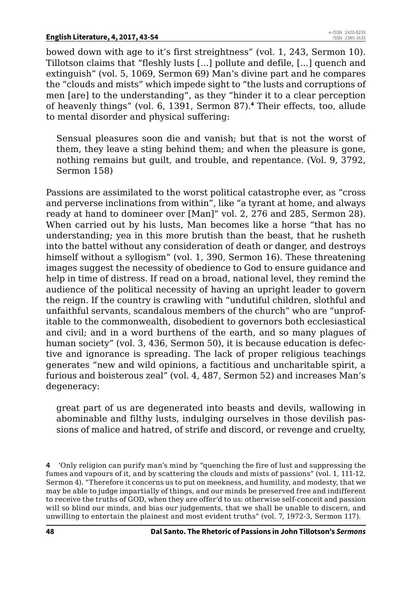bowed down with age to it's first streightness" (vol. 1, 243, Sermon 10). Tillotson claims that "fleshly lusts [...] pollute and defile, [...] quench and extinguish" (vol. 5, 1069, Sermon 69) Man's divine part and he compares the "clouds and mists" which impede sight to "the lusts and corruptions of men [are] to the understanding", as they "hinder it to a clear perception of heavenly things" (vol. 6, 1391, Sermon 87).**<sup>4</sup>** Their effects, too, allude to mental disorder and physical suffering:

Sensual pleasures soon die and vanish; but that is not the worst of them, they leave a sting behind them; and when the pleasure is gone, nothing remains but guilt, and trouble, and repentance. (Vol. 9, 3792, Sermon 158)

Passions are assimilated to the worst political catastrophe ever, as "cross and perverse inclinations from within", like "a tyrant at home, and always ready at hand to domineer over [Man]" vol. 2, 276 and 285, Sermon 28). When carried out by his lusts, Man becomes like a horse "that has no understanding; yea in this more brutish than the beast, that he rusheth into the battel without any consideration of death or danger, and destroys himself without a syllogism" (vol. 1, 390, Sermon 16). These threatening images suggest the necessity of obedience to God to ensure guidance and help in time of distress. If read on a broad, national level, they remind the audience of the political necessity of having an upright leader to govern the reign. If the country is crawling with "undutiful children, slothful and unfaithful servants, scandalous members of the church" who are "unprofitable to the commonwealth, disobedient to governors both ecclesiastical and civil; and in a word burthens of the earth, and so many plagues of human society" (vol. 3, 436, Sermon 50), it is because education is defective and ignorance is spreading. The lack of proper religious teachings generates "new and wild opinions, a factitious and uncharitable spirit, a furious and boisterous zeal" (vol. 4, 487, Sermon 52) and increases Man's degeneracy:

great part of us are degenerated into beasts and devils, wallowing in abominable and filthy lusts, indulging ourselves in those devilish passions of malice and hatred, of strife and discord, or revenge and cruelty,

**<sup>4</sup>** 'Only religion can purify man's mind by "quenching the fire of lust and suppressing the fumes and vapours of it, and by scattering the clouds and mists of passions" (vol. 1, 111-12, Sermon 4). "Therefore it concerns us to put on meekness, and humility, and modesty, that we may be able to judge impartially of things, and our minds be preserved free and indifferent to receive the truths of GOD, when they are offer'd to us: otherwise self-conceit and passion will so blind our minds, and bias our judgements, that we shall be unable to discern, and unwilling to entertain the plainest and most evident truths" (vol. 7, 1972-3, Sermon 117).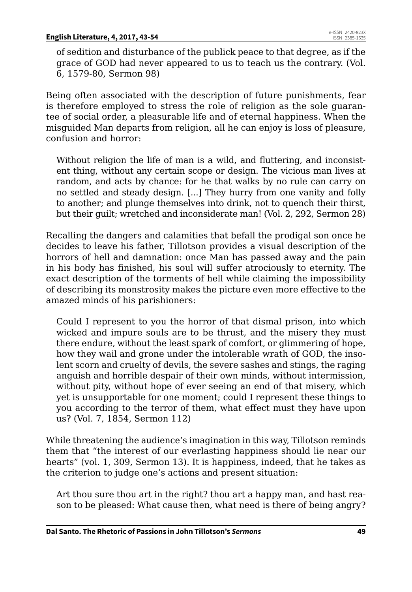of sedition and disturbance of the publick peace to that degree, as if the grace of GOD had never appeared to us to teach us the contrary. (Vol. 6, 1579-80, Sermon 98)

Being often associated with the description of future punishments, fear is therefore employed to stress the role of religion as the sole guarantee of social order, a pleasurable life and of eternal happiness. When the misguided Man departs from religion, all he can enjoy is loss of pleasure, confusion and horror:

Without religion the life of man is a wild, and fluttering, and inconsistent thing, without any certain scope or design. The vicious man lives at random, and acts by chance: for he that walks by no rule can carry on no settled and steady design. [...] They hurry from one vanity and folly to another; and plunge themselves into drink, not to quench their thirst, but their guilt; wretched and inconsiderate man! (Vol. 2, 292, Sermon 28)

Recalling the dangers and calamities that befall the prodigal son once he decides to leave his father, Tillotson provides a visual description of the horrors of hell and damnation: once Man has passed away and the pain in his body has finished, his soul will suffer atrociously to eternity. The exact description of the torments of hell while claiming the impossibility of describing its monstrosity makes the picture even more effective to the amazed minds of his parishioners:

Could I represent to you the horror of that dismal prison, into which wicked and impure souls are to be thrust, and the misery they must there endure, without the least spark of comfort, or glimmering of hope, how they wail and grone under the intolerable wrath of GOD, the insolent scorn and cruelty of devils, the severe sashes and stings, the raging anguish and horrible despair of their own minds, without intermission, without pity, without hope of ever seeing an end of that misery, which yet is unsupportable for one moment; could I represent these things to you according to the terror of them, what effect must they have upon us? (Vol. 7, 1854, Sermon 112)

While threatening the audience's imagination in this way, Tillotson reminds them that "the interest of our everlasting happiness should lie near our hearts" (vol. 1, 309, Sermon 13). It is happiness, indeed, that he takes as the criterion to judge one's actions and present situation:

Art thou sure thou art in the right? thou art a happy man, and hast reason to be pleased: What cause then, what need is there of being angry?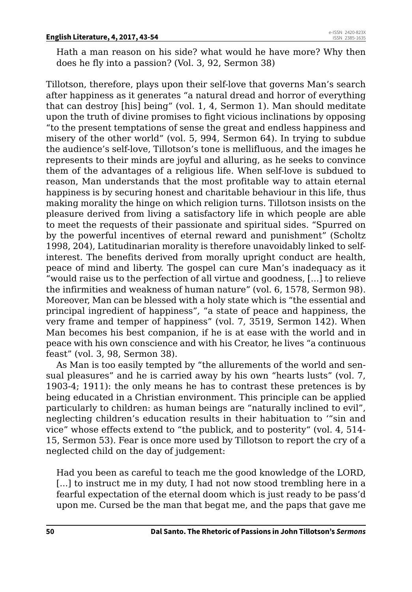Hath a man reason on his side? what would he have more? Why then does he fly into a passion? (Vol. 3, 92, Sermon 38)

Tillotson, therefore, plays upon their self-love that governs Man's search after happiness as it generates "a natural dread and horror of everything that can destroy [his] being" (vol. 1, 4, Sermon 1). Man should meditate upon the truth of divine promises to fight vicious inclinations by opposing "to the present temptations of sense the great and endless happiness and misery of the other world" (vol. 5, 994, Sermon 64). In trying to subdue the audience's self-love, Tillotson's tone is mellifluous, and the images he represents to their minds are joyful and alluring, as he seeks to convince them of the advantages of a religious life. When self-love is subdued to reason, Man understands that the most profitable way to attain eternal happiness is by securing honest and charitable behaviour in this life, thus making morality the hinge on which religion turns. Tillotson insists on the pleasure derived from living a satisfactory life in which people are able to meet the requests of their passionate and spiritual sides. "Spurred on by the powerful incentives of eternal reward and punishment" (Scholtz 1998, 204), Latitudinarian morality is therefore unavoidably linked to selfinterest. The benefits derived from morally upright conduct are health, peace of mind and liberty. The gospel can cure Man's inadequacy as it "would raise us to the perfection of all virtue and goodness, [...] to relieve the infirmities and weakness of human nature" (vol. 6, 1578, Sermon 98). Moreover, Man can be blessed with a holy state which is "the essential and principal ingredient of happiness", "a state of peace and happiness, the very frame and temper of happiness" (vol. 7, 3519, Sermon 142). When Man becomes his best companion, if he is at ease with the world and in peace with his own conscience and with his Creator, he lives "a continuous feast" (vol. 3, 98, Sermon 38).

As Man is too easily tempted by "the allurements of the world and sensual pleasures" and he is carried away by his own "hearts lusts" (vol. 7, 1903-4; 1911): the only means he has to contrast these pretences is by being educated in a Christian environment. This principle can be applied particularly to children: as human beings are "naturally inclined to evil", neglecting children's education results in their habituation to '"sin and vice" whose effects extend to "the publick, and to posterity" (vol. 4, 514- 15, Sermon 53). Fear is once more used by Tillotson to report the cry of a neglected child on the day of judgement:

Had you been as careful to teach me the good knowledge of the LORD, [...] to instruct me in my duty, I had not now stood trembling here in a fearful expectation of the eternal doom which is just ready to be pass'd upon me. Cursed be the man that begat me, and the paps that gave me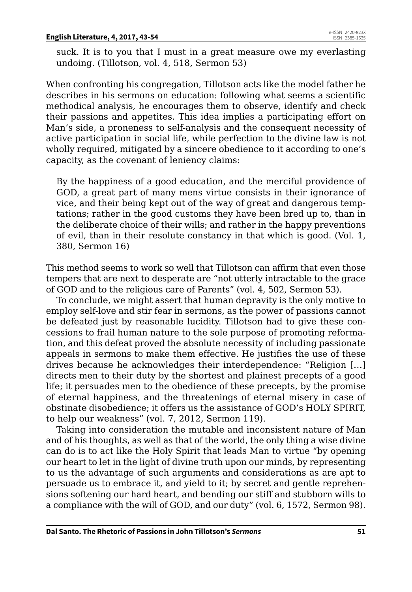suck. It is to you that I must in a great measure owe my everlasting undoing. (Tillotson, vol. 4, 518, Sermon 53)

When confronting his congregation, Tillotson acts like the model father he describes in his sermons on education: following what seems a scientific methodical analysis, he encourages them to observe, identify and check their passions and appetites. This idea implies a participating effort on Man's side, a proneness to self-analysis and the consequent necessity of active participation in social life, while perfection to the divine law is not wholly required, mitigated by a sincere obedience to it according to one's capacity, as the covenant of leniency claims:

By the happiness of a good education, and the merciful providence of GOD, a great part of many mens virtue consists in their ignorance of vice, and their being kept out of the way of great and dangerous temptations; rather in the good customs they have been bred up to, than in the deliberate choice of their wills; and rather in the happy preventions of evil, than in their resolute constancy in that which is good. (Vol. 1, 380, Sermon 16)

This method seems to work so well that Tillotson can affirm that even those tempers that are next to desperate are "not utterly intractable to the grace of GOD and to the religious care of Parents" (vol. 4, 502, Sermon 53).

To conclude, we might assert that human depravity is the only motive to employ self-love and stir fear in sermons, as the power of passions cannot be defeated just by reasonable lucidity. Tillotson had to give these concessions to frail human nature to the sole purpose of promoting reformation, and this defeat proved the absolute necessity of including passionate appeals in sermons to make them effective. He justifies the use of these drives because he acknowledges their interdependence: "Religion […] directs men to their duty by the shortest and plainest precepts of a good life; it persuades men to the obedience of these precepts, by the promise of eternal happiness, and the threatenings of eternal misery in case of obstinate disobedience; it offers us the assistance of GOD's HOLY SPIRIT, to help our weakness" (vol. 7, 2012, Sermon 119).

Taking into consideration the mutable and inconsistent nature of Man and of his thoughts, as well as that of the world, the only thing a wise divine can do is to act like the Holy Spirit that leads Man to virtue "by opening our heart to let in the light of divine truth upon our minds, by representing to us the advantage of such arguments and considerations as are apt to persuade us to embrace it, and yield to it; by secret and gentle reprehensions softening our hard heart, and bending our stiff and stubborn wills to a compliance with the will of GOD, and our duty" (vol. 6, 1572, Sermon 98).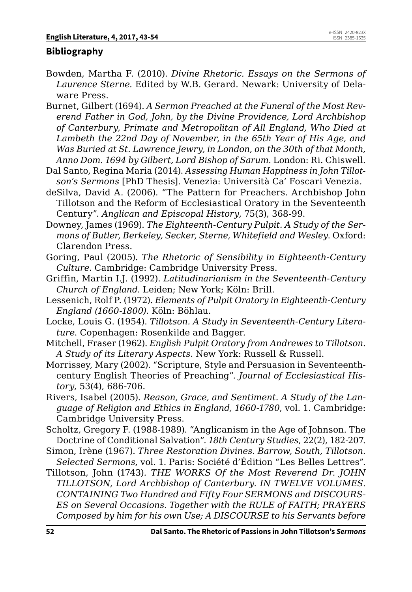### **Bibliography**

- Bowden, Martha F. (2010). *Divine Rhetoric. Essays on the Sermons of Laurence Sterne*. Edited by W.B. Gerard. Newark: University of Delaware Press.
- Burnet, Gilbert (1694). *A Sermon Preached at the Funeral of the Most Reverend Father in God, John, by the Divine Providence, Lord Archbishop of Canterbury, Primate and Metropolitan of All England, Who Died at Lambeth the 22nd Day of November, in the 65th Year of His Age, and Was Buried at St. Lawrence Jewry, in London, on the 30th of that Month, Anno Dom. 1694 by Gilbert, Lord Bishop of Sarum*. London: Ri. Chiswell.
- Dal Santo, Regina Maria (2014). *Assessing Human Happiness in John Tillotson's Sermons* [PhD Thesis]. Venezia: Università Ca' Foscari Venezia.
- deSilva, David A. (2006). "The Pattern for Preachers. Archbishop John Tillotson and the Reform of Ecclesiastical Oratory in the Seventeenth Century". *Anglican and Episcopal History*, 75(3), 368-99.
- Downey, James (1969). *The Eighteenth-Century Pulpit. A Study of the Sermons of Butler, Berkeley, Secker, Sterne, Whitefield and Wesley*. Oxford: Clarendon Press.
- Goring, Paul (2005). *The Rhetoric of Sensibility in Eighteenth-Century Culture*. Cambridge: Cambridge University Press.
- Griffin, Martin I.J. (1992). *Latitudinarianism in the Seventeenth-Century Church of England*. Leiden; New York; Köln: Brill.
- Lessenich, Rolf P. (1972). *Elements of Pulpit Oratory in Eighteenth-Century England (1660-1800)*. Köln: Böhlau.
- Locke, Louis G. (1954). *Tillotson. A Study in Seventeenth-Century Literature*. Copenhagen: Rosenkilde and Bagger.
- Mitchell, Fraser (1962). *English Pulpit Oratory from Andrewes to Tillotson. A Study of its Literary Aspects*. New York: Russell & Russell.
- Morrissey, Mary (2002). "Scripture, Style and Persuasion in Seventeenthcentury English Theories of Preaching". *Journal of Ecclesiastical History*, 53(4), 686-706.
- Rivers, Isabel (2005). *Reason, Grace, and Sentiment. A Study of the Language of Religion and Ethics in England, 1660-1780*, vol. 1. Cambridge: Cambridge University Press.
- Scholtz, Gregory F. (1988-1989). "Anglicanism in the Age of Johnson. The Doctrine of Conditional Salvation". *18th Century Studies*, 22(2), 182-207.
- Simon, Irène (1967). *Three Restoration Divines. Barrow, South, Tillotson. Selected Sermons*, vol. 1. Paris: Société d'Édition "Les Belles Lettres".
- Tillotson, John (1743). *THE WORKS Of the Most Reverend Dr. JOHN TILLOTSON, Lord Archbishop of Canterbury. IN TWELVE VOLUMES. CONTAINING Two Hundred and Fifty Four SERMONS and DISCOURS-ES on Several Occasions. Together with the RULE of FAITH; PRAYERS Composed by him for his own Use; A DISCOURSE to his Servants before*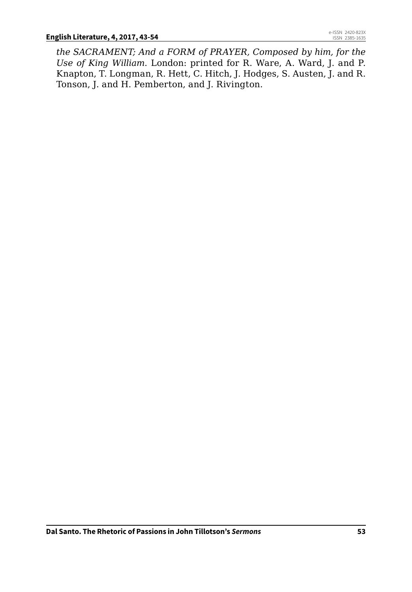*the SACRAMENT; And a FORM of PRAYER, Composed by him, for the Use of King William*. London: printed for R. Ware, A. Ward, J. and P. Knapton, T. Longman, R. Hett, C. Hitch, J. Hodges, S. Austen, J. and R. Tonson, J. and H. Pemberton, and J. Rivington.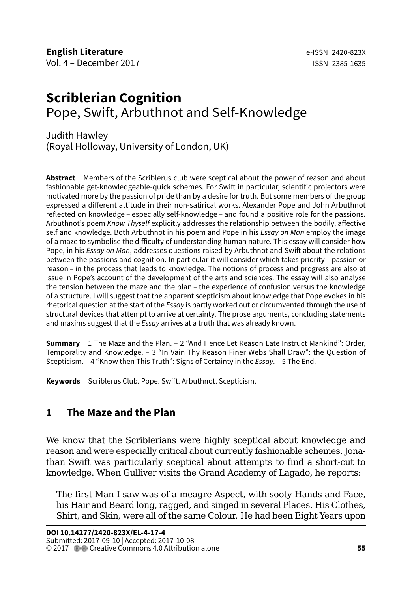# **Scriblerian Cognition** Pope, Swift, Arbuthnot and Self-Knowledge

Judith Hawley (Royal Holloway, University of London, UK)

**Abstract** Members of the Scriblerus club were sceptical about the power of reason and about fashionable get-knowledgeable-quick schemes. For Swift in particular, scientific projectors were motivated more by the passion of pride than by a desire for truth. But some members of the group expressed a different attitude in their non-satirical works. Alexander Pope and John Arbuthnot reflected on knowledge – especially self-knowledge – and found a positive role for the passions. Arbuthnot's poem *Know Thyself* explicitly addresses the relationship between the bodily, affective self and knowledge. Both Arbuthnot in his poem and Pope in his *Essay on Man* employ the image of a maze to symbolise the difficulty of understanding human nature. This essay will consider how Pope, in his *Essay on Man*, addresses questions raised by Arbuthnot and Swift about the relations between the passions and cognition. In particular it will consider which takes priority – passion or reason – in the process that leads to knowledge. The notions of process and progress are also at issue in Pope's account of the development of the arts and sciences. The essay will also analyse the tension between the maze and the plan – the experience of confusion versus the knowledge of a structure. I will suggest that the apparent scepticism about knowledge that Pope evokes in his rhetorical question at the start of the *Essay* is partly worked out or circumvented through the use of structural devices that attempt to arrive at certainty. The prose arguments, concluding statements and maxims suggest that the *Essay* arrives at a truth that was already known.

**Summary** 1 The Maze and the Plan. – 2 "And Hence Let Reason Late Instruct Mankind": Order, Temporality and Knowledge. – 3 "In Vain Thy Reason Finer Webs Shall Draw": the Question of Scepticism. – 4 "Know then This Truth": Signs of Certainty in the *Essay*. – 5 The End.

**Keywords** Scriblerus Club. Pope. Swift. Arbuthnot. Scepticism.

# **1 The Maze and the Plan**

We know that the Scriblerians were highly sceptical about knowledge and reason and were especially critical about currently fashionable schemes. Jonathan Swift was particularly sceptical about attempts to find a short-cut to knowledge. When Gulliver visits the Grand Academy of Lagado, he reports:

The first Man I saw was of a meagre Aspect, with sooty Hands and Face, his Hair and Beard long, ragged, and singed in several Places. His Clothes, Shirt, and Skin, were all of the same Colour. He had been Eight Years upon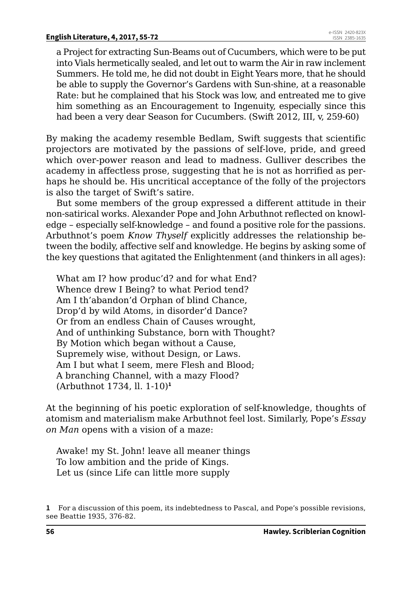a Project for extracting Sun-Beams out of Cucumbers, which were to be put into Vials hermetically sealed, and let out to warm the Air in raw inclement Summers. He told me, he did not doubt in Eight Years more, that he should be able to supply the Governor's Gardens with Sun-shine, at a reasonable Rate: but he complained that his Stock was low, and entreated me to give him something as an Encouragement to Ingenuity, especially since this had been a very dear Season for Cucumbers. (Swift 2012, III, v, 259-60)

By making the academy resemble Bedlam, Swift suggests that scientific projectors are motivated by the passions of self-love, pride, and greed which over-power reason and lead to madness. Gulliver describes the academy in affectless prose, suggesting that he is not as horrified as perhaps he should be. His uncritical acceptance of the folly of the projectors is also the target of Swift's satire.

But some members of the group expressed a different attitude in their non-satirical works. Alexander Pope and John Arbuthnot reflected on knowledge – especially self-knowledge – and found a positive role for the passions. Arbuthnot's poem *Know Thyself* explicitly addresses the relationship between the bodily, affective self and knowledge. He begins by asking some of the key questions that agitated the Enlightenment (and thinkers in all ages):

What am I? how produc'd? and for what End? Whence drew I Being? to what Period tend? Am I th'abandon'd Orphan of blind Chance, Drop'd by wild Atoms, in disorder'd Dance? Or from an endless Chain of Causes wrought, And of unthinking Substance, born with Thought? By Motion which began without a Cause, Supremely wise, without Design, or Laws. Am I but what I seem, mere Flesh and Blood; A branching Channel, with a mazy Flood? (Arbuthnot 1734, ll. 1-10)**<sup>1</sup>**

At the beginning of his poetic exploration of self-knowledge, thoughts of atomism and materialism make Arbuthnot feel lost. Similarly, Pope's *Essay on Man* opens with a vision of a maze:

Awake! my St. John! leave all meaner things To low ambition and the pride of Kings. Let us (since Life can little more supply

**<sup>1</sup>** For a discussion of this poem, its indebtedness to Pascal, and Pope's possible revisions, see Beattie 1935, 376-82.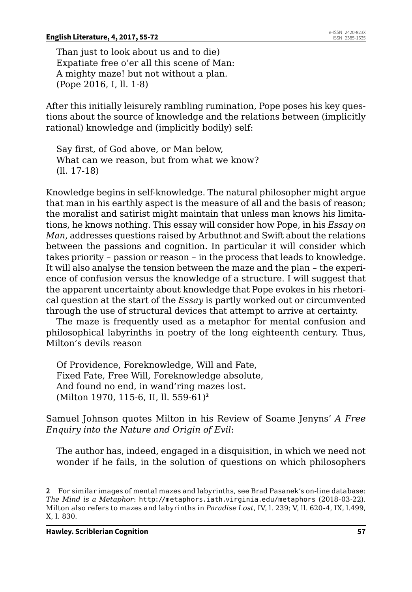Than just to look about us and to die) Expatiate free o'er all this scene of Man: A mighty maze! but not without a plan. (Pope 2016, I, ll. 1-8)

After this initially leisurely rambling rumination, Pope poses his key questions about the source of knowledge and the relations between (implicitly rational) knowledge and (implicitly bodily) self:

Say first, of God above, or Man below, What can we reason, but from what we know? (ll. 17-18)

Knowledge begins in self-knowledge. The natural philosopher might argue that man in his earthly aspect is the measure of all and the basis of reason; the moralist and satirist might maintain that unless man knows his limitations, he knows nothing. This essay will consider how Pope, in his *Essay on Man*, addresses questions raised by Arbuthnot and Swift about the relations between the passions and cognition. In particular it will consider which takes priority – passion or reason – in the process that leads to knowledge. It will also analyse the tension between the maze and the plan – the experience of confusion versus the knowledge of a structure. I will suggest that the apparent uncertainty about knowledge that Pope evokes in his rhetorical question at the start of the *Essay* is partly worked out or circumvented through the use of structural devices that attempt to arrive at certainty.

The maze is frequently used as a metaphor for mental confusion and philosophical labyrinths in poetry of the long eighteenth century. Thus, Milton's devils reason

Of Providence, Foreknowledge, Will and Fate, Fixed Fate, Free Will, Foreknowledge absolute, And found no end, in wand'ring mazes lost. (Milton 1970, 115-6, II, ll. 559-61)**<sup>2</sup>**

Samuel Johnson quotes Milton in his Review of Soame Jenyns' *A Free Enquiry into the Nature and Origin of Evil*:

The author has, indeed, engaged in a disquisition, in which we need not wonder if he fails, in the solution of questions on which philosophers

**<sup>2</sup>** For similar images of mental mazes and labyrinths, see Brad Pasanek's on-line database: *The Mind is a Metaphor*: <http://metaphors.iath.virginia.edu/metaphors> (2018-03-22). Milton also refers to mazes and labyrinths in *Paradise Lost*, IV, l. 239; V, ll. 620-4, IX, l.499, X, l. 830.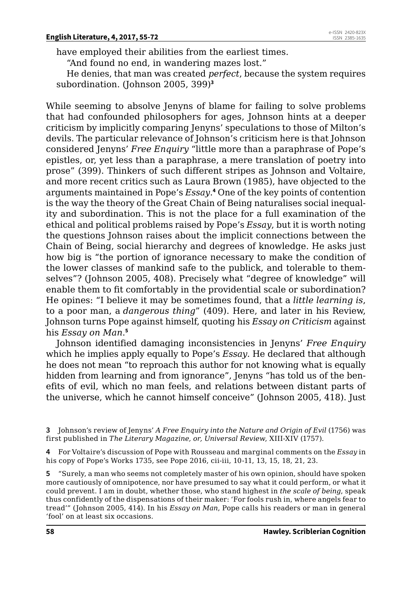have employed their abilities from the earliest times.

"And found no end, in wandering mazes lost."

He denies, that man was created *perfect*, because the system requires subordination. (Johnson 2005, 399)**<sup>3</sup>**

While seeming to absolve Jenyns of blame for failing to solve problems that had confounded philosophers for ages, Johnson hints at a deeper criticism by implicitly comparing Jenyns' speculations to those of Milton's devils. The particular relevance of Johnson's criticism here is that Johnson considered Jenyns' *Free Enquiry* "little more than a paraphrase of Pope's epistles, or, yet less than a paraphrase, a mere translation of poetry into prose" (399). Thinkers of such different stripes as Johnson and Voltaire, and more recent critics such as Laura Brown (1985), have objected to the arguments maintained in Pope's *Essay*. **4** One of the key points of contention is the way the theory of the Great Chain of Being naturalises social inequality and subordination. This is not the place for a full examination of the ethical and political problems raised by Pope's *Essay*, but it is worth noting the questions Johnson raises about the implicit connections between the Chain of Being, social hierarchy and degrees of knowledge. He asks just how big is "the portion of ignorance necessary to make the condition of the lower classes of mankind safe to the publick, and tolerable to themselves"? (Johnson 2005, 408). Precisely what "degree of knowledge" will enable them to fit comfortably in the providential scale or subordination? He opines: "I believe it may be sometimes found, that a *little learning is*, to a poor man, a *dangerous thing*" (409). Here, and later in his Review, Johnson turns Pope against himself, quoting his *Essay on Criticism* against his *Essay on Man*. **5**

Johnson identified damaging inconsistencies in Jenyns' *Free Enquiry* which he implies apply equally to Pope's *Essay*. He declared that although he does not mean "to reproach this author for not knowing what is equally hidden from learning and from ignorance", Jenyns "has told us of the benefits of evil, which no man feels, and relations between distant parts of the universe, which he cannot himself conceive" (Johnson 2005, 418). Just

**4** For Voltaire's discussion of Pope with Rousseau and marginal comments on the *Essay* in his copy of Pope's Works 1735, see Pope 2016, cii-iii, 10-11, 13, 15, 18, 21, 23.

**5** "Surely, a man who seems not completely master of his own opinion, should have spoken more cautiously of omnipotence, nor have presumed to say what it could perform, or what it could prevent. I am in doubt, whether those, who stand highest in *the scale of being*, speak thus confidently of the dispensations of their maker: 'For fools rush in, where angels fear to tread'" (Johnson 2005, 414). In his *Essay on Man*, Pope calls his readers or man in general 'fool' on at least six occasions.

**<sup>3</sup>** Johnson's review of Jenyns' *A Free Enquiry into the Nature and Origin of Evil* (1756) was first published in *The Literary Magazine, or, Universal Review*, XIII-XIV (1757).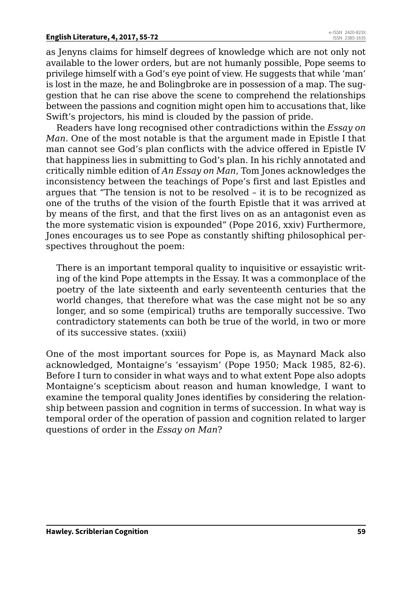#### **English Literature, 4, 2017, 55-72**

as Jenyns claims for himself degrees of knowledge which are not only not available to the lower orders, but are not humanly possible, Pope seems to privilege himself with a God's eye point of view. He suggests that while 'man' is lost in the maze, he and Bolingbroke are in possession of a map. The suggestion that he can rise above the scene to comprehend the relationships between the passions and cognition might open him to accusations that, like Swift's projectors, his mind is clouded by the passion of pride.

Readers have long recognised other contradictions within the *Essay on Man*. One of the most notable is that the argument made in Epistle I that man cannot see God's plan conflicts with the advice offered in Epistle IV that happiness lies in submitting to God's plan. In his richly annotated and critically nimble edition of *An Essay on Man*, Tom Jones acknowledges the inconsistency between the teachings of Pope's first and last Epistles and argues that "The tension is not to be resolved – it is to be recognized as one of the truths of the vision of the fourth Epistle that it was arrived at by means of the first, and that the first lives on as an antagonist even as the more systematic vision is expounded" (Pope 2016, xxiv) Furthermore, Jones encourages us to see Pope as constantly shifting philosophical perspectives throughout the poem:

There is an important temporal quality to inquisitive or essayistic writing of the kind Pope attempts in the Essay. It was a commonplace of the poetry of the late sixteenth and early seventeenth centuries that the world changes, that therefore what was the case might not be so any longer, and so some (empirical) truths are temporally successive. Two contradictory statements can both be true of the world, in two or more of its successive states. (xxiii)

One of the most important sources for Pope is, as Maynard Mack also acknowledged, Montaigne's 'essayism' (Pope 1950; Mack 1985, 82-6). Before I turn to consider in what ways and to what extent Pope also adopts Montaigne's scepticism about reason and human knowledge, I want to examine the temporal quality Jones identifies by considering the relationship between passion and cognition in terms of succession. In what way is temporal order of the operation of passion and cognition related to larger questions of order in the *Essay on Man*?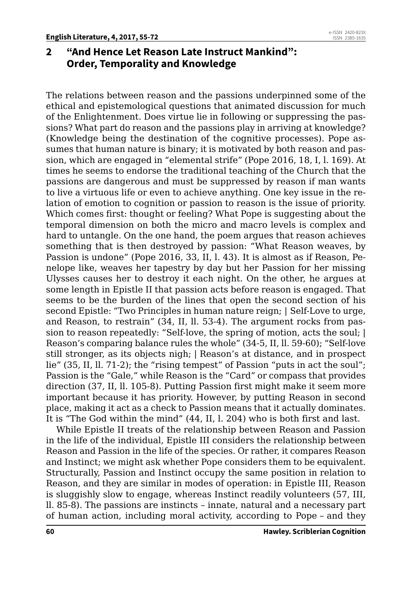# **2 "And Hence Let Reason Late Instruct Mankind": Order, Temporality and Knowledge**

The relations between reason and the passions underpinned some of the ethical and epistemological questions that animated discussion for much of the Enlightenment. Does virtue lie in following or suppressing the passions? What part do reason and the passions play in arriving at knowledge? (Knowledge being the destination of the cognitive processes). Pope assumes that human nature is binary; it is motivated by both reason and passion, which are engaged in "elemental strife" (Pope 2016, 18, I, l. 169). At times he seems to endorse the traditional teaching of the Church that the passions are dangerous and must be suppressed by reason if man wants to live a virtuous life or even to achieve anything. One key issue in the relation of emotion to cognition or passion to reason is the issue of priority. Which comes first: thought or feeling? What Pope is suggesting about the temporal dimension on both the micro and macro levels is complex and hard to untangle. On the one hand, the poem argues that reason achieves something that is then destroyed by passion: "What Reason weaves, by Passion is undone" (Pope 2016, 33, II, l. 43). It is almost as if Reason, Penelope like, weaves her tapestry by day but her Passion for her missing Ulysses causes her to destroy it each night. On the other, he argues at some length in Epistle II that passion acts before reason is engaged. That seems to be the burden of the lines that open the second section of his second Epistle: "Two Principles in human nature reign; | Self-Love to urge, and Reason, to restrain" (34, II, ll. 53-4). The argument rocks from passion to reason repeatedly: "Self-love, the spring of motion, acts the soul; | Reason's comparing balance rules the whole" (34-5, II, ll. 59-60); "Self-love still stronger, as its objects nigh; | Reason's at distance, and in prospect lie" (35, II, ll. 71-2); the "rising tempest" of Passion "puts in act the soul"; Passion is the "Gale," while Reason is the "Card" or compass that provides direction (37, II, ll. 105-8). Putting Passion first might make it seem more important because it has priority. However, by putting Reason in second place, making it act as a check to Passion means that it actually dominates. It is "The God within the mind" (44, II, l. 204) who is both first and last.

While Epistle II treats of the relationship between Reason and Passion in the life of the individual, Epistle III considers the relationship between Reason and Passion in the life of the species. Or rather, it compares Reason and Instinct; we might ask whether Pope considers them to be equivalent. Structurally, Passion and Instinct occupy the same position in relation to Reason, and they are similar in modes of operation: in Epistle III, Reason is sluggishly slow to engage, whereas Instinct readily volunteers (57, III, ll. 85-8). The passions are instincts – innate, natural and a necessary part of human action, including moral activity, according to Pope – and they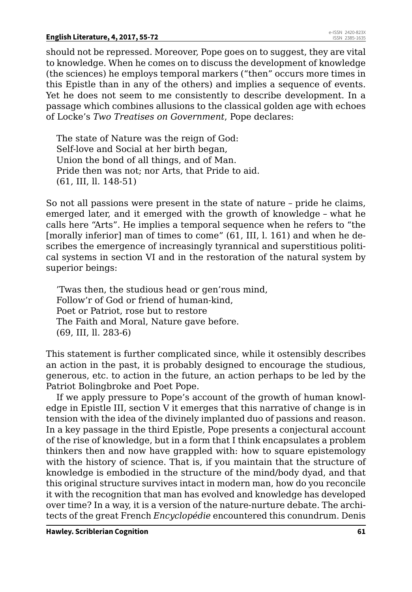#### **English Literature, 4, 2017, 55-72**

should not be repressed. Moreover, Pope goes on to suggest, they are vital to knowledge. When he comes on to discuss the development of knowledge (the sciences) he employs temporal markers ("then" occurs more times in this Epistle than in any of the others) and implies a sequence of events. Yet he does not seem to me consistently to describe development. In a passage which combines allusions to the classical golden age with echoes of Locke's *Two Treatises on Government*, Pope declares:

The state of Nature was the reign of God: Self-love and Social at her birth began, Union the bond of all things, and of Man. Pride then was not; nor Arts, that Pride to aid. (61, III, ll. 148-51)

So not all passions were present in the state of nature – pride he claims, emerged later, and it emerged with the growth of knowledge – what he calls here "Arts". He implies a temporal sequence when he refers to "the [morally inferior] man of times to come" (61, III, l. 161) and when he describes the emergence of increasingly tyrannical and superstitious political systems in section VI and in the restoration of the natural system by superior beings:

'Twas then, the studious head or gen'rous mind, Follow'r of God or friend of human-kind, Poet or Patriot, rose but to restore The Faith and Moral, Nature gave before. (69, III, ll. 283-6)

This statement is further complicated since, while it ostensibly describes an action in the past, it is probably designed to encourage the studious, generous, etc. to action in the future, an action perhaps to be led by the Patriot Bolingbroke and Poet Pope.

If we apply pressure to Pope's account of the growth of human knowledge in Epistle III, section V it emerges that this narrative of change is in tension with the idea of the divinely implanted duo of passions and reason. In a key passage in the third Epistle, Pope presents a conjectural account of the rise of knowledge, but in a form that I think encapsulates a problem thinkers then and now have grappled with: how to square epistemology with the history of science. That is, if you maintain that the structure of knowledge is embodied in the structure of the mind/body dyad, and that this original structure survives intact in modern man, how do you reconcile it with the recognition that man has evolved and knowledge has developed over time? In a way, it is a version of the nature-nurture debate. The architects of the great French *Encyclopédie* encountered this conundrum. Denis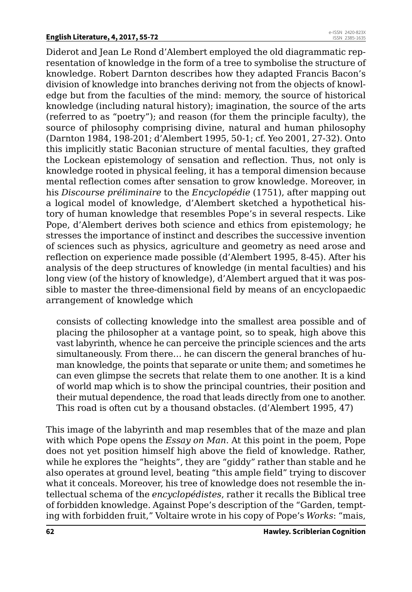Diderot and Jean Le Rond d'Alembert employed the old diagrammatic representation of knowledge in the form of a tree to symbolise the structure of knowledge. Robert Darnton describes how they adapted Francis Bacon's division of knowledge into branches deriving not from the objects of knowledge but from the faculties of the mind: memory, the source of historical knowledge (including natural history); imagination, the source of the arts (referred to as "poetry"); and reason (for them the principle faculty), the source of philosophy comprising divine, natural and human philosophy (Darnton 1984, 198-201; d'Alembert 1995, 50-1; cf. Yeo 2001, 27-32). Onto this implicitly static Baconian structure of mental faculties, they grafted the Lockean epistemology of sensation and reflection. Thus, not only is knowledge rooted in physical feeling, it has a temporal dimension because mental reflection comes after sensation to grow knowledge. Moreover, in his *Discourse préliminaire* to the *Encyclopédie* (1751), after mapping out a logical model of knowledge, d'Alembert sketched a hypothetical history of human knowledge that resembles Pope's in several respects. Like Pope, d'Alembert derives both science and ethics from epistemology; he stresses the importance of instinct and describes the successive invention of sciences such as physics, agriculture and geometry as need arose and reflection on experience made possible (d'Alembert 1995, 8-45). After his analysis of the deep structures of knowledge (in mental faculties) and his long view (of the history of knowledge), d'Alembert argued that it was possible to master the three-dimensional field by means of an encyclopaedic arrangement of knowledge which

consists of collecting knowledge into the smallest area possible and of placing the philosopher at a vantage point, so to speak, high above this vast labyrinth, whence he can perceive the principle sciences and the arts simultaneously. From there… he can discern the general branches of human knowledge, the points that separate or unite them; and sometimes he can even glimpse the secrets that relate them to one another. It is a kind of world map which is to show the principal countries, their position and their mutual dependence, the road that leads directly from one to another. This road is often cut by a thousand obstacles. (d'Alembert 1995, 47)

This image of the labyrinth and map resembles that of the maze and plan with which Pope opens the *Essay on Man*. At this point in the poem, Pope does not yet position himself high above the field of knowledge. Rather, while he explores the "heights", they are "giddy" rather than stable and he also operates at ground level, beating "this ample field" trying to discover what it conceals. Moreover, his tree of knowledge does not resemble the intellectual schema of the *encyclopédistes*, rather it recalls the Biblical tree of forbidden knowledge. Against Pope's description of the "Garden, tempting with forbidden fruit," Voltaire wrote in his copy of Pope's *Works*: "mais,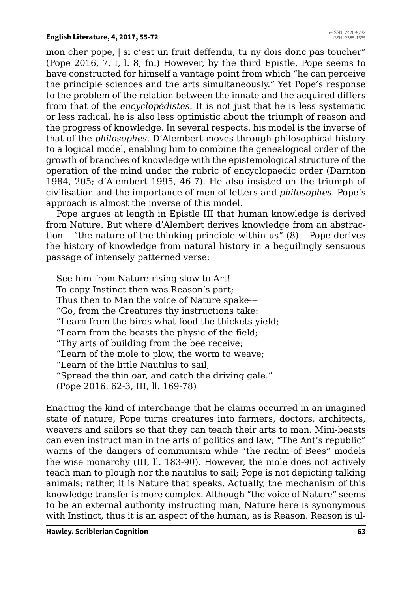mon cher pope, | si c'est un fruit deffendu, tu ny dois donc pas toucher" (Pope 2016, 7, I, l. 8, fn.) However, by the third Epistle, Pope seems to have constructed for himself a vantage point from which "he can perceive the principle sciences and the arts simultaneously." Yet Pope's response to the problem of the relation between the innate and the acquired differs from that of the *encyclopédistes*. It is not just that he is less systematic or less radical, he is also less optimistic about the triumph of reason and the progress of knowledge. In several respects, his model is the inverse of that of the *philosophes*. D'Alembert moves through philosophical history to a logical model, enabling him to combine the genealogical order of the growth of branches of knowledge with the epistemological structure of the operation of the mind under the rubric of encyclopaedic order (Darnton 1984, 205; d'Alembert 1995, 46-7). He also insisted on the triumph of civilisation and the importance of men of letters and *philosophes*. Pope's approach is almost the inverse of this model.

Pope argues at length in Epistle III that human knowledge is derived from Nature. But where d'Alembert derives knowledge from an abstraction – "the nature of the thinking principle within us" (8) – Pope derives the history of knowledge from natural history in a beguilingly sensuous passage of intensely patterned verse:

See him from Nature rising slow to Art! To copy Instinct then was Reason's part; Thus then to Man the voice of Nature spake--- "Go, from the Creatures thy instructions take: "Learn from the birds what food the thickets yield; "Learn from the beasts the physic of the field; "Thy arts of building from the bee receive; "Learn of the mole to plow, the worm to weave; "Learn of the little Nautilus to sail, "Spread the thin oar, and catch the driving gale." (Pope 2016, 62-3, III, ll. 169-78)

Enacting the kind of interchange that he claims occurred in an imagined state of nature, Pope turns creatures into farmers, doctors, architects, weavers and sailors so that they can teach their arts to man. Mini-beasts can even instruct man in the arts of politics and law; "The Ant's republic" warns of the dangers of communism while "the realm of Bees" models the wise monarchy (III, ll. 183-90). However, the mole does not actively teach man to plough nor the nautilus to sail; Pope is not depicting talking animals; rather, it is Nature that speaks. Actually, the mechanism of this knowledge transfer is more complex. Although "the voice of Nature" seems to be an external authority instructing man, Nature here is synonymous with Instinct, thus it is an aspect of the human, as is Reason. Reason is ul-

**Hawley. Scriblerian Cognition 63**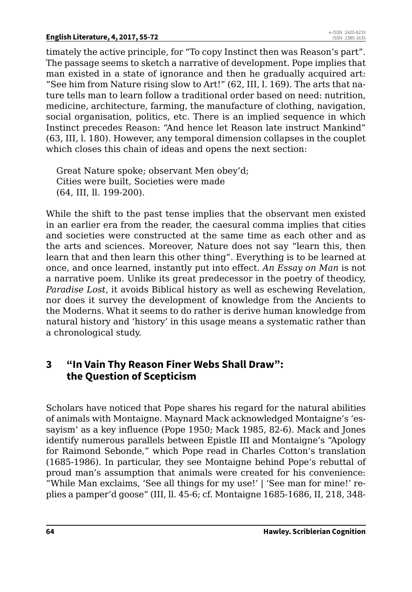timately the active principle, for "To copy Instinct then was Reason's part". The passage seems to sketch a narrative of development. Pope implies that man existed in a state of ignorance and then he gradually acquired art: "See him from Nature rising slow to Art!" (62, III, l. 169). The arts that nature tells man to learn follow a traditional order based on need: nutrition, medicine, architecture, farming, the manufacture of clothing, navigation, social organisation, politics, etc. There is an implied sequence in which Instinct precedes Reason: "And hence let Reason late instruct Mankind" (63, III, l. 180). However, any temporal dimension collapses in the couplet which closes this chain of ideas and opens the next section:

Great Nature spoke; observant Men obey'd; Cities were built, Societies were made (64, III, ll. 199-200).

While the shift to the past tense implies that the observant men existed in an earlier era from the reader, the caesural comma implies that cities and societies were constructed at the same time as each other and as the arts and sciences. Moreover, Nature does not say "learn this, then learn that and then learn this other thing". Everything is to be learned at once, and once learned, instantly put into effect. *An Essay on Man* is not a narrative poem. Unlike its great predecessor in the poetry of theodicy, *Paradise Lost*, it avoids Biblical history as well as eschewing Revelation, nor does it survey the development of knowledge from the Ancients to the Moderns. What it seems to do rather is derive human knowledge from natural history and 'history' in this usage means a systematic rather than a chronological study.

## **3 "In Vain Thy Reason Finer Webs Shall Draw": the Question of Scepticism**

Scholars have noticed that Pope shares his regard for the natural abilities of animals with Montaigne. Maynard Mack acknowledged Montaigne's 'essayism' as a key influence (Pope 1950; Mack 1985, 82-6). Mack and Jones identify numerous parallels between Epistle III and Montaigne's "Apology for Raimond Sebonde," which Pope read in Charles Cotton's translation (1685-1986). In particular, they see Montaigne behind Pope's rebuttal of proud man's assumption that animals were created for his convenience: "While Man exclaims, 'See all things for my use!' | 'See man for mine!' replies a pamper'd goose" (III, ll. 45-6; cf. Montaigne 1685-1686, II, 218, 348-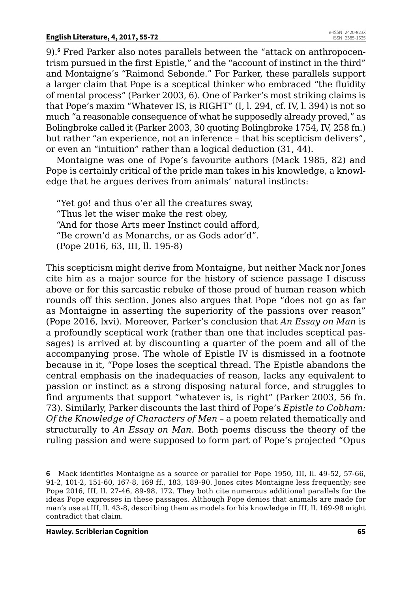9).**<sup>6</sup>** Fred Parker also notes parallels between the "attack on anthropocentrism pursued in the first Epistle," and the "account of instinct in the third" and Montaigne's "Raimond Sebonde." For Parker, these parallels support a larger claim that Pope is a sceptical thinker who embraced "the fluidity of mental process" (Parker 2003, 6). One of Parker's most striking claims is that Pope's maxim "Whatever IS, is RIGHT" (I, l. 294, cf. IV, l. 394) is not so much "a reasonable consequence of what he supposedly already proved," as Bolingbroke called it (Parker 2003, 30 quoting Bolingbroke 1754, IV, 258 fn.) but rather "an experience, not an inference – that his scepticism delivers", or even an "intuition" rather than a logical deduction (31, 44).

Montaigne was one of Pope's favourite authors (Mack 1985, 82) and Pope is certainly critical of the pride man takes in his knowledge, a knowledge that he argues derives from animals' natural instincts:

"Yet go! and thus o'er all the creatures sway, "Thus let the wiser make the rest obey, "And for those Arts meer Instinct could afford, "Be crown'd as Monarchs, or as Gods ador'd". (Pope 2016, 63, III, ll. 195-8)

This scepticism might derive from Montaigne, but neither Mack nor Jones cite him as a major source for the history of science passage I discuss above or for this sarcastic rebuke of those proud of human reason which rounds off this section. Jones also argues that Pope "does not go as far as Montaigne in asserting the superiority of the passions over reason" (Pope 2016, lxvi). Moreover, Parker's conclusion that *An Essay on Man* is a profoundly sceptical work (rather than one that includes sceptical passages) is arrived at by discounting a quarter of the poem and all of the accompanying prose. The whole of Epistle IV is dismissed in a footnote because in it, "Pope loses the sceptical thread. The Epistle abandons the central emphasis on the inadequacies of reason, lacks any equivalent to passion or instinct as a strong disposing natural force, and struggles to find arguments that support "whatever is, is right" (Parker 2003, 56 fn. 73). Similarly, Parker discounts the last third of Pope's *Epistle to Cobham: Of the Knowledge of Characters of Men* – a poem related thematically and structurally to *An Essay on Man*. Both poems discuss the theory of the ruling passion and were supposed to form part of Pope's projected "Opus

**<sup>6</sup>** Mack identifies Montaigne as a source or parallel for Pope 1950, III, ll. 49-52, 57-66, 91-2, 101-2, 151-60, 167-8, 169 ff., 183, 189-90. Jones cites Montaigne less frequently; see Pope 2016, III, ll. 27-46, 89-98, 172. They both cite numerous additional parallels for the ideas Pope expresses in these passages. Although Pope denies that animals are made for man's use at III, ll. 43-8, describing them as models for his knowledge in III, ll. 169-98 might contradict that claim.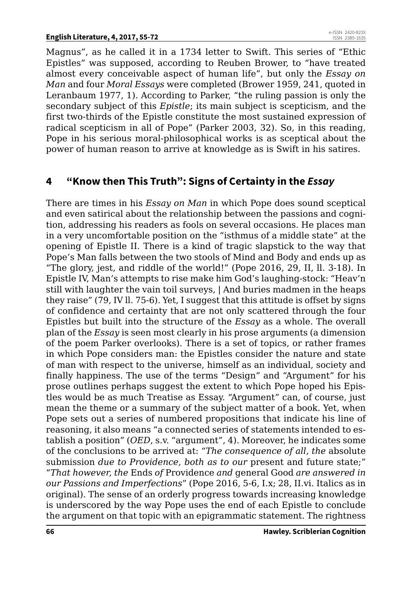Magnus", as he called it in a 1734 letter to Swift. This series of "Ethic Epistles" was supposed, according to Reuben Brower, to "have treated almost every conceivable aspect of human life", but only the *Essay on Man* and four *Moral Essays* were completed (Brower 1959, 241, quoted in Leranbaum 1977, 1). According to Parker, "the ruling passion is only the secondary subject of this *Epistle*; its main subject is scepticism, and the first two-thirds of the Epistle constitute the most sustained expression of radical scepticism in all of Pope" (Parker 2003, 32). So, in this reading, Pope in his serious moral-philosophical works is as sceptical about the power of human reason to arrive at knowledge as is Swift in his satires.

# **4 "Know then This Truth": Signs of Certainty in the** *Essay*

There are times in his *Essay on Man* in which Pope does sound sceptical and even satirical about the relationship between the passions and cognition, addressing his readers as fools on several occasions. He places man in a very uncomfortable position on the "isthmus of a middle state" at the opening of Epistle II. There is a kind of tragic slapstick to the way that Pope's Man falls between the two stools of Mind and Body and ends up as "The glory, jest, and riddle of the world!" (Pope 2016, 29, II, ll. 3-18). In Epistle IV, Man's attempts to rise make him God's laughing-stock: "Heav'n still with laughter the vain toil surveys, | And buries madmen in the heaps they raise" (79, IV ll. 75-6). Yet, I suggest that this attitude is offset by signs of confidence and certainty that are not only scattered through the four Epistles but built into the structure of the *Essay* as a whole. The overall plan of the *Essay* is seen most clearly in his prose arguments (a dimension of the poem Parker overlooks). There is a set of topics, or rather frames in which Pope considers man: the Epistles consider the nature and state of man with respect to the universe, himself as an individual, society and finally happiness. The use of the terms "Design" and "Argument" for his prose outlines perhaps suggest the extent to which Pope hoped his Epistles would be as much Treatise as Essay. "Argument" can, of course, just mean the theme or a summary of the subject matter of a book. Yet, when Pope sets out a series of numbered propositions that indicate his line of reasoning, it also means "a connected series of statements intended to establish a position" (*OED*, s.v. "argument", 4). Moreover, he indicates some of the conclusions to be arrived at: "*The consequence of all, the* absolute submission *due to Providence, both as to our* present and future state;" "*That however, the* Ends *of* Providence *and* general Good *are answered in our Passions and Imperfections*" (Pope 2016, 5-6, I.x; 28, II.vi. Italics as in original). The sense of an orderly progress towards increasing knowledge is underscored by the way Pope uses the end of each Epistle to conclude the argument on that topic with an epigrammatic statement. The rightness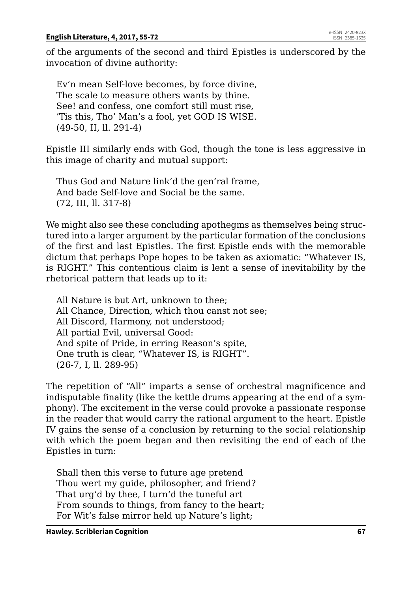of the arguments of the second and third Epistles is underscored by the invocation of divine authority:

Ev'n mean Self-love becomes, by force divine, The scale to measure others wants by thine. See! and confess, one comfort still must rise, 'Tis this, Tho' Man's a fool, yet GOD IS WISE. (49-50, II, ll. 291-4)

Epistle III similarly ends with God, though the tone is less aggressive in this image of charity and mutual support:

Thus God and Nature link'd the gen'ral frame, And bade Self-love and Social be the same. (72, III, ll. 317-8)

We might also see these concluding apothegms as themselves being structured into a larger argument by the particular formation of the conclusions of the first and last Epistles. The first Epistle ends with the memorable dictum that perhaps Pope hopes to be taken as axiomatic: "Whatever IS, is RIGHT." This contentious claim is lent a sense of inevitability by the rhetorical pattern that leads up to it:

All Nature is but Art, unknown to thee; All Chance, Direction, which thou canst not see; All Discord, Harmony, not understood; All partial Evil, universal Good: And spite of Pride, in erring Reason's spite, One truth is clear, "Whatever IS, is RIGHT". (26-7, I, ll. 289-95)

The repetition of "All" imparts a sense of orchestral magnificence and indisputable finality (like the kettle drums appearing at the end of a symphony). The excitement in the verse could provoke a passionate response in the reader that would carry the rational argument to the heart. Epistle IV gains the sense of a conclusion by returning to the social relationship with which the poem began and then revisiting the end of each of the Epistles in turn:

Shall then this verse to future age pretend Thou wert my guide, philosopher, and friend? That urg'd by thee, I turn'd the tuneful art From sounds to things, from fancy to the heart; For Wit's false mirror held up Nature's light;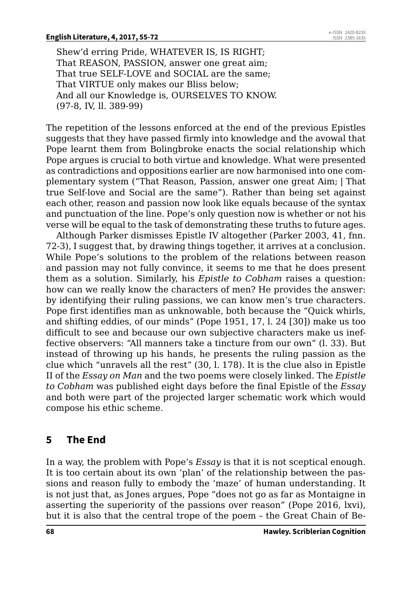Shew'd erring Pride, WHATEVER IS, IS RIGHT; That REASON, PASSION, answer one great aim; That true SELF-LOVE and SOCIAL are the same; That VIRTUE only makes our Bliss below; And all our Knowledge is, OURSELVES TO KNOW. (97-8, IV, ll. 389-99)

The repetition of the lessons enforced at the end of the previous Epistles suggests that they have passed firmly into knowledge and the avowal that Pope learnt them from Bolingbroke enacts the social relationship which Pope argues is crucial to both virtue and knowledge. What were presented as contradictions and oppositions earlier are now harmonised into one complementary system ("That Reason, Passion, answer one great Aim; | That true Self-love and Social are the same"). Rather than being set against each other, reason and passion now look like equals because of the syntax and punctuation of the line. Pope's only question now is whether or not his verse will be equal to the task of demonstrating these truths to future ages.

Although Parker dismisses Epistle IV altogether (Parker 2003, 41, fnn. 72-3), I suggest that, by drawing things together, it arrives at a conclusion. While Pope's solutions to the problem of the relations between reason and passion may not fully convince, it seems to me that he does present them as a solution. Similarly, his *Epistle to Cobham* raises a question: how can we really know the characters of men? He provides the answer: by identifying their ruling passions, we can know men's true characters. Pope first identifies man as unknowable, both because the "Quick whirls, and shifting eddies, of our minds" (Pope 1951, 17, l. 24 [30]) make us too difficult to see and because our own subjective characters make us ineffective observers: "All manners take a tincture from our own" (l. 33). But instead of throwing up his hands, he presents the ruling passion as the clue which "unravels all the rest" (30, l. 178). It is the clue also in Epistle II of the *Essay on Man* and the two poems were closely linked. The *Epistle to Cobham* was published eight days before the final Epistle of the *Essay* and both were part of the projected larger schematic work which would compose his ethic scheme.

# **5 The End**

In a way, the problem with Pope's *Essay* is that it is not sceptical enough. It is too certain about its own 'plan' of the relationship between the passions and reason fully to embody the 'maze' of human understanding. It is not just that, as Jones argues, Pope "does not go as far as Montaigne in asserting the superiority of the passions over reason" (Pope 2016, lxvi), but it is also that the central trope of the poem – the Great Chain of Be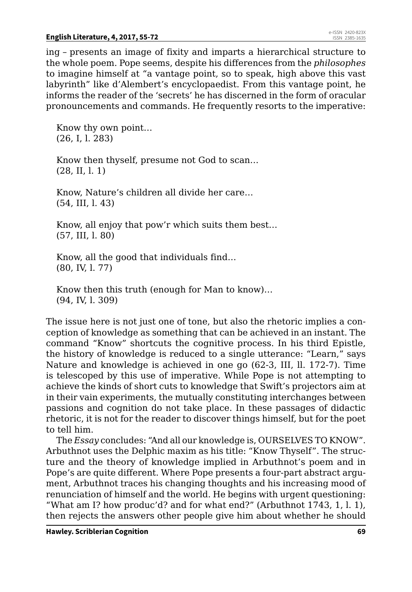ing – presents an image of fixity and imparts a hierarchical structure to the whole poem. Pope seems, despite his differences from the *philosophes* to imagine himself at "a vantage point, so to speak, high above this vast labyrinth" like d'Alembert's encyclopaedist. From this vantage point, he informs the reader of the 'secrets' he has discerned in the form of oracular pronouncements and commands. He frequently resorts to the imperative:

Know thy own point… (26, I, l. 283)

Know then thyself, presume not God to scan… (28, II, l. 1)

Know, Nature's children all divide her care… (54, III, l. 43)

Know, all enjoy that pow'r which suits them best… (57, III, l. 80)

Know, all the good that individuals find… (80, IV, l. 77)

Know then this truth (enough for Man to know)… (94, IV, l. 309)

The issue here is not just one of tone, but also the rhetoric implies a conception of knowledge as something that can be achieved in an instant. The command "Know" shortcuts the cognitive process. In his third Epistle, the history of knowledge is reduced to a single utterance: "Learn," says Nature and knowledge is achieved in one go (62-3, III, ll. 172-7). Time is telescoped by this use of imperative. While Pope is not attempting to achieve the kinds of short cuts to knowledge that Swift's projectors aim at in their vain experiments, the mutually constituting interchanges between passions and cognition do not take place. In these passages of didactic rhetoric, it is not for the reader to discover things himself, but for the poet to tell him.

The *Essay* concludes: "And all our knowledge is, OURSELVES TO KNOW". Arbuthnot uses the Delphic maxim as his title: "Know Thyself". The structure and the theory of knowledge implied in Arbuthnot's poem and in Pope's are quite different. Where Pope presents a four-part abstract argument, Arbuthnot traces his changing thoughts and his increasing mood of renunciation of himself and the world. He begins with urgent questioning: "What am I? how produc'd? and for what end?" (Arbuthnot 1743, 1, l. 1), then rejects the answers other people give him about whether he should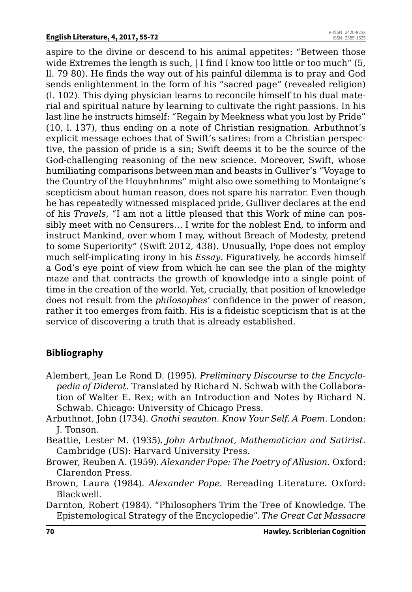aspire to the divine or descend to his animal appetites: "Between those wide Extremes the length is such, | I find I know too little or too much" (5, ll. 79 80). He finds the way out of his painful dilemma is to pray and God sends enlightenment in the form of his "sacred page" (revealed religion) (l. 102). This dying physician learns to reconcile himself to his dual material and spiritual nature by learning to cultivate the right passions. In his last line he instructs himself: "Regain by Meekness what you lost by Pride" (10, l. 137), thus ending on a note of Christian resignation. Arbuthnot's explicit message echoes that of Swift's satires: from a Christian perspective, the passion of pride is a sin; Swift deems it to be the source of the God-challenging reasoning of the new science. Moreover, Swift, whose humiliating comparisons between man and beasts in Gulliver's "Voyage to the Country of the Houyhnhnms" might also owe something to Montaigne's scepticism about human reason, does not spare his narrator. Even though he has repeatedly witnessed misplaced pride, Gulliver declares at the end of his *Travels*, "I am not a little pleased that this Work of mine can possibly meet with no Censurers… I write for the noblest End, to inform and instruct Mankind, over whom I may, without Breach of Modesty, pretend to some Superiority" (Swift 2012, 438). Unusually, Pope does not employ much self-implicating irony in his *Essay*. Figuratively, he accords himself a God's eye point of view from which he can see the plan of the mighty maze and that contracts the growth of knowledge into a single point of time in the creation of the world. Yet, crucially, that position of knowledge does not result from the *philosophes*' confidence in the power of reason, rather it too emerges from faith. His is a fideistic scepticism that is at the service of discovering a truth that is already established.

# **Bibliography**

- Alembert, Jean Le Rond D. (1995). *Preliminary Discourse to the Encyclopedia of Diderot*. Translated by Richard N. Schwab with the Collaboration of Walter E. Rex; with an Introduction and Notes by Richard N. Schwab*.* Chicago: University of Chicago Press.
- Arbuthnot, John (1734). *Gnothi seauton. Know Your Self. A Poem.* London: J. Tonson.

Beattie, Lester M. (1935). *John Arbuthnot, Mathematician and Satirist.*  Cambridge (US): Harvard University Press.

- Brower, Reuben A. (1959). *Alexander Pope: The Poetry of Allusion.* Oxford: Clarendon Press.
- Brown, Laura (1984). *Alexander Pope.* Rereading Literature. Oxford: Blackwell.
- Darnton, Robert (1984). "Philosophers Trim the Tree of Knowledge. The Epistemological Strategy of the Encyclopedie". *The Great Cat Massacre*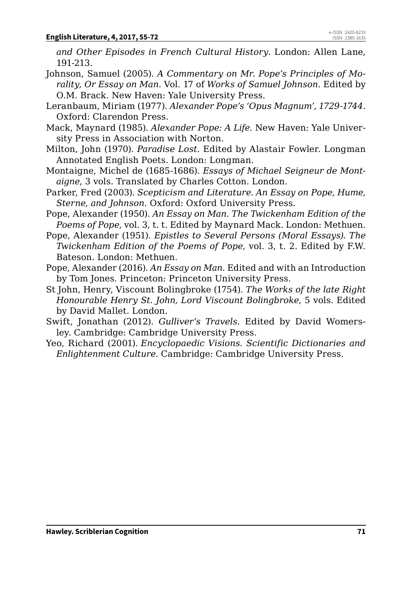*and Other Episodes in French Cultural History*. London: Allen Lane, 191-213.

- Johnson, Samuel (2005). *A Commentary on Mr. Pope's Principles of Morality, Or Essay on Man*. Vol. 17 of *Works of Samuel Johnson*. Edited by O.M. Brack. New Haven: Yale University Press.
- Leranbaum, Miriam (1977). *Alexander Pope's 'Opus Magnum', 1729-1744*. Oxford: Clarendon Press.
- Mack, Maynard (1985). *Alexander Pope: A Life*. New Haven: Yale University Press in Association with Norton.
- Milton, John (1970). *Paradise Lost.* Edited by Alastair Fowler*.* Longman Annotated English Poets. London: Longman.
- Montaigne, Michel de (1685-1686). *Essays of Michael Seigneur de Montaigne*, 3 vols. Translated by Charles Cotton. London.
- Parker, Fred (2003). *Scepticism and Literature. An Essay on Pope, Hume, Sterne, and Johnson*. Oxford: Oxford University Press.
- Pope, Alexander (1950). *An Essay on Man. The Twickenham Edition of the Poems of Pope*, vol. 3, t. t. Edited by Maynard Mack*.* London: Methuen.
- Pope, Alexander (1951). *Epistles to Several Persons (Moral Essays). The Twickenham Edition of the Poems of Pope*, vol. 3, t. 2. Edited by F.W. Bateson. London: Methuen.
- Pope, Alexander (2016). *An Essay on Man*. Edited and with an Introduction by Tom Jones. Princeton: Princeton University Press.
- St John, Henry, Viscount Bolingbroke (1754). *The Works of the late Right Honourable Henry St. John, Lord Viscount Bolingbroke*, 5 vols. Edited by David Mallet. London.
- Swift, Jonathan (2012). *Gulliver's Travels.* Edited by David Womersley*.* Cambridge: Cambridge University Press.
- Yeo, Richard (2001). *Encyclopaedic Visions. Scientific Dictionaries and Enlightenment Culture.* Cambridge: Cambridge University Press.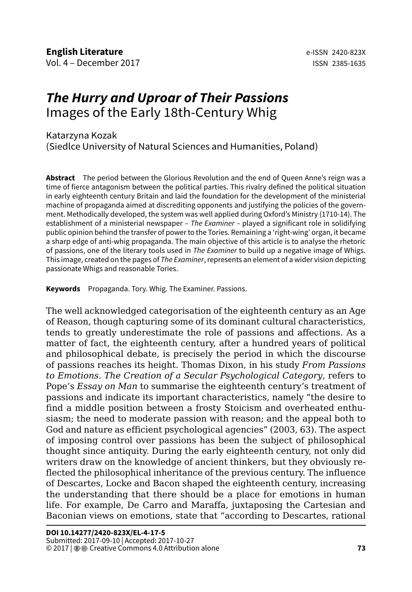# *The Hurry and Uproar of Their Passions* Images of the Early 18th-Century Whig

#### Katarzyna Kozak (Siedlce University of Natural Sciences and Humanities, Poland)

**Abstract** The period between the Glorious Revolution and the end of Queen Anne's reign was a time of fierce antagonism between the political parties. This rivalry defined the political situation in early eighteenth century Britain and laid the foundation for the development of the ministerial machine of propaganda aimed at discrediting opponents and justifying the policies of the government. Methodically developed, the system was well applied during Oxford's Ministry (1710-14). The establishment of a ministerial newspaper – *The Examiner –* played a significant role in solidifying public opinion behind the transfer of power to the Tories. Remaining a 'right-wing' organ, it became a sharp edge of anti-whig propaganda. The main objective of this article is to analyse the rhetoric of passions, one of the literary tools used in *The Examiner* to build up a negative image of Whigs. This image, created on the pages of *The Examiner*, represents an element of a wider vision depicting passionate Whigs and reasonable Tories.

**Keywords** Propaganda. Tory. Whig. The Examiner. Passions.

The well acknowledged categorisation of the eighteenth century as an Age of Reason, though capturing some of its dominant cultural characteristics, tends to greatly underestimate the role of passions and affections. As a matter of fact, the eighteenth century, after a hundred years of political and philosophical debate, is precisely the period in which the discourse of passions reaches its height. Thomas Dixon, in his study *From Passions to Emotions. The Creation of a Secular Psychological Category*, refers to Pope's *Essay on Man* to summarise the eighteenth century's treatment of passions and indicate its important characteristics, namely "the desire to find a middle position between a frosty Stoicism and overheated enthusiasm; the need to moderate passion with reason; and the appeal both to God and nature as efficient psychological agencies" (2003, 63). The aspect of imposing control over passions has been the subject of philosophical thought since antiquity. During the early eighteenth century, not only did writers draw on the knowledge of ancient thinkers, but they obviously reflected the philosophical inheritance of the previous century. The influence of Descartes, Locke and Bacon shaped the eighteenth century, increasing the understanding that there should be a place for emotions in human life. For example, De Carro and Maraffa, juxtaposing the Cartesian and Baconian views on emotions, state that "according to Descartes, rational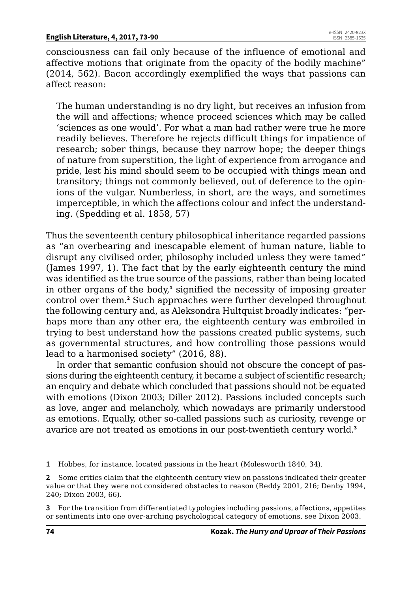consciousness can fail only because of the influence of emotional and affective motions that originate from the opacity of the bodily machine" (2014, 562). Bacon accordingly exemplified the ways that passions can affect reason:

The human understanding is no dry light, but receives an infusion from the will and affections; whence proceed sciences which may be called 'sciences as one would'. For what a man had rather were true he more readily believes. Therefore he rejects difficult things for impatience of research; sober things, because they narrow hope; the deeper things of nature from superstition, the light of experience from arrogance and pride, lest his mind should seem to be occupied with things mean and transitory; things not commonly believed, out of deference to the opinions of the vulgar. Numberless, in short, are the ways, and sometimes imperceptible, in which the affections colour and infect the understanding. (Spedding et al. 1858, 57)

Thus the seventeenth century philosophical inheritance regarded passions as "an overbearing and inescapable element of human nature, liable to disrupt any civilised order, philosophy included unless they were tamed" (James 1997, 1). The fact that by the early eighteenth century the mind was identified as the true source of the passions, rather than being located in other organs of the body,<sup>1</sup> signified the necessity of imposing greater control over them.**<sup>2</sup>** Such approaches were further developed throughout the following century and, as Aleksondra Hultquist broadly indicates: "perhaps more than any other era, the eighteenth century was embroiled in trying to best understand how the passions created public systems, such as governmental structures, and how controlling those passions would lead to a harmonised society" (2016, 88).

In order that semantic confusion should not obscure the concept of passions during the eighteenth century, it became a subject of scientific research; an enquiry and debate which concluded that passions should not be equated with emotions (Dixon 2003; Diller 2012). Passions included concepts such as love, anger and melancholy, which nowadays are primarily understood as emotions. Equally, other so-called passions such as curiosity, revenge or avarice are not treated as emotions in our post-twentieth century world.**<sup>3</sup>**

**1** Hobbes, for instance, located passions in the heart (Molesworth 1840, 34).

**2** Some critics claim that the eighteenth century view on passions indicated their greater value or that they were not considered obstacles to reason (Reddy 2001, 216; Denby 1994, 240; Dixon 2003, 66).

**3** For the transition from differentiated typologies including passions, affections, appetites or sentiments into one over-arching psychological category of emotions, see Dixon 2003.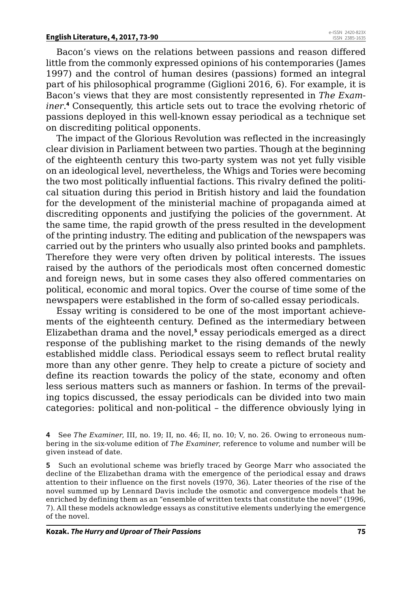Bacon's views on the relations between passions and reason differed little from the commonly expressed opinions of his contemporaries (James 1997) and the control of human desires (passions) formed an integral part of his philosophical programme (Giglioni 2016, 6). For example, it is Bacon's views that they are most consistently represented in *The Examiner*. **4** Consequently, this article sets out to trace the evolving rhetoric of passions deployed in this well-known essay periodical as a technique set on discrediting political opponents.

The impact of the Glorious Revolution was reflected in the increasingly clear division in Parliament between two parties. Though at the beginning of the eighteenth century this two-party system was not yet fully visible on an ideological level, nevertheless, the Whigs and Tories were becoming the two most politically influential factions. This rivalry defined the political situation during this period in British history and laid the foundation for the development of the ministerial machine of propaganda aimed at discrediting opponents and justifying the policies of the government. At the same time, the rapid growth of the press resulted in the development of the printing industry. The editing and publication of the newspapers was carried out by the printers who usually also printed books and pamphlets. Therefore they were very often driven by political interests. The issues raised by the authors of the periodicals most often concerned domestic and foreign news, but in some cases they also offered commentaries on political, economic and moral topics. Over the course of time some of the newspapers were established in the form of so-called essay periodicals.

Essay writing is considered to be one of the most important achievements of the eighteenth century. Defined as the intermediary between Elizabethan drama and the novel,**<sup>5</sup>** essay periodicals emerged as a direct response of the publishing market to the rising demands of the newly established middle class. Periodical essays seem to reflect brutal reality more than any other genre. They help to create a picture of society and define its reaction towards the policy of the state, economy and often less serious matters such as manners or fashion. In terms of the prevailing topics discussed, the essay periodicals can be divided into two main categories: political and non-political – the difference obviously lying in

**4** See *The Examiner*, III, no. 19; II, no. 46; II, no. 10; V, no. 26. Owing to erroneous numbering in the six-volume edition of *The Examiner*, reference to volume and number will be given instead of date.

**5** Such an evolutional scheme was briefly traced by George Marr who associated the decline of the Elizabethan drama with the emergence of the periodical essay and draws attention to their influence on the first novels (1970, 36). Later theories of the rise of the novel summed up by Lennard Davis include the osmotic and convergence models that he enriched by defining them as an "ensemble of written texts that constitute the novel" (1996, 7). All these models acknowledge essays as constitutive elements underlying the emergence of the novel.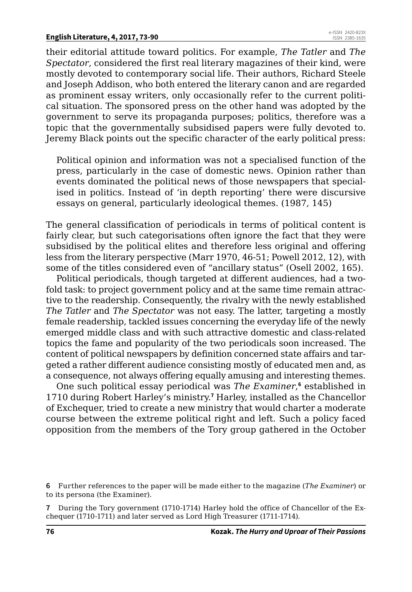their editorial attitude toward politics. For example, *The Tatler* and *The Spectator*, considered the first real literary magazines of their kind, were mostly devoted to contemporary social life. Their authors, Richard Steele and Joseph Addison, who both entered the literary canon and are regarded as prominent essay writers, only occasionally refer to the current political situation. The sponsored press on the other hand was adopted by the government to serve its propaganda purposes; politics, therefore was a topic that the governmentally subsidised papers were fully devoted to. Jeremy Black points out the specific character of the early political press:

Political opinion and information was not a specialised function of the press, particularly in the case of domestic news. Opinion rather than events dominated the political news of those newspapers that specialised in politics. Instead of 'in depth reporting' there were discursive essays on general, particularly ideological themes. (1987, 145)

The general classification of periodicals in terms of political content is fairly clear, but such categorisations often ignore the fact that they were subsidised by the political elites and therefore less original and offering less from the literary perspective (Marr 1970, 46-51; Powell 2012, 12), with some of the titles considered even of "ancillary status" (Osell 2002, 165).

Political periodicals, though targeted at different audiences, had a twofold task: to project government policy and at the same time remain attractive to the readership. Consequently, the rivalry with the newly established *The Tatler* and *The Spectator* was not easy. The latter, targeting a mostly female readership, tackled issues concerning the everyday life of the newly emerged middle class and with such attractive domestic and class-related topics the fame and popularity of the two periodicals soon increased. The content of political newspapers by definition concerned state affairs and targeted a rather different audience consisting mostly of educated men and, as a consequence, not always offering equally amusing and interesting themes.

One such political essay periodical was The Examiner,<sup>6</sup> established in 1710 during Robert Harley's ministry.**<sup>7</sup>** Harley, installed as the Chancellor of Exchequer, tried to create a new ministry that would charter a moderate course between the extreme political right and left. Such a policy faced opposition from the members of the Tory group gathered in the October

**<sup>6</sup>** Further references to the paper will be made either to the magazine (*The Examiner*) or to its persona (the Examiner).

**<sup>7</sup>** During the Tory government (1710-1714) Harley hold the office of Chancellor of the Exchequer (1710-1711) and later served as Lord High Treasurer (1711-1714).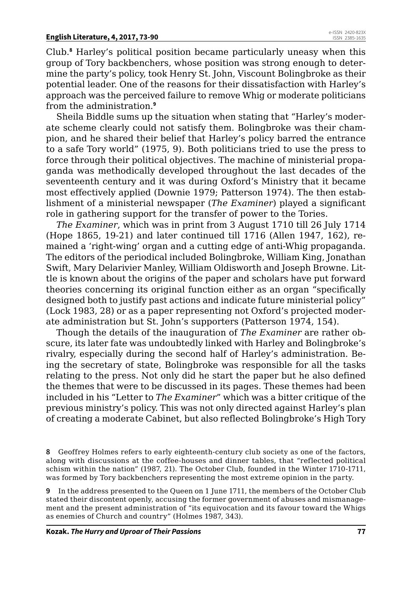Club.**<sup>8</sup>** Harley's political position became particularly uneasy when this group of Tory backbenchers, whose position was strong enough to determine the party's policy, took Henry St. John, Viscount Bolingbroke as their potential leader. One of the reasons for their dissatisfaction with Harley's approach was the perceived failure to remove Whig or moderate politicians from the administration.**<sup>9</sup>**

Sheila Biddle sums up the situation when stating that "Harley's moderate scheme clearly could not satisfy them. Bolingbroke was their champion, and he shared their belief that Harley's policy barred the entrance to a safe Tory world" (1975, 9). Both politicians tried to use the press to force through their political objectives. The machine of ministerial propaganda was methodically developed throughout the last decades of the seventeenth century and it was during Oxford's Ministry that it became most effectively applied (Downie 1979; Patterson 1974). The then establishment of a ministerial newspaper (*The Examiner*) played a significant role in gathering support for the transfer of power to the Tories.

*The Examiner*, which was in print from 3 August 1710 till 26 July 1714 (Hope 1865, 19-21) and later continued till 1716 (Allen 1947, 162), remained a 'right-wing' organ and a cutting edge of anti-Whig propaganda. The editors of the periodical included Bolingbroke, William King, Jonathan Swift, Mary Delarivier Manley, William Oldisworth and Joseph Browne. Little is known about the origins of the paper and scholars have put forward theories concerning its original function either as an organ "specifically designed both to justify past actions and indicate future ministerial policy" (Lock 1983, 28) or as a paper representing not Oxford's projected moderate administration but St. John's supporters (Patterson 1974, 154).

Though the details of the inauguration of *The Examiner* are rather obscure, its later fate was undoubtedly linked with Harley and Bolingbroke's rivalry, especially during the second half of Harley's administration. Being the secretary of state, Bolingbroke was responsible for all the tasks relating to the press. Not only did he start the paper but he also defined the themes that were to be discussed in its pages. These themes had been included in his "Letter to *The Examiner*" which was a bitter critique of the previous ministry's policy. This was not only directed against Harley's plan of creating a moderate Cabinet, but also reflected Bolingbroke's High Tory

**9** In the address presented to the Queen on 1 June 1711, the members of the October Club stated their discontent openly, accusing the former government of abuses and mismanagement and the present administration of "its equivocation and its favour toward the Whigs as enemies of Church and country" (Holmes 1987, 343).

**<sup>8</sup>** Geoffrey Holmes refers to early eighteenth-century club society as one of the factors, along with discussions at the coffee-houses and dinner tables, that "reflected political schism within the nation" (1987, 21). The October Club, founded in the Winter 1710-1711, was formed by Tory backbenchers representing the most extreme opinion in the party.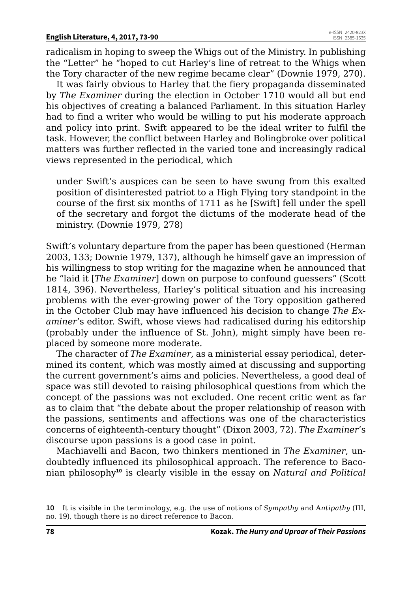radicalism in hoping to sweep the Whigs out of the Ministry. In publishing the "Letter" he "hoped to cut Harley's line of retreat to the Whigs when the Tory character of the new regime became clear" (Downie 1979, 270).

It was fairly obvious to Harley that the fiery propaganda disseminated by *The Examiner* during the election in October 1710 would all but end his objectives of creating a balanced Parliament. In this situation Harley had to find a writer who would be willing to put his moderate approach and policy into print. Swift appeared to be the ideal writer to fulfil the task. However, the conflict between Harley and Bolingbroke over political matters was further reflected in the varied tone and increasingly radical views represented in the periodical, which

under Swift's auspices can be seen to have swung from this exalted position of disinterested patriot to a High Flying tory standpoint in the course of the first six months of 1711 as he [Swift] fell under the spell of the secretary and forgot the dictums of the moderate head of the ministry. (Downie 1979, 278)

Swift's voluntary departure from the paper has been questioned (Herman 2003, 133; Downie 1979, 137), although he himself gave an impression of his willingness to stop writing for the magazine when he announced that he "laid it [*The Examiner*] down on purpose to confound guessers" (Scott 1814, 396). Nevertheless, Harley's political situation and his increasing problems with the ever-growing power of the Tory opposition gathered in the October Club may have influenced his decision to change *The Examiner*'s editor. Swift, whose views had radicalised during his editorship (probably under the influence of St. John), might simply have been replaced by someone more moderate.

The character of *The Examiner*, as a ministerial essay periodical, determined its content, which was mostly aimed at discussing and supporting the current government's aims and policies. Nevertheless, a good deal of space was still devoted to raising philosophical questions from which the concept of the passions was not excluded. One recent critic went as far as to claim that "the debate about the proper relationship of reason with the passions, sentiments and affections was one of the characteristics concerns of eighteenth-century thought" (Dixon 2003, 72). *The Examiner*'s discourse upon passions is a good case in point.

Machiavelli and Bacon, two thinkers mentioned in *The Examiner*, undoubtedly influenced its philosophical approach. The reference to Baconian philosophy**<sup>10</sup>** is clearly visible in the essay on *Natural and Political* 

**<sup>10</sup>** It is visible in the terminology, e.g. the use of notions of *Sympathy* and A*ntipathy* (III, no. 19), though there is no direct reference to Bacon.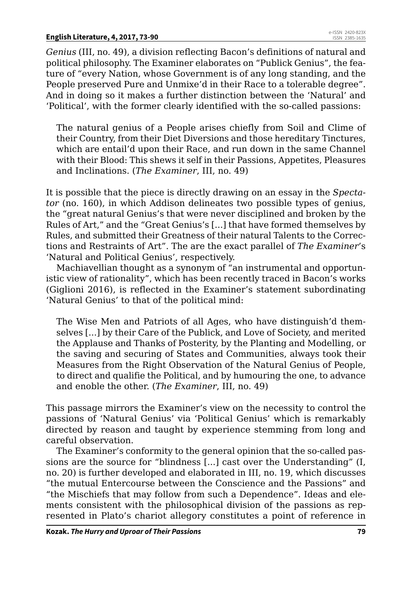*Genius* (III, no. 49), a division reflecting Bacon's definitions of natural and political philosophy. The Examiner elaborates on "Publick Genius", the feature of "every Nation, whose Government is of any long standing, and the People preserved Pure and Unmixe'd in their Race to a tolerable degree". And in doing so it makes a further distinction between the 'Natural' and 'Political', with the former clearly identified with the so-called passions:

The natural genius of a People arises chiefly from Soil and Clime of their Country, from their Diet Diversions and those hereditary Tinctures, which are entail'd upon their Race, and run down in the same Channel with their Blood: This shews it self in their Passions, Appetites, Pleasures and Inclinations. (*The Examiner*, III, no. 49)

It is possible that the piece is directly drawing on an essay in the *Spectator* (no. 160), in which Addison delineates two possible types of genius, the "great natural Genius's that were never disciplined and broken by the Rules of Art," and the "Great Genius's [...] that have formed themselves by Rules, and submitted their Greatness of their natural Talents to the Corrections and Restraints of Art". The are the exact parallel of *The Examiner*'s 'Natural and Political Genius', respectively.

Machiavellian thought as a synonym of "an instrumental and opportunistic view of rationality", which has been recently traced in Bacon's works (Giglioni 2016), is reflected in the Examiner's statement subordinating 'Natural Genius' to that of the political mind:

The Wise Men and Patriots of all Ages, who have distinguish'd themselves [...] by their Care of the Publick, and Love of Society, and merited the Applause and Thanks of Posterity, by the Planting and Modelling, or the saving and securing of States and Communities, always took their Measures from the Right Observation of the Natural Genius of People, to direct and qualifie the Political, and by humouring the one, to advance and enoble the other. (*The Examiner*, III, no. 49)

This passage mirrors the Examiner's view on the necessity to control the passions of 'Natural Genius' via 'Political Genius' which is remarkably directed by reason and taught by experience stemming from long and careful observation.

The Examiner's conformity to the general opinion that the so-called passions are the source for "blindness [...] cast over the Understanding" (I, no. 20) is further developed and elaborated in III, no. 19, which discusses "the mutual Entercourse between the Conscience and the Passions" and "the Mischiefs that may follow from such a Dependence". Ideas and elements consistent with the philosophical division of the passions as represented in Plato's chariot allegory constitutes a point of reference in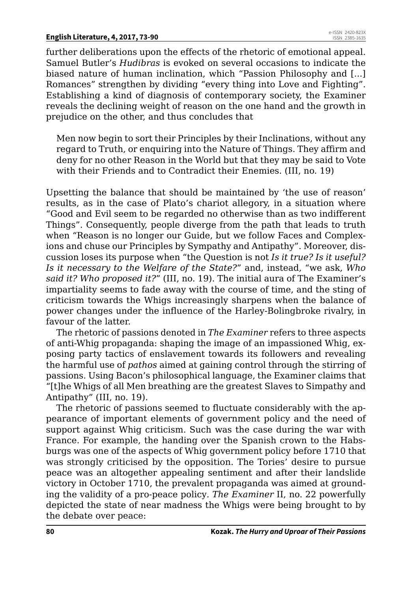#### **English Literature, 4, 2017, 73-90**

further deliberations upon the effects of the rhetoric of emotional appeal. Samuel Butler's *Hudibras* is evoked on several occasions to indicate the biased nature of human inclination, which "Passion Philosophy and [...] Romances" strengthen by dividing "every thing into Love and Fighting". Establishing a kind of diagnosis of contemporary society, the Examiner reveals the declining weight of reason on the one hand and the growth in prejudice on the other, and thus concludes that

Men now begin to sort their Principles by their Inclinations, without any regard to Truth, or enquiring into the Nature of Things. They affirm and deny for no other Reason in the World but that they may be said to Vote with their Friends and to Contradict their Enemies. (III, no. 19)

Upsetting the balance that should be maintained by 'the use of reason' results, as in the case of Plato's chariot allegory, in a situation where "Good and Evil seem to be regarded no otherwise than as two indifferent Things". Consequently, people diverge from the path that leads to truth when "Reason is no longer our Guide, but we follow Faces and Complexions and chuse our Principles by Sympathy and Antipathy". Moreover, discussion loses its purpose when "the Question is not *Is it true? Is it useful? Is it necessary to the Welfare of the State?*" and, instead, "we ask, *Who said it? Who proposed it?*" (III, no. 19). The initial aura of The Examiner's impartiality seems to fade away with the course of time, and the sting of criticism towards the Whigs increasingly sharpens when the balance of power changes under the influence of the Harley-Bolingbroke rivalry, in favour of the latter.

The rhetoric of passions denoted in *The Examiner* refers to three aspects of anti-Whig propaganda: shaping the image of an impassioned Whig, exposing party tactics of enslavement towards its followers and revealing the harmful use of *pathos* aimed at gaining control through the stirring of passions. Using Bacon's philosophical language, the Examiner claims that "[t]he Whigs of all Men breathing are the greatest Slaves to Simpathy and Antipathy" (III, no. 19).

The rhetoric of passions seemed to fluctuate considerably with the appearance of important elements of government policy and the need of support against Whig criticism. Such was the case during the war with France. For example, the handing over the Spanish crown to the Habsburgs was one of the aspects of Whig government policy before 1710 that was strongly criticised by the opposition. The Tories' desire to pursue peace was an altogether appealing sentiment and after their landslide victory in October 1710, the prevalent propaganda was aimed at grounding the validity of a pro-peace policy*. The Examiner* II, no. 22 powerfully depicted the state of near madness the Whigs were being brought to by the debate over peace: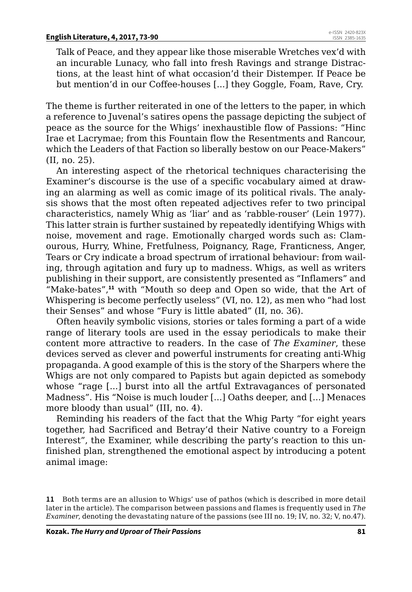Talk of Peace, and they appear like those miserable Wretches vex'd with an incurable Lunacy, who fall into fresh Ravings and strange Distractions, at the least hint of what occasion'd their Distemper. If Peace be but mention'd in our Coffee-houses [...] they Goggle, Foam, Rave, Cry.

The theme is further reiterated in one of the letters to the paper, in which a reference to Juvenal's satires opens the passage depicting the subject of peace as the source for the Whigs' inexhaustible flow of Passions: "Hinc Irae et Lacrymae; from this Fountain flow the Resentments and Rancour, which the Leaders of that Faction so liberally bestow on our Peace-Makers" (II, no. 25).

An interesting aspect of the rhetorical techniques characterising the Examiner's discourse is the use of a specific vocabulary aimed at drawing an alarming as well as comic image of its political rivals. The analysis shows that the most often repeated adjectives refer to two principal characteristics, namely Whig as 'liar' and as 'rabble-rouser' (Lein 1977). This latter strain is further sustained by repeatedly identifying Whigs with noise, movement and rage. Emotionally charged words such as: Clamourous, Hurry, Whine, Fretfulness, Poignancy, Rage, Franticness, Anger, Tears or Cry indicate a broad spectrum of irrational behaviour: from wailing, through agitation and fury up to madness. Whigs, as well as writers publishing in their support, are consistently presented as "Inflamers" and "Make-bates",**<sup>11</sup>** with "Mouth so deep and Open so wide, that the Art of Whispering is become perfectly useless" (VI, no. 12), as men who "had lost their Senses" and whose "Fury is little abated" (II, no. 36).

Often heavily symbolic visions, stories or tales forming a part of a wide range of literary tools are used in the essay periodicals to make their content more attractive to readers. In the case of *The Examiner*, these devices served as clever and powerful instruments for creating anti-Whig propaganda. A good example of this is the story of the Sharpers where the Whigs are not only compared to Papists but again depicted as somebody whose "rage [...] burst into all the artful Extravagances of personated Madness". His "Noise is much louder [...] Oaths deeper, and [...] Menaces more bloody than usual" (III, no. 4).

Reminding his readers of the fact that the Whig Party "for eight years together, had Sacrificed and Betray'd their Native country to a Foreign Interest", the Examiner, while describing the party's reaction to this unfinished plan, strengthened the emotional aspect by introducing a potent animal image:

**<sup>11</sup>** Both terms are an allusion to Whigs' use of pathos (which is described in more detail later in the article). The comparison between passions and flames is frequently used in *The Examiner*, denoting the devastating nature of the passions (see III no. 19; IV, no. 32; V, no.47).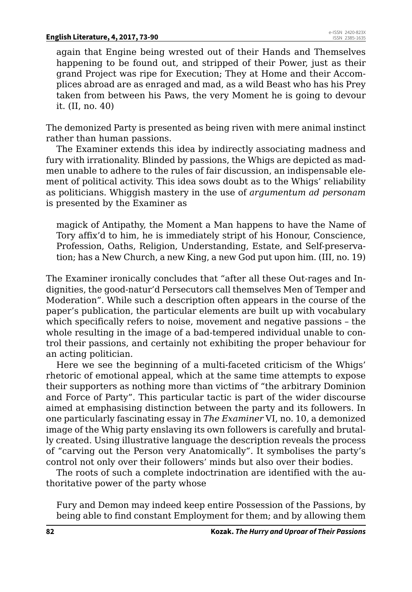again that Engine being wrested out of their Hands and Themselves happening to be found out, and stripped of their Power, just as their grand Project was ripe for Execution; They at Home and their Accomplices abroad are as enraged and mad, as a wild Beast who has his Prey taken from between his Paws, the very Moment he is going to devour it. (II, no. 40)

The demonized Party is presented as being riven with mere animal instinct rather than human passions.

The Examiner extends this idea by indirectly associating madness and fury with irrationality. Blinded by passions, the Whigs are depicted as madmen unable to adhere to the rules of fair discussion, an indispensable element of political activity. This idea sows doubt as to the Whigs' reliability as politicians. Whiggish mastery in the use of *argumentum ad personam*  is presented by the Examiner as

magick of Antipathy, the Moment a Man happens to have the Name of Tory affix'd to him, he is immediately stript of his Honour, Conscience, Profession, Oaths, Religion, Understanding, Estate, and Self-preservation; has a New Church, a new King, a new God put upon him. (III, no. 19)

The Examiner ironically concludes that "after all these Out-rages and Indignities, the good-natur'd Persecutors call themselves Men of Temper and Moderation". While such a description often appears in the course of the paper's publication, the particular elements are built up with vocabulary which specifically refers to noise, movement and negative passions – the whole resulting in the image of a bad-tempered individual unable to control their passions, and certainly not exhibiting the proper behaviour for an acting politician.

Here we see the beginning of a multi-faceted criticism of the Whigs' rhetoric of emotional appeal, which at the same time attempts to expose their supporters as nothing more than victims of "the arbitrary Dominion and Force of Party". This particular tactic is part of the wider discourse aimed at emphasising distinction between the party and its followers. In one particularly fascinating essay in *The Examiner* VI, no. 10, a demonized image of the Whig party enslaving its own followers is carefully and brutally created. Using illustrative language the description reveals the process of "carving out the Person very Anatomically". It symbolises the party's control not only over their followers' minds but also over their bodies.

The roots of such a complete indoctrination are identified with the authoritative power of the party whose

Fury and Demon may indeed keep entire Possession of the Passions, by being able to find constant Employment for them; and by allowing them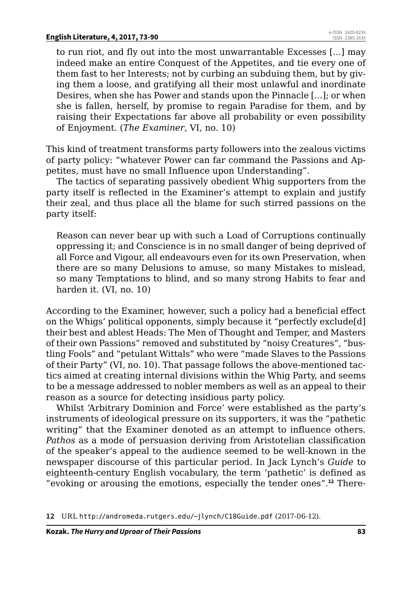to run riot, and fly out into the most unwarrantable Excesses [...] may indeed make an entire Conquest of the Appetites, and tie every one of them fast to her Interests; not by curbing an subduing them, but by giving them a loose, and gratifying all their most unlawful and inordinate Desires, when she has Power and stands upon the Pinnacle [...]; or when she is fallen, herself, by promise to regain Paradise for them, and by raising their Expectations far above all probability or even possibility of Enjoyment. (*The Examiner*, VI, no. 10)

This kind of treatment transforms party followers into the zealous victims of party policy: "whatever Power can far command the Passions and Appetites, must have no small Influence upon Understanding".

The tactics of separating passively obedient Whig supporters from the party itself is reflected in the Examiner's attempt to explain and justify their zeal, and thus place all the blame for such stirred passions on the party itself:

Reason can never bear up with such a Load of Corruptions continually oppressing it; and Conscience is in no small danger of being deprived of all Force and Vigour, all endeavours even for its own Preservation, when there are so many Delusions to amuse, so many Mistakes to mislead, so many Temptations to blind, and so many strong Habits to fear and harden it. (VI, no. 10)

According to the Examiner, however, such a policy had a beneficial effect on the Whigs' political opponents, simply because it "perfectly exclude[d] their best and ablest Heads: The Men of Thought and Temper, and Masters of their own Passions" removed and substituted by "noisy Creatures", "bustling Fools" and "petulant Wittals" who were "made Slaves to the Passions of their Party" (VI, no. 10). That passage follows the above-mentioned tactics aimed at creating internal divisions within the Whig Party, and seems to be a message addressed to nobler members as well as an appeal to their reason as a source for detecting insidious party policy.

Whilst 'Arbitrary Dominion and Force' were established as the party's instruments of ideological pressure on its supporters, it was the "pathetic writing" that the Examiner denoted as an attempt to influence others. *Pathos* as a mode of persuasion deriving from Aristotelian classification of the speaker's appeal to the audience seemed to be well-known in the newspaper discourse of this particular period. In Jack Lynch's *Guide* to eighteenth-century English vocabulary, the term 'pathetic' is defined as "evoking or arousing the emotions, especially the tender ones".**12** There-

**12** URL <http://andromeda.rutgers.edu/~jlynch/C18Guide.pdf> (2017-06-12).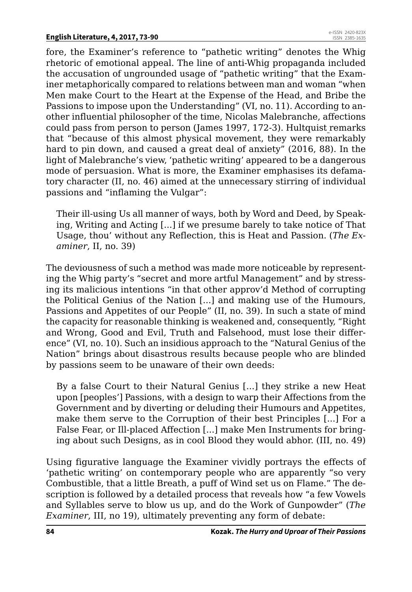fore, the Examiner's reference to "pathetic writing" denotes the Whig rhetoric of emotional appeal. The line of anti-Whig propaganda included the accusation of ungrounded usage of "pathetic writing" that the Examiner metaphorically compared to relations between man and woman "when Men make Court to the Heart at the Expense of the Head, and Bribe the Passions to impose upon the Understanding" (VI, no. 11). According to another influential philosopher of the time, Nicolas Malebranche, affections could pass from person to person (James 1997, 172-3). Hultquist remarks that "because of this almost physical movement, they were remarkably hard to pin down, and caused a great deal of anxiety" (2016, 88). In the light of Malebranche's view, 'pathetic writing' appeared to be a dangerous mode of persuasion. What is more, the Examiner emphasises its defamatory character (II, no. 46) aimed at the unnecessary stirring of individual passions and "inflaming the Vulgar":

Their ill-using Us all manner of ways, both by Word and Deed, by Speaking, Writing and Acting [...] if we presume barely to take notice of That Usage, thou' without any Reflection, this is Heat and Passion. (*The Examiner*, II, no. 39)

The deviousness of such a method was made more noticeable by representing the Whig party's "secret and more artful Management" and by stressing its malicious intentions "in that other approv'd Method of corrupting the Political Genius of the Nation [...] and making use of the Humours, Passions and Appetites of our People" (II, no. 39). In such a state of mind the capacity for reasonable thinking is weakened and, consequently, "Right and Wrong, Good and Evil, Truth and Falsehood, must lose their difference" (VI, no. 10). Such an insidious approach to the "Natural Genius of the Nation" brings about disastrous results because people who are blinded by passions seem to be unaware of their own deeds:

By a false Court to their Natural Genius [...] they strike a new Heat upon [peoples'] Passions, with a design to warp their Affections from the Government and by diverting or deluding their Humours and Appetites, make them serve to the Corruption of their best Principles [...] For a False Fear, or Ill-placed Affection [...] make Men Instruments for bringing about such Designs, as in cool Blood they would abhor. (III, no. 49)

Using figurative language the Examiner vividly portrays the effects of 'pathetic writing' on contemporary people who are apparently "so very Combustible, that a little Breath, a puff of Wind set us on Flame." The description is followed by a detailed process that reveals how "a few Vowels and Syllables serve to blow us up, and do the Work of Gunpowder" (*The Examiner*, III, no 19), ultimately preventing any form of debate: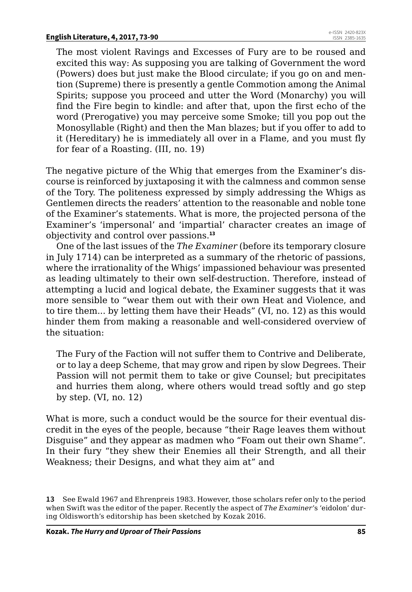The most violent Ravings and Excesses of Fury are to be roused and excited this way: As supposing you are talking of Government the word (Powers) does but just make the Blood circulate; if you go on and mention (Supreme) there is presently a gentle Commotion among the Animal Spirits; suppose you proceed and utter the Word (Monarchy) you will find the Fire begin to kindle: and after that, upon the first echo of the word (Prerogative) you may perceive some Smoke; till you pop out the Monosyllable (Right) and then the Man blazes; but if you offer to add to it (Hereditary) he is immediately all over in a Flame, and you must fly for fear of a Roasting. (III, no. 19)

The negative picture of the Whig that emerges from the Examiner's discourse is reinforced by juxtaposing it with the calmness and common sense of the Tory. The politeness expressed by simply addressing the Whigs as Gentlemen directs the readers' attention to the reasonable and noble tone of the Examiner's statements. What is more, the projected persona of the Examiner's 'impersonal' and 'impartial' character creates an image of objectivity and control over passions.**<sup>13</sup>**

One of the last issues of the *The Examiner* (before its temporary closure in July 1714) can be interpreted as a summary of the rhetoric of passions, where the irrationality of the Whigs' impassioned behaviour was presented as leading ultimately to their own self-destruction. Therefore, instead of attempting a lucid and logical debate, the Examiner suggests that it was more sensible to "wear them out with their own Heat and Violence, and to tire them... by letting them have their Heads" (VI, no. 12) as this would hinder them from making a reasonable and well-considered overview of the situation:

The Fury of the Faction will not suffer them to Contrive and Deliberate, or to lay a deep Scheme, that may grow and ripen by slow Degrees. Their Passion will not permit them to take or give Counsel; but precipitates and hurries them along, where others would tread softly and go step by step. (VI, no. 12)

What is more, such a conduct would be the source for their eventual discredit in the eyes of the people, because "their Rage leaves them without Disguise" and they appear as madmen who "Foam out their own Shame". In their fury "they shew their Enemies all their Strength, and all their Weakness; their Designs, and what they aim at" and

**<sup>13</sup>** See Ewald 1967 and Ehrenpreis 1983. However, those scholars refer only to the period when Swift was the editor of the paper. Recently the aspect of *The Examiner*'s 'eidolon' during Oldisworth's editorship has been sketched by Kozak 2016.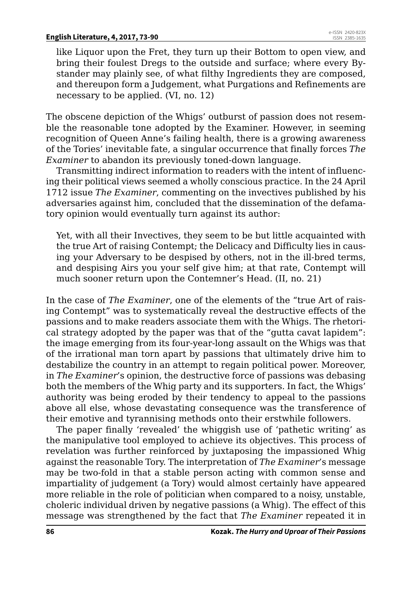like Liquor upon the Fret, they turn up their Bottom to open view, and bring their foulest Dregs to the outside and surface; where every Bystander may plainly see, of what filthy Ingredients they are composed, and thereupon form a Judgement, what Purgations and Refinements are necessary to be applied. (VI, no. 12)

The obscene depiction of the Whigs' outburst of passion does not resemble the reasonable tone adopted by the Examiner. However, in seeming recognition of Queen Anne's failing health, there is a growing awareness of the Tories' inevitable fate, a singular occurrence that finally forces *The Examiner* to abandon its previously toned-down language.

Transmitting indirect information to readers with the intent of influencing their political views seemed a wholly conscious practice. In the 24 April 1712 issue *The Examiner*, commenting on the invectives published by his adversaries against him, concluded that the dissemination of the defamatory opinion would eventually turn against its author:

Yet, with all their Invectives, they seem to be but little acquainted with the true Art of raising Contempt; the Delicacy and Difficulty lies in causing your Adversary to be despised by others, not in the ill-bred terms, and despising Airs you your self give him; at that rate, Contempt will much sooner return upon the Contemner's Head. (II, no. 21)

In the case of *The Examiner*, one of the elements of the "true Art of raising Contempt" was to systematically reveal the destructive effects of the passions and to make readers associate them with the Whigs. The rhetorical strategy adopted by the paper was that of the "gutta cavat lapidem": the image emerging from its four-year-long assault on the Whigs was that of the irrational man torn apart by passions that ultimately drive him to destabilize the country in an attempt to regain political power. Moreover, in *The Examiner*'s opinion, the destructive force of passions was debasing both the members of the Whig party and its supporters. In fact, the Whigs' authority was being eroded by their tendency to appeal to the passions above all else, whose devastating consequence was the transference of their emotive and tyrannising methods onto their erstwhile followers.

The paper finally 'revealed' the whiggish use of 'pathetic writing' as the manipulative tool employed to achieve its objectives. This process of revelation was further reinforced by juxtaposing the impassioned Whig against the reasonable Tory. The interpretation of *The Examiner*'s message may be two-fold in that a stable person acting with common sense and impartiality of judgement (a Tory) would almost certainly have appeared more reliable in the role of politician when compared to a noisy, unstable, choleric individual driven by negative passions (a Whig). The effect of this message was strengthened by the fact that *The Examiner* repeated it in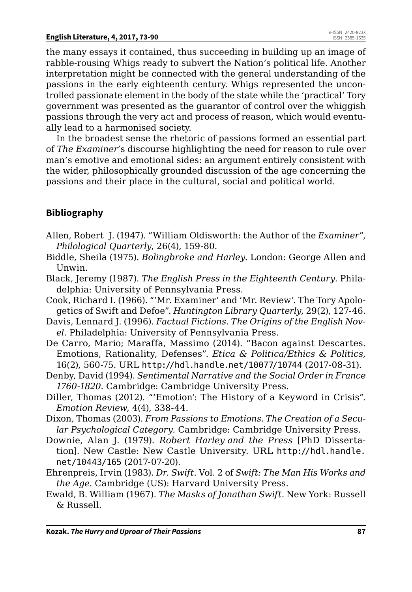the many essays it contained, thus succeeding in building up an image of rabble-rousing Whigs ready to subvert the Nation's political life. Another interpretation might be connected with the general understanding of the passions in the early eighteenth century. Whigs represented the uncontrolled passionate element in the body of the state while the 'practical' Tory government was presented as the guarantor of control over the whiggish passions through the very act and process of reason, which would eventually lead to a harmonised society.

In the broadest sense the rhetoric of passions formed an essential part of *The Examiner*'s discourse highlighting the need for reason to rule over man's emotive and emotional sides: an argument entirely consistent with the wider, philosophically grounded discussion of the age concerning the passions and their place in the cultural, social and political world.

### **Bibliography**

- Allen, Robert J. (1947). "William Oldisworth: the Author of the *Examiner*", *Philological Quarterly*, 26(4), 159-80.
- Biddle, Sheila (1975). *Bolingbroke and Harley*. London: George Allen and Unwin.
- Black, Jeremy (1987). *The English Press in the Eighteenth Century*. Philadelphia: University of Pennsylvania Press.
- Cook, Richard I. (1966). "'Mr. Examiner' and 'Mr. Review'. The Tory Apologetics of Swift and Defoe". *Huntington Library Quarterly*, 29(2), 127-46.
- Davis, Lennard J. (1996). *Factual Fictions. The Origins of the English Novel*. Philadelphia: University of Pennsylvania Press.
- De Carro, Mario; Maraffa, Massimo (2014). "Bacon against Descartes. Emotions, Rationality, Defenses". *Etica & Politica/Ethics & Politics*, 16(2), 560-75. URL <http://hdl.handle.net/10077/10744> (2017-08-31).
- Denby, David (1994). *Sentimental Narrative and the Social Order in France 1760-1820*. Cambridge: Cambridge University Press.
- Diller, Thomas (2012). "'Emotion': The History of a Keyword in Crisis". *Emotion Review*, 4(4), 338-44.
- Dixon, Thomas (2003). *From Passions to Emotions. The Creation of a Secular Psychological Category.* Cambridge: Cambridge University Press.
- Downie, Alan J. (1979). *Robert Harley and the Press* [PhD Dissertation]. New Castle: New Castle University. URL [http://hdl.handle.](http://hdl.handle.net/10443/165) [net/10443/165](http://hdl.handle.net/10443/165) (2017-07-20).
- Ehrenpreis, Irvin (1983). *Dr. Swift*. Vol. 2 of *Swift: The Man His Works and the Age.* Cambridge (US): Harvard University Press.
- Ewald, B. William (1967). *The Masks of Jonathan Swift*. New York: Russell & Russell.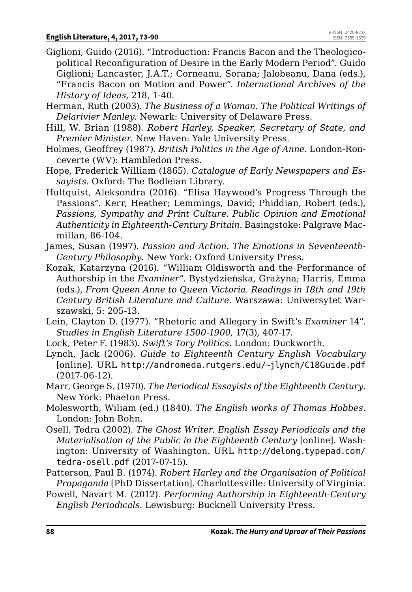- Giglioni, Guido (2016). "Introduction: Francis Bacon and the Theologicopolitical Reconfiguration of Desire in the Early Modern Period". Guido Giglioni; Lancaster, J.A.T.; Corneanu, Sorana; Jalobeanu, Dana (eds.), "Francis Bacon on Motion and Power". *International Archives of the History of Ideas*, 218, 1-40.
- Herman, Ruth (2003). *The Business of a Woman. The Political Writings of Delarivier Manley.* Newark: University of Delaware Press.
- Hill, W. Brian (1988). *Robert Harley, Speaker, Secretary of State, and Premier Minister*. New Haven: Yale University Press.
- Holmes, Geoffrey (1987). *British Politics in the Age of Anne*. London-Ronceverte (WV): Hambledon Press.
- Hope, Frederick William (1865). *Catalogue of Early Newspapers and Essayists*. Oxford: The Bodleian Library.
- Hultquist, Aleksondra (2016). "Elisa Haywood's Progress Through the Passions". Kerr, Heather; Lemmings, David; Phiddian, Robert (eds.), *Passions, Sympathy and Print Culture. Public Opinion and Emotional Authenticity in Eighteenth-Century Britain*. Basingstoke: Palgrave Macmillan, 86-104.
- James, Susan (1997). *Passion and Action. The Emotions in Seventeenth-Century Philosophy*. New York: Oxford University Press.
- Kozak, Katarzyna (2016). "William Oldisworth and the Performance of Authorship in the *Examiner*". Bystydzieńska, Grażyna; Harris, Emma (eds.), *From Queen Anne to Queen Victoria. Readings in 18th and 19th Century British Literature and Culture*. Warszawa: Uniwersytet Warszawski, 5: 205-13.
- Lein, Clayton D. (1977). "Rhetoric and Allegory in Swift's *Examiner* 14". *Studies in English Literature 1500-1900*, 17(3), 407-17.
- Lock, Peter F. (1983). *Swift's Tory Politics*. London: Duckworth.
- Lynch, Jack (2006). *Guide to Eighteenth Century English Vocabulary* [online]. URL <http://andromeda.rutgers.edu/~jlynch/C18Guide.pdf> (2017-06-12).
- Marr, George S. (1970). *The Periodical Essayists of the Eighteenth Century*. New York: Phaeton Press.
- Molesworth, Wiliam (ed.) (1840). *The English works of Thomas Hobbes*. London: John Bohn.
- Osell, Tedra (2002). *The Ghost Writer*. *English Essay Periodicals and the Materialisation of the Public in the Eighteenth Century* [online]*.* Washington: University of Washington. URL [http://delong.typepad.com/](http://delong.typepad.com/tedra-osell.pdf) [tedra-osell.pdf](http://delong.typepad.com/tedra-osell.pdf) (2017-07-15).
- Patterson, Paul B. (1974). *Robert Harley and the Organisation of Political Propaganda* [PhD Dissertation]. Charlottesville: University of Virginia.
- Powell, Navart M. (2012). *Performing Authorship in Eighteenth-Century English Periodicals*. Lewisburg: Bucknell University Press.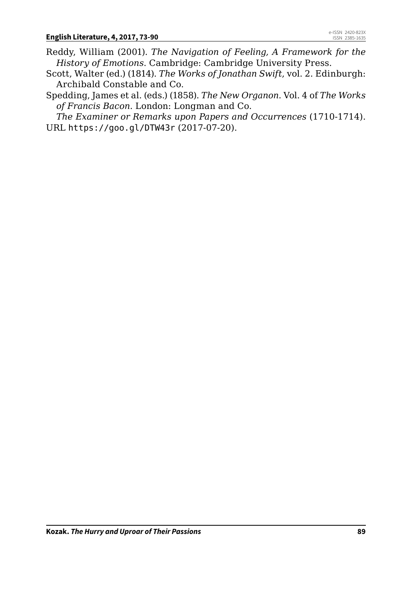- Reddy, William (2001). *The Navigation of Feeling, A Framework for the History of Emotions*. Cambridge: Cambridge University Press.
- Scott, Walter (ed.) (1814). *The Works of Jonathan Swift*, vol. 2. Edinburgh: Archibald Constable and Co.
- Spedding, James et al. (eds.) (1858). *The New Organon*. Vol. 4 of *The Works of Francis Bacon*. London: Longman and Co.

*The Examiner or Remarks upon Papers and Occurrences* (1710-1714). URL <https://goo.gl/DTW43r> (2017-07-20).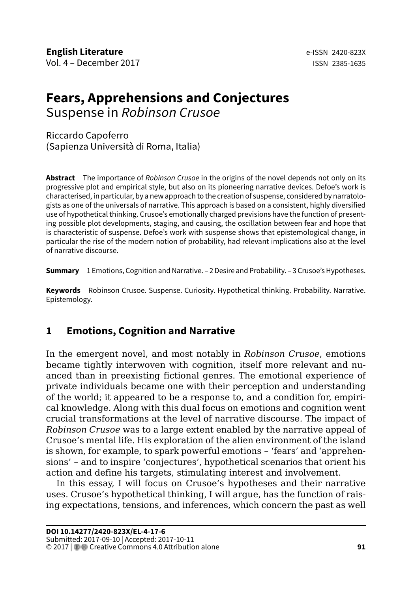# **Fears, Apprehensions and Conjectures**

Suspense in *Robinson Crusoe*

### Riccardo Capoferro (Sapienza Università di Roma, Italia)

**Abstract** The importance of *Robinson Crusoe* in the origins of the novel depends not only on its progressive plot and empirical style, but also on its pioneering narrative devices. Defoe's work is characterised, in particular, by a new approach to the creation of suspense, considered by narratologists as one of the universals of narrative. This approach is based on a consistent, highly diversified use of hypothetical thinking. Crusoe's emotionally charged previsions have the function of presenting possible plot developments, staging, and causing, the oscillation between fear and hope that is characteristic of suspense. Defoe's work with suspense shows that epistemological change, in particular the rise of the modern notion of probability, had relevant implications also at the level of narrative discourse.

**Summary** 1 Emotions, Cognition and Narrative. – 2 Desire and Probability. – 3 Crusoe's Hypotheses.

**Keywords** Robinson Crusoe. Suspense. Curiosity. Hypothetical thinking. Probability. Narrative. Epistemology.

# **1 Emotions, Cognition and Narrative**

In the emergent novel, and most notably in *Robinson Crusoe*, emotions became tightly interwoven with cognition, itself more relevant and nuanced than in preexisting fictional genres. The emotional experience of private individuals became one with their perception and understanding of the world; it appeared to be a response to, and a condition for, empirical knowledge. Along with this dual focus on emotions and cognition went crucial transformations at the level of narrative discourse. The impact of *Robinson Crusoe* was to a large extent enabled by the narrative appeal of Crusoe's mental life. His exploration of the alien environment of the island is shown, for example, to spark powerful emotions – 'fears' and 'apprehensions' – and to inspire 'conjectures', hypothetical scenarios that orient his action and define his targets, stimulating interest and involvement.

In this essay, I will focus on Crusoe's hypotheses and their narrative uses. Crusoe's hypothetical thinking, I will argue, has the function of raising expectations, tensions, and inferences, which concern the past as well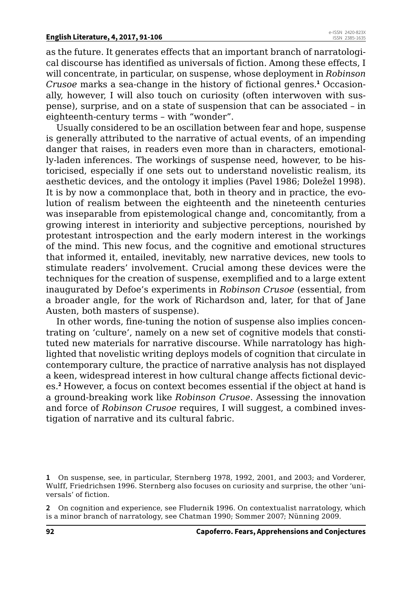as the future. It generates effects that an important branch of narratological discourse has identified as universals of fiction. Among these effects, I will concentrate, in particular, on suspense, whose deployment in *Robinson Crusoe* marks a sea-change in the history of fictional genres.**<sup>1</sup>** Occasionally, however, I will also touch on curiosity (often interwoven with suspense), surprise, and on a state of suspension that can be associated – in eighteenth-century terms – with "wonder".

Usually considered to be an oscillation between fear and hope, suspense is generally attributed to the narrative of actual events, of an impending danger that raises, in readers even more than in characters, emotionally-laden inferences. The workings of suspense need, however, to be historicised, especially if one sets out to understand novelistic realism, its aesthetic devices, and the ontology it implies (Pavel 1986; Doležel 1998). It is by now a commonplace that, both in theory and in practice, the evolution of realism between the eighteenth and the nineteenth centuries was inseparable from epistemological change and, concomitantly, from a growing interest in interiority and subjective perceptions, nourished by protestant introspection and the early modern interest in the workings of the mind. This new focus, and the cognitive and emotional structures that informed it, entailed, inevitably, new narrative devices, new tools to stimulate readers' involvement. Crucial among these devices were the techniques for the creation of suspense, exemplified and to a large extent inaugurated by Defoe's experiments in *Robinson Crusoe* (essential, from a broader angle, for the work of Richardson and, later, for that of Jane Austen, both masters of suspense).

In other words, fine-tuning the notion of suspense also implies concentrating on 'culture', namely on a new set of cognitive models that constituted new materials for narrative discourse. While narratology has highlighted that novelistic writing deploys models of cognition that circulate in contemporary culture, the practice of narrative analysis has not displayed a keen, widespread interest in how cultural change affects fictional devices.**<sup>2</sup>** However, a focus on context becomes essential if the object at hand is a ground-breaking work like *Robinson Crusoe*. Assessing the innovation and force of *Robinson Crusoe* requires, I will suggest, a combined investigation of narrative and its cultural fabric.

**<sup>1</sup>** On suspense, see, in particular, Sternberg 1978, 1992, 2001, and 2003; and Vorderer, Wulff, Friedrichsen 1996. Sternberg also focuses on curiosity and surprise, the other 'universals' of fiction.

**<sup>2</sup>** On cognition and experience, see Fludernik 1996. On contextualist narratology, which is a minor branch of narratology, see Chatman 1990; Sommer 2007; Nünning 2009.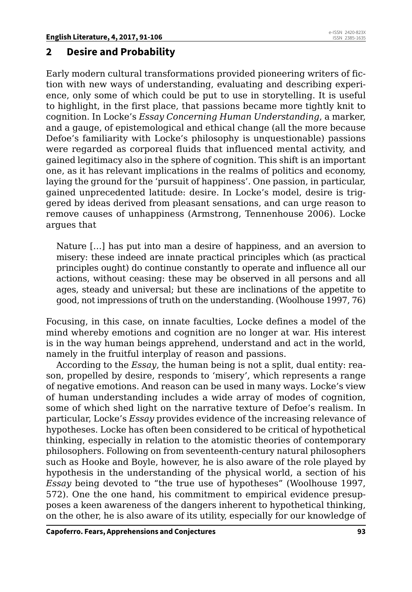## **2 Desire and Probability**

Early modern cultural transformations provided pioneering writers of fiction with new ways of understanding, evaluating and describing experience, only some of which could be put to use in storytelling. It is useful to highlight, in the first place, that passions became more tightly knit to cognition. In Locke's *Essay Concerning Human Understanding*, a marker, and a gauge, of epistemological and ethical change (all the more because Defoe's familiarity with Locke's philosophy is unquestionable) passions were regarded as corporeal fluids that influenced mental activity, and gained legitimacy also in the sphere of cognition. This shift is an important one, as it has relevant implications in the realms of politics and economy, laying the ground for the 'pursuit of happiness'. One passion, in particular, gained unprecedented latitude: desire. In Locke's model, desire is triggered by ideas derived from pleasant sensations, and can urge reason to remove causes of unhappiness (Armstrong, Tennenhouse 2006). Locke argues that

Nature […] has put into man a desire of happiness, and an aversion to misery: these indeed are innate practical principles which (as practical principles ought) do continue constantly to operate and influence all our actions, without ceasing: these may be observed in all persons and all ages, steady and universal; but these are inclinations of the appetite to good, not impressions of truth on the understanding. (Woolhouse 1997, 76)

Focusing, in this case, on innate faculties, Locke defines a model of the mind whereby emotions and cognition are no longer at war. His interest is in the way human beings apprehend, understand and act in the world, namely in the fruitful interplay of reason and passions.

According to the *Essay*, the human being is not a split, dual entity: reason, propelled by desire, responds to 'misery', which represents a range of negative emotions. And reason can be used in many ways. Locke's view of human understanding includes a wide array of modes of cognition, some of which shed light on the narrative texture of Defoe's realism. In particular, Locke's *Essay* provides evidence of the increasing relevance of hypotheses. Locke has often been considered to be critical of hypothetical thinking, especially in relation to the atomistic theories of contemporary philosophers. Following on from seventeenth-century natural philosophers such as Hooke and Boyle, however, he is also aware of the role played by hypothesis in the understanding of the physical world, a section of his *Essay* being devoted to "the true use of hypotheses" (Woolhouse 1997, 572). One the one hand, his commitment to empirical evidence presupposes a keen awareness of the dangers inherent to hypothetical thinking, on the other, he is also aware of its utility, especially for our knowledge of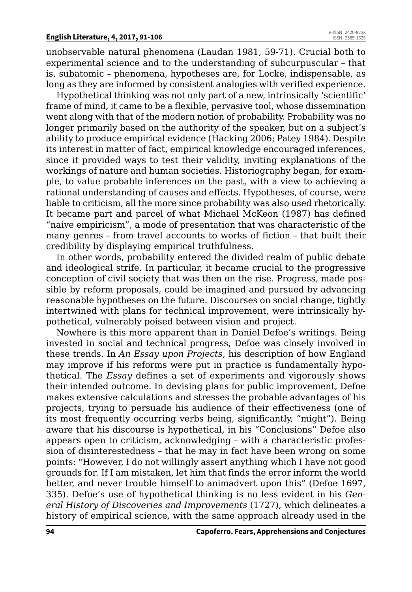unobservable natural phenomena (Laudan 1981, 59-71). Crucial both to experimental science and to the understanding of subcurpuscular – that is, subatomic – phenomena, hypotheses are, for Locke, indispensable, as long as they are informed by consistent analogies with verified experience.

Hypothetical thinking was not only part of a new, intrinsically 'scientific' frame of mind, it came to be a flexible, pervasive tool, whose dissemination went along with that of the modern notion of probability. Probability was no longer primarily based on the authority of the speaker, but on a subject's ability to produce empirical evidence (Hacking 2006; Patey 1984). Despite its interest in matter of fact, empirical knowledge encouraged inferences, since it provided ways to test their validity, inviting explanations of the workings of nature and human societies. Historiography began, for example, to value probable inferences on the past, with a view to achieving a rational understanding of causes and effects. Hypotheses, of course, were liable to criticism, all the more since probability was also used rhetorically. It became part and parcel of what Michael McKeon (1987) has defined "naive empiricism", a mode of presentation that was characteristic of the many genres – from travel accounts to works of fiction – that built their credibility by displaying empirical truthfulness.

In other words, probability entered the divided realm of public debate and ideological strife. In particular, it became crucial to the progressive conception of civil society that was then on the rise. Progress, made possible by reform proposals, could be imagined and pursued by advancing reasonable hypotheses on the future. Discourses on social change, tightly intertwined with plans for technical improvement, were intrinsically hypothetical, vulnerably poised between vision and project.

Nowhere is this more apparent than in Daniel Defoe's writings. Being invested in social and technical progress, Defoe was closely involved in these trends. In *An Essay upon Projects*, his description of how England may improve if his reforms were put in practice is fundamentally hypothetical. The *Essay* defines a set of experiments and vigorously shows their intended outcome. In devising plans for public improvement, Defoe makes extensive calculations and stresses the probable advantages of his projects, trying to persuade his audience of their effectiveness (one of its most frequently occurring verbs being, significantly, "might"). Being aware that his discourse is hypothetical, in his "Conclusions" Defoe also appears open to criticism, acknowledging – with a characteristic profession of disinterestedness – that he may in fact have been wrong on some points: "However, I do not willingly assert anything which I have not good grounds for. If I am mistaken, let him that finds the error inform the world better, and never trouble himself to animadvert upon this" (Defoe 1697, 335). Defoe's use of hypothetical thinking is no less evident in his *General History of Discoveries and Improvements* (1727), which delineates a history of empirical science, with the same approach already used in the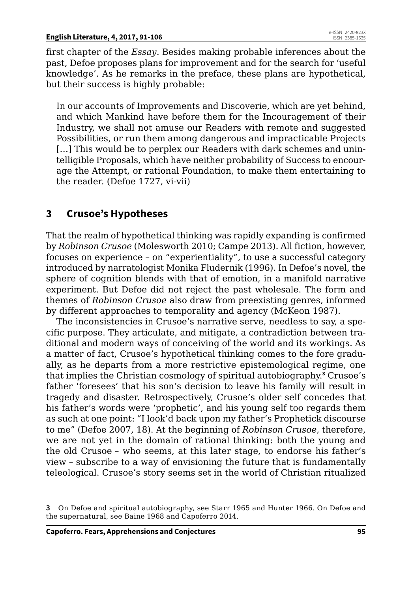first chapter of the *Essay*. Besides making probable inferences about the past, Defoe proposes plans for improvement and for the search for 'useful knowledge'. As he remarks in the preface, these plans are hypothetical, but their success is highly probable:

In our accounts of Improvements and Discoverie, which are yet behind, and which Mankind have before them for the Incouragement of their Industry, we shall not amuse our Readers with remote and suggested Possibilities, or run them among dangerous and impracticable Projects [...] This would be to perplex our Readers with dark schemes and unintelligible Proposals, which have neither probability of Success to encourage the Attempt, or rational Foundation, to make them entertaining to the reader. (Defoe 1727, vi-vii)

# **3 Crusoe's Hypotheses**

That the realm of hypothetical thinking was rapidly expanding is confirmed by *Robinson Crusoe* (Molesworth 2010; Campe 2013)*.* All fiction, however, focuses on experience – on "experientiality", to use a successful category introduced by narratologist Monika Fludernik (1996). In Defoe's novel, the sphere of cognition blends with that of emotion, in a manifold narrative experiment. But Defoe did not reject the past wholesale. The form and themes of *Robinson Crusoe* also draw from preexisting genres, informed by different approaches to temporality and agency (McKeon 1987).

The inconsistencies in Crusoe's narrative serve, needless to say, a specific purpose. They articulate, and mitigate, a contradiction between traditional and modern ways of conceiving of the world and its workings. As a matter of fact, Crusoe's hypothetical thinking comes to the fore gradually, as he departs from a more restrictive epistemological regime, one that implies the Christian cosmology of spiritual autobiography.**<sup>3</sup>** Crusoe's father 'foresees' that his son's decision to leave his family will result in tragedy and disaster. Retrospectively, Crusoe's older self concedes that his father's words were 'prophetic', and his young self too regards them as such at one point: "I look'd back upon my father's Prophetick discourse to me" (Defoe 2007, 18). At the beginning of *Robinson Crusoe*, therefore, we are not yet in the domain of rational thinking: both the young and the old Crusoe – who seems, at this later stage, to endorse his father's view – subscribe to a way of envisioning the future that is fundamentally teleological. Crusoe's story seems set in the world of Christian ritualized

**<sup>3</sup>** On Defoe and spiritual autobiography, see Starr 1965 and Hunter 1966. On Defoe and the supernatural, see Baine 1968 and Capoferro 2014.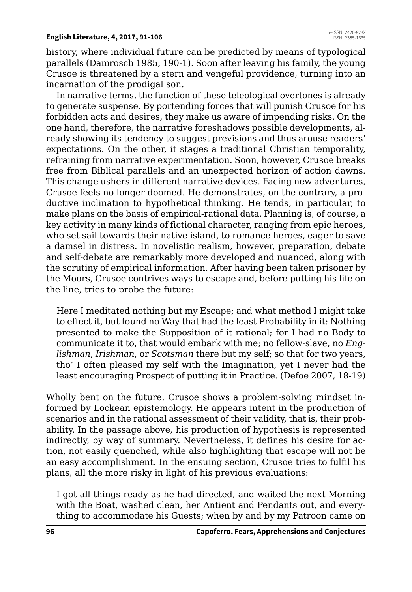history, where individual future can be predicted by means of typological parallels (Damrosch 1985, 190-1). Soon after leaving his family, the young Crusoe is threatened by a stern and vengeful providence, turning into an incarnation of the prodigal son.

In narrative terms, the function of these teleological overtones is already to generate suspense. By portending forces that will punish Crusoe for his forbidden acts and desires, they make us aware of impending risks. On the one hand, therefore, the narrative foreshadows possible developments, already showing its tendency to suggest previsions and thus arouse readers' expectations. On the other, it stages a traditional Christian temporality, refraining from narrative experimentation. Soon, however, Crusoe breaks free from Biblical parallels and an unexpected horizon of action dawns. This change ushers in different narrative devices. Facing new adventures, Crusoe feels no longer doomed. He demonstrates, on the contrary, a productive inclination to hypothetical thinking. He tends, in particular, to make plans on the basis of empirical-rational data. Planning is, of course, a key activity in many kinds of fictional character, ranging from epic heroes, who set sail towards their native island, to romance heroes, eager to save a damsel in distress. In novelistic realism, however, preparation, debate and self-debate are remarkably more developed and nuanced, along with the scrutiny of empirical information. After having been taken prisoner by the Moors, Crusoe contrives ways to escape and, before putting his life on the line, tries to probe the future:

Here I meditated nothing but my Escape; and what method I might take to effect it, but found no Way that had the least Probability in it: Nothing presented to make the Supposition of it rational; for I had no Body to communicate it to, that would embark with me; no fellow-slave, no *Englishman*, *Irishman*, or *Scotsman* there but my self; so that for two years, tho' I often pleased my self with the Imagination, yet I never had the least encouraging Prospect of putting it in Practice. (Defoe 2007, 18-19)

Wholly bent on the future, Crusoe shows a problem-solving mindset informed by Lockean epistemology. He appears intent in the production of scenarios and in the rational assessment of their validity, that is, their probability. In the passage above, his production of hypothesis is represented indirectly, by way of summary. Nevertheless, it defines his desire for action, not easily quenched, while also highlighting that escape will not be an easy accomplishment. In the ensuing section, Crusoe tries to fulfil his plans, all the more risky in light of his previous evaluations:

I got all things ready as he had directed, and waited the next Morning with the Boat, washed clean, her Antient and Pendants out, and everything to accommodate his Guests; when by and by my Patroon came on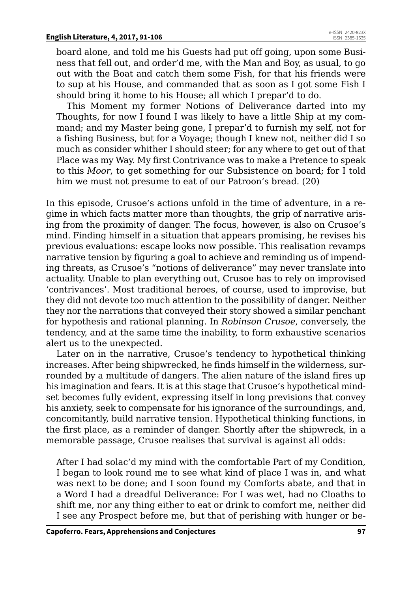board alone, and told me his Guests had put off going, upon some Business that fell out, and order'd me, with the Man and Boy, as usual, to go out with the Boat and catch them some Fish, for that his friends were to sup at his House, and commanded that as soon as I got some Fish I should bring it home to his House; all which I prepar'd to do.

This Moment my former Notions of Deliverance darted into my Thoughts, for now I found I was likely to have a little Ship at my command; and my Master being gone, I prepar'd to furnish my self, not for a fishing Business, but for a Voyage; though I knew not, neither did I so much as consider whither I should steer; for any where to get out of that Place was my Way. My first Contrivance was to make a Pretence to speak to this *Moor*, to get something for our Subsistence on board; for I told him we must not presume to eat of our Patroon's bread. (20)

In this episode, Crusoe's actions unfold in the time of adventure, in a regime in which facts matter more than thoughts, the grip of narrative arising from the proximity of danger. The focus, however, is also on Crusoe's mind. Finding himself in a situation that appears promising, he revises his previous evaluations: escape looks now possible. This realisation revamps narrative tension by figuring a goal to achieve and reminding us of impending threats, as Crusoe's "notions of deliverance" may never translate into actuality. Unable to plan everything out, Crusoe has to rely on improvised 'contrivances'. Most traditional heroes, of course, used to improvise, but they did not devote too much attention to the possibility of danger. Neither they nor the narrations that conveyed their story showed a similar penchant for hypothesis and rational planning. In *Robinson Crusoe*, conversely, the tendency, and at the same time the inability, to form exhaustive scenarios alert us to the unexpected.

Later on in the narrative, Crusoe's tendency to hypothetical thinking increases. After being shipwrecked, he finds himself in the wilderness, surrounded by a multitude of dangers. The alien nature of the island fires up his imagination and fears. It is at this stage that Crusoe's hypothetical mindset becomes fully evident, expressing itself in long previsions that convey his anxiety, seek to compensate for his ignorance of the surroundings, and, concomitantly, build narrative tension. Hypothetical thinking functions, in the first place, as a reminder of danger. Shortly after the shipwreck, in a memorable passage, Crusoe realises that survival is against all odds:

After I had solac'd my mind with the comfortable Part of my Condition, I began to look round me to see what kind of place I was in, and what was next to be done; and I soon found my Comforts abate, and that in a Word I had a dreadful Deliverance: For I was wet, had no Cloaths to shift me, nor any thing either to eat or drink to comfort me, neither did I see any Prospect before me, but that of perishing with hunger or be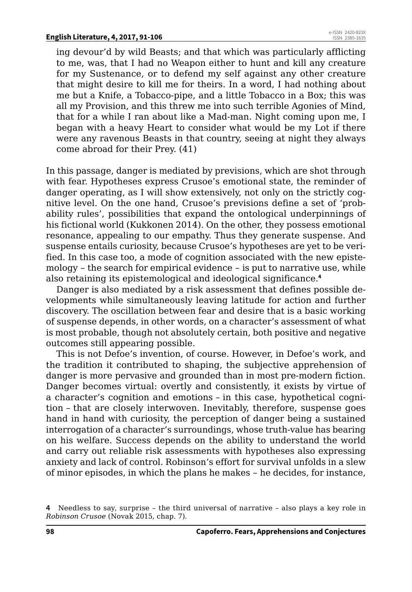ing devour'd by wild Beasts; and that which was particularly afflicting to me, was, that I had no Weapon either to hunt and kill any creature for my Sustenance, or to defend my self against any other creature that might desire to kill me for theirs. In a word, I had nothing about me but a Knife, a Tobacco-pipe, and a little Tobacco in a Box; this was all my Provision, and this threw me into such terrible Agonies of Mind, that for a while I ran about like a Mad-man. Night coming upon me, I began with a heavy Heart to consider what would be my Lot if there were any ravenous Beasts in that country, seeing at night they always come abroad for their Prey. (41)

In this passage, danger is mediated by previsions, which are shot through with fear. Hypotheses express Crusoe's emotional state, the reminder of danger operating, as I will show extensively, not only on the strictly cognitive level. On the one hand, Crusoe's previsions define a set of 'probability rules', possibilities that expand the ontological underpinnings of his fictional world (Kukkonen 2014). On the other, they possess emotional resonance, appealing to our empathy. Thus they generate suspense. And suspense entails curiosity, because Crusoe's hypotheses are yet to be verified. In this case too, a mode of cognition associated with the new epistemology – the search for empirical evidence – is put to narrative use, while also retaining its epistemological and ideological significance.**<sup>4</sup>**

Danger is also mediated by a risk assessment that defines possible developments while simultaneously leaving latitude for action and further discovery. The oscillation between fear and desire that is a basic working of suspense depends, in other words, on a character's assessment of what is most probable, though not absolutely certain, both positive and negative outcomes still appearing possible.

This is not Defoe's invention, of course. However, in Defoe's work, and the tradition it contributed to shaping, the subjective apprehension of danger is more pervasive and grounded than in most pre-modern fiction. Danger becomes virtual: overtly and consistently, it exists by virtue of a character's cognition and emotions – in this case, hypothetical cognition – that are closely interwoven. Inevitably, therefore, suspense goes hand in hand with curiosity, the perception of danger being a sustained interrogation of a character's surroundings, whose truth-value has bearing on his welfare. Success depends on the ability to understand the world and carry out reliable risk assessments with hypotheses also expressing anxiety and lack of control. Robinson's effort for survival unfolds in a slew of minor episodes, in which the plans he makes – he decides, for instance,

**<sup>4</sup>** Needless to say, surprise – the third universal of narrative – also plays a key role in *Robinson Crusoe* (Novak 2015, chap. 7).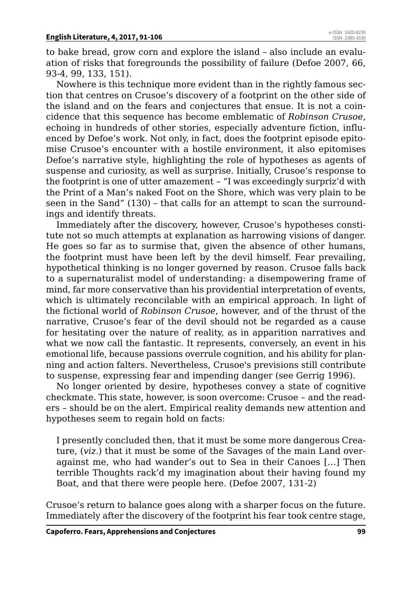to bake bread, grow corn and explore the island – also include an evaluation of risks that foregrounds the possibility of failure (Defoe 2007, 66, 93-4, 99, 133, 151).

Nowhere is this technique more evident than in the rightly famous section that centres on Crusoe's discovery of a footprint on the other side of the island and on the fears and conjectures that ensue. It is not a coincidence that this sequence has become emblematic of *Robinson Crusoe*, echoing in hundreds of other stories, especially adventure fiction, influenced by Defoe's work. Not only, in fact, does the footprint episode epitomise Crusoe's encounter with a hostile environment, it also epitomises Defoe's narrative style, highlighting the role of hypotheses as agents of suspense and curiosity, as well as surprise. Initially, Crusoe's response to the footprint is one of utter amazement – "I was exceedingly surpriz'd with the Print of a Man's naked Foot on the Shore, which was very plain to be seen in the Sand" (130) – that calls for an attempt to scan the surroundings and identify threats.

Immediately after the discovery, however, Crusoe's hypotheses constitute not so much attempts at explanation as harrowing visions of danger. He goes so far as to surmise that, given the absence of other humans, the footprint must have been left by the devil himself. Fear prevailing, hypothetical thinking is no longer governed by reason. Crusoe falls back to a supernaturalist model of understanding: a disempowering frame of mind, far more conservative than his providential interpretation of events, which is ultimately reconcilable with an empirical approach. In light of the fictional world of *Robinson Crusoe*, however, and of the thrust of the narrative, Crusoe's fear of the devil should not be regarded as a cause for hesitating over the nature of reality, as in apparition narratives and what we now call the fantastic. It represents, conversely, an event in his emotional life, because passions overrule cognition, and his ability for planning and action falters. Nevertheless, Crusoe's previsions still contribute to suspense, expressing fear and impending danger (see Gerrig 1996).

No longer oriented by desire, hypotheses convey a state of cognitive checkmate. This state, however, is soon overcome: Crusoe – and the readers – should be on the alert. Empirical reality demands new attention and hypotheses seem to regain hold on facts:

I presently concluded then, that it must be some more dangerous Creature, (*viz*.) that it must be some of the Savages of the main Land overagainst me, who had wander's out to Sea in their Canoes […] Then terrible Thoughts rack'd my imagination about their having found my Boat, and that there were people here. (Defoe 2007, 131-2)

Crusoe's return to balance goes along with a sharper focus on the future. Immediately after the discovery of the footprint his fear took centre stage,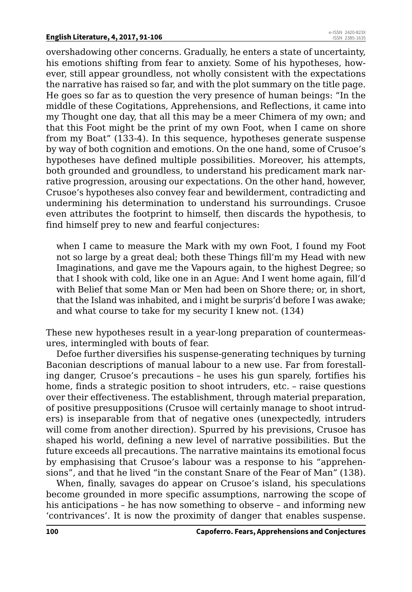overshadowing other concerns. Gradually, he enters a state of uncertainty, his emotions shifting from fear to anxiety. Some of his hypotheses, however, still appear groundless, not wholly consistent with the expectations the narrative has raised so far, and with the plot summary on the title page. He goes so far as to question the very presence of human beings: "In the middle of these Cogitations, Apprehensions, and Reflections, it came into my Thought one day, that all this may be a meer Chimera of my own; and that this Foot might be the print of my own Foot, when I came on shore from my Boat" (133-4). In this sequence, hypotheses generate suspense by way of both cognition and emotions. On the one hand, some of Crusoe's hypotheses have defined multiple possibilities. Moreover, his attempts, both grounded and groundless, to understand his predicament mark narrative progression, arousing our expectations. On the other hand, however, Crusoe's hypotheses also convey fear and bewilderment, contradicting and undermining his determination to understand his surroundings. Crusoe even attributes the footprint to himself, then discards the hypothesis, to find himself prey to new and fearful conjectures:

when I came to measure the Mark with my own Foot, I found my Foot not so large by a great deal; both these Things fill'm my Head with new Imaginations, and gave me the Vapours again, to the highest Degree; so that I shook with cold, like one in an Ague: And I went home again, fill'd with Belief that some Man or Men had been on Shore there; or, in short, that the Island was inhabited, and i might be surpris'd before I was awake; and what course to take for my security I knew not. (134)

These new hypotheses result in a year-long preparation of countermeasures, intermingled with bouts of fear.

Defoe further diversifies his suspense-generating techniques by turning Baconian descriptions of manual labour to a new use. Far from forestalling danger, Crusoe's precautions – he uses his gun sparely, fortifies his home, finds a strategic position to shoot intruders, etc. – raise questions over their effectiveness. The establishment, through material preparation, of positive presuppositions (Crusoe will certainly manage to shoot intruders) is inseparable from that of negative ones (unexpectedly, intruders will come from another direction). Spurred by his previsions, Crusoe has shaped his world, defining a new level of narrative possibilities. But the future exceeds all precautions. The narrative maintains its emotional focus by emphasising that Crusoe's labour was a response to his "apprehensions", and that he lived "in the constant Snare of the Fear of Man" (138).

When, finally, savages do appear on Crusoe's island, his speculations become grounded in more specific assumptions, narrowing the scope of his anticipations – he has now something to observe – and informing new 'contrivances'. It is now the proximity of danger that enables suspense.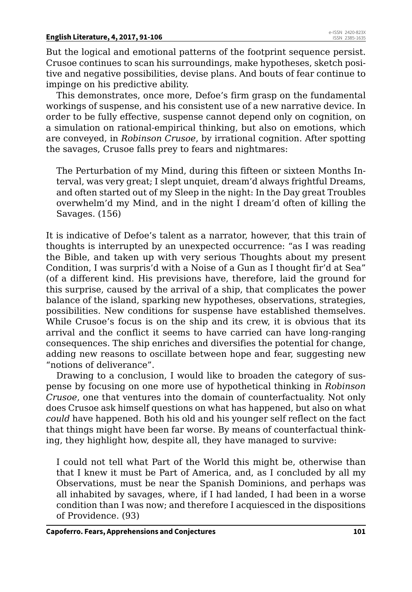But the logical and emotional patterns of the footprint sequence persist. Crusoe continues to scan his surroundings, make hypotheses, sketch positive and negative possibilities, devise plans. And bouts of fear continue to impinge on his predictive ability.

This demonstrates, once more, Defoe's firm grasp on the fundamental workings of suspense, and his consistent use of a new narrative device. In order to be fully effective, suspense cannot depend only on cognition, on a simulation on rational-empirical thinking, but also on emotions, which are conveyed, in *Robinson Crusoe*, by irrational cognition. After spotting the savages, Crusoe falls prey to fears and nightmares:

The Perturbation of my Mind, during this fifteen or sixteen Months Interval, was very great; I slept unquiet, dream'd always frightful Dreams, and often started out of my Sleep in the night: In the Day great Troubles overwhelm'd my Mind, and in the night I dream'd often of killing the Savages. (156)

It is indicative of Defoe's talent as a narrator, however, that this train of thoughts is interrupted by an unexpected occurrence: "as I was reading the Bible, and taken up with very serious Thoughts about my present Condition, I was surpris'd with a Noise of a Gun as I thought fir'd at Sea" (of a different kind. His previsions have, therefore, laid the ground for this surprise, caused by the arrival of a ship, that complicates the power balance of the island, sparking new hypotheses, observations, strategies, possibilities. New conditions for suspense have established themselves. While Crusoe's focus is on the ship and its crew, it is obvious that its arrival and the conflict it seems to have carried can have long-ranging consequences. The ship enriches and diversifies the potential for change, adding new reasons to oscillate between hope and fear, suggesting new "notions of deliverance".

Drawing to a conclusion, I would like to broaden the category of suspense by focusing on one more use of hypothetical thinking in *Robinson Crusoe*, one that ventures into the domain of counterfactuality. Not only does Crusoe ask himself questions on what has happened, but also on what *could* have happened. Both his old and his younger self reflect on the fact that things might have been far worse. By means of counterfactual thinking, they highlight how, despite all, they have managed to survive:

I could not tell what Part of the World this might be, otherwise than that I knew it must be Part of America, and, as I concluded by all my Observations, must be near the Spanish Dominions, and perhaps was all inhabited by savages, where, if I had landed, I had been in a worse condition than I was now; and therefore I acquiesced in the dispositions of Providence. (93)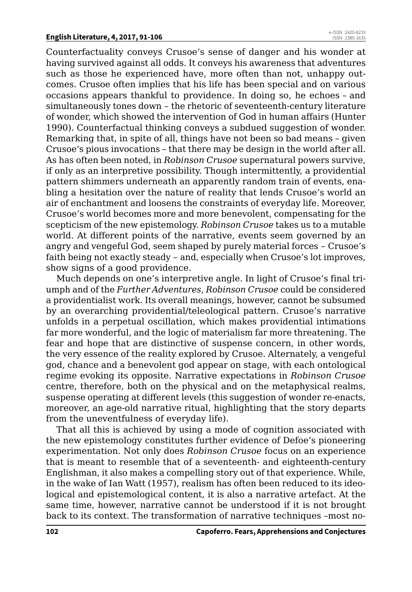Counterfactuality conveys Crusoe's sense of danger and his wonder at having survived against all odds. It conveys his awareness that adventures such as those he experienced have, more often than not, unhappy outcomes. Crusoe often implies that his life has been special and on various occasions appears thankful to providence. In doing so, he echoes – and simultaneously tones down – the rhetoric of seventeenth-century literature of wonder, which showed the intervention of God in human affairs (Hunter 1990). Counterfactual thinking conveys a subdued suggestion of wonder. Remarking that, in spite of all, things have not been so bad means – given Crusoe's pious invocations – that there may be design in the world after all. As has often been noted, in *Robinson Crusoe* supernatural powers survive, if only as an interpretive possibility. Though intermittently, a providential pattern shimmers underneath an apparently random train of events, enabling a hesitation over the nature of reality that lends Crusoe's world an air of enchantment and loosens the constraints of everyday life. Moreover, Crusoe's world becomes more and more benevolent, compensating for the scepticism of the new epistemology. *Robinson Crusoe* takes us to a mutable world. At different points of the narrative, events seem governed by an angry and vengeful God, seem shaped by purely material forces – Crusoe's faith being not exactly steady – and, especially when Crusoe's lot improves, show signs of a good providence.

Much depends on one's interpretive angle. In light of Crusoe's final triumph and of the *Further Adventures*, *Robinson Crusoe* could be considered a providentialist work. Its overall meanings, however, cannot be subsumed by an overarching providential/teleological pattern. Crusoe's narrative unfolds in a perpetual oscillation, which makes providential intimations far more wonderful, and the logic of materialism far more threatening. The fear and hope that are distinctive of suspense concern, in other words, the very essence of the reality explored by Crusoe. Alternately, a vengeful god, chance and a benevolent god appear on stage, with each ontological regime evoking its opposite. Narrative expectations in *Robinson Crusoe*  centre, therefore, both on the physical and on the metaphysical realms, suspense operating at different levels (this suggestion of wonder re-enacts, moreover, an age-old narrative ritual, highlighting that the story departs from the uneventfulness of everyday life).

That all this is achieved by using a mode of cognition associated with the new epistemology constitutes further evidence of Defoe's pioneering experimentation. Not only does *Robinson Crusoe* focus on an experience that is meant to resemble that of a seventeenth- and eighteenth-century Englishman, it also makes a compelling story out of that experience. While, in the wake of Ian Watt (1957), realism has often been reduced to its ideological and epistemological content, it is also a narrative artefact. At the same time, however, narrative cannot be understood if it is not brought back to its context. The transformation of narrative techniques –most no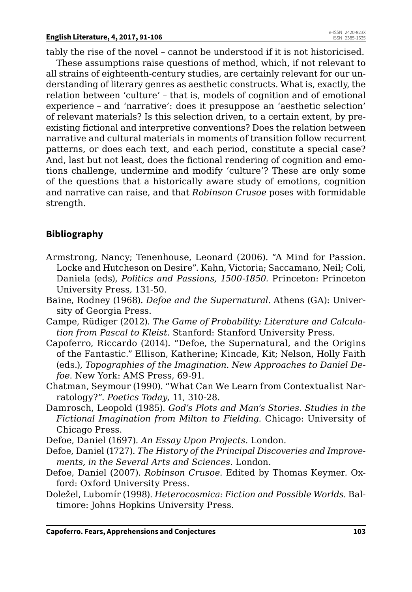tably the rise of the novel – cannot be understood if it is not historicised.

These assumptions raise questions of method, which, if not relevant to all strains of eighteenth-century studies, are certainly relevant for our understanding of literary genres as aesthetic constructs. What is, exactly, the relation between 'culture' – that is, models of cognition and of emotional experience – and 'narrative': does it presuppose an 'aesthetic selection' of relevant materials? Is this selection driven, to a certain extent, by preexisting fictional and interpretive conventions? Does the relation between narrative and cultural materials in moments of transition follow recurrent patterns, or does each text, and each period, constitute a special case? And, last but not least, does the fictional rendering of cognition and emotions challenge, undermine and modify 'culture'? These are only some of the questions that a historically aware study of emotions, cognition and narrative can raise, and that *Robinson Crusoe* poses with formidable strength.

#### **Bibliography**

- Armstrong, Nancy; Tenenhouse, Leonard (2006). "A Mind for Passion. Locke and Hutcheson on Desire". Kahn, Victoria; Saccamano, Neil; Coli, Daniela (eds), *Politics and Passions, 1500-1850.* Princeton: Princeton University Press*,* 131-50.
- Baine, Rodney (1968). *Defoe and the Supernatural*. Athens (GA): University of Georgia Press.
- Campe, Rüdiger (2012). *The Game of Probability: Literature and Calculation from Pascal to Kleist*. Stanford: Stanford University Press.
- Capoferro, Riccardo (2014). "Defoe, the Supernatural, and the Origins of the Fantastic." Ellison, Katherine; Kincade, Kit; Nelson, Holly Faith (eds.), *Topographies of the Imagination. New Approaches to Daniel Defoe*. New York: AMS Press, 69-91.
- Chatman, Seymour (1990). "What Can We Learn from Contextualist Narratology?". *Poetics Today*, 11, 310-28.
- Damrosch, Leopold (1985). *God's Plots and Man's Stories*. *Studies in the Fictional Imagination from Milton to Fielding*. Chicago: University of Chicago Press.

Defoe, Daniel (1697). *An Essay Upon Projects*. London.

- Defoe, Daniel (1727). *The History of the Principal Discoveries and Improvements, in the Several Arts and Sciences*. London.
- Defoe, Daniel (2007). *Robinson Crusoe*. Edited by Thomas Keymer. Oxford: Oxford University Press.
- Doležel, Lubomír (1998). *Heterocosmica: Fiction and Possible Worlds*. Baltimore: Johns Hopkins University Press.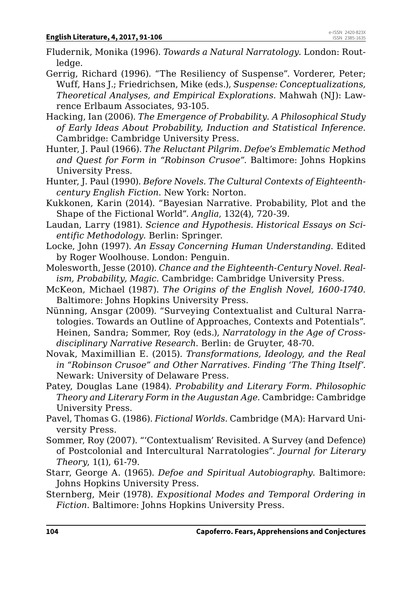Fludernik, Monika (1996). *Towards a Natural Narratology.* London: Routledge.

Gerrig, Richard (1996). "The Resiliency of Suspense". Vorderer, Peter; Wuff, Hans J.; Friedrichsen, Mike (eds.), *Suspense: Conceptualizations, Theoretical Analyses, and Empirical Explorations*. Mahwah (NJ): Lawrence Erlbaum Associates, 93-105.

- Hacking, Ian (2006). *The Emergence of Probability. A Philosophical Study of Early Ideas About Probability, Induction and Statistical Inference*. Cambridge: Cambridge University Press.
- Hunter, J. Paul (1966). *The Reluctant Pilgrim. Defoe's Emblematic Method and Quest for Form in "Robinson Crusoe"*. Baltimore: Johns Hopkins University Press.
- Hunter, J. Paul (1990). *Before Novels. The Cultural Contexts of Eighteenthcentury English Fiction*. New York: Norton.
- Kukkonen, Karin (2014). "Bayesian Narrative. Probability, Plot and the Shape of the Fictional World". *Anglia*, 132(4), 720-39.
- Laudan, Larry (1981). *Science and Hypothesis. Historical Essays on Scientific Methodology*. Berlin: Springer.
- Locke, John (1997). *An Essay Concerning Human Understanding*. Edited by Roger Woolhouse. London: Penguin.
- Molesworth, Jesse (2010). *Chance and the Eighteenth-Century Novel. Realism, Probability, Magic.* Cambridge: Cambridge University Press.
- McKeon, Michael (1987). *The Origins of the English Novel, 1600-1740.*  Baltimore: Johns Hopkins University Press.
- Nünning, Ansgar (2009). "Surveying Contextualist and Cultural Narratologies. Towards an Outline of Approaches, Contexts and Potentials". Heinen, Sandra; Sommer, Roy (eds.), *Narratology in the Age of Crossdisciplinary Narrative Research*. Berlin: de Gruyter, 48-70.
- Novak, Maximillian E. (2015). *Transformations, Ideology, and the Real in "Robinson Crusoe" and Other Narratives. Finding 'The Thing Itself'.*  Newark: University of Delaware Press.
- Patey, Douglas Lane (1984). *Probability and Literary Form. Philosophic Theory and Literary Form in the Augustan Age.* Cambridge: Cambridge University Press.
- Pavel, Thomas G. (1986). *Fictional Worlds.* Cambridge (MA): Harvard University Press.
- Sommer, Roy (2007). "'Contextualism' Revisited. A Survey (and Defence) of Postcolonial and Intercultural Narratologies". *Journal for Literary Theory*, 1(1), 61-79.
- Starr, George A. (1965). *Defoe and Spiritual Autobiography*. Baltimore: Johns Hopkins University Press.
- Sternberg, Meir (1978). *Expositional Modes and Temporal Ordering in Fiction*. Baltimore: Johns Hopkins University Press.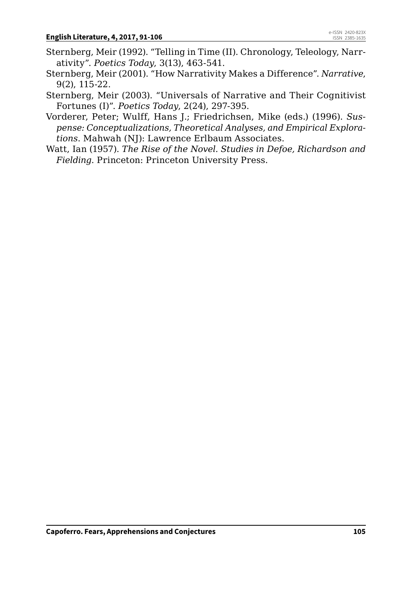- Sternberg, Meir (1992). "Telling in Time (II). Chronology, Teleology, Narrativity". *Poetics Today*, 3(13), 463-541.
- Sternberg, Meir (2001). "How Narrativity Makes a Difference". *Narrative*, 9(2), 115-22.
- Sternberg, Meir (2003). "Universals of Narrative and Their Cognitivist Fortunes (I)". *Poetics Today*, 2(24), 297-395.
- Vorderer, Peter; Wulff, Hans J.; Friedrichsen, Mike (eds.) (1996). *Suspense: Conceptualizations, Theoretical Analyses, and Empirical Explorations*. Mahwah (NJ): Lawrence Erlbaum Associates.
- Watt, Ian (1957). *The Rise of the Novel. Studies in Defoe, Richardson and Fielding*. Princeton: Princeton University Press.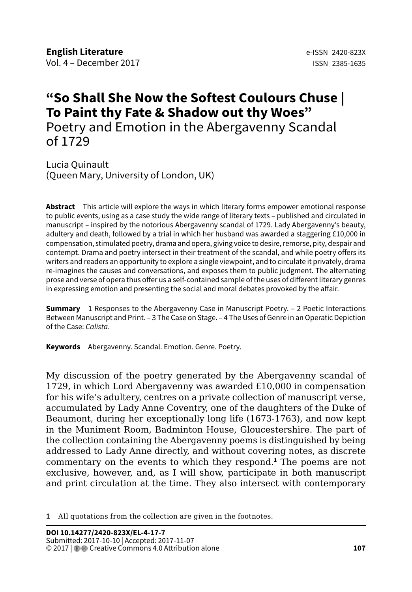# **"So Shall She Now the Softest Coulours Chuse | To Paint thy Fate & Shadow out thy Woes"** Poetry and Emotion in the Abergavenny Scandal of 1729

Lucia Quinault (Queen Mary, University of London, UK)

**Abstract** This article will explore the ways in which literary forms empower emotional response to public events, using as a case study the wide range of literary texts – published and circulated in manuscript – inspired by the notorious Abergavenny scandal of 1729. Lady Abergavenny's beauty, adultery and death, followed by a trial in which her husband was awarded a staggering £10,000 in compensation, stimulated poetry, drama and opera, giving voice to desire, remorse, pity, despair and contempt. Drama and poetry intersect in their treatment of the scandal, and while poetry offers its writers and readers an opportunity to explore a single viewpoint, and to circulate it privately, drama re-imagines the causes and conversations, and exposes them to public judgment. The alternating prose and verse of opera thus offer us a self-contained sample of the uses of different literary genres in expressing emotion and presenting the social and moral debates provoked by the affair.

**Summary** 1 Responses to the Abergavenny Case in Manuscript Poetry. – 2 Poetic Interactions Between Manuscript and Print. – 3 The Case on Stage. – 4 The Uses of Genre in an Operatic Depiction of the Case: *Calista*.

**Keywords** Abergavenny. Scandal. Emotion. Genre. Poetry.

My discussion of the poetry generated by the Abergavenny scandal of 1729, in which Lord Abergavenny was awarded £10,000 in compensation for his wife's adultery, centres on a private collection of manuscript verse, accumulated by Lady Anne Coventry, one of the daughters of the Duke of Beaumont, during her exceptionally long life (1673-1763), and now kept in the Muniment Room, Badminton House, Gloucestershire. The part of the collection containing the Abergavenny poems is distinguished by being addressed to Lady Anne directly, and without covering notes, as discrete commentary on the events to which they respond.**<sup>1</sup>** The poems are not exclusive, however, and, as I will show, participate in both manuscript and print circulation at the time. They also intersect with contemporary

**1** All quotations from the collection are given in the footnotes.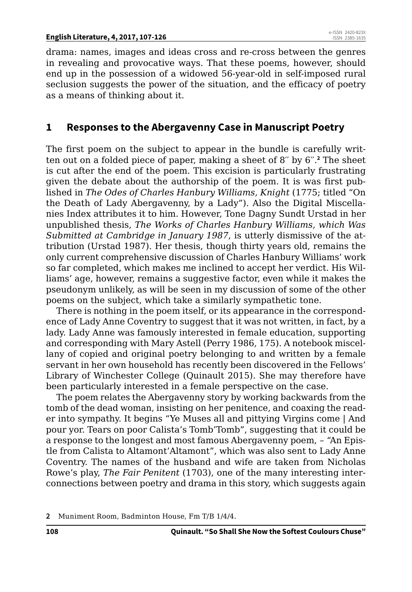#### **English Literature, 4, 2017, 107-126**

drama: names, images and ideas cross and re-cross between the genres in revealing and provocative ways. That these poems, however, should end up in the possession of a widowed 56-year-old in self-imposed rural seclusion suggests the power of the situation, and the efficacy of poetry as a means of thinking about it.

## **1 Responses to the Abergavenny Case in Manuscript Poetry**

The first poem on the subject to appear in the bundle is carefully written out on a folded piece of paper, making a sheet of 8′′ by 6′′.**<sup>2</sup>** The sheet is cut after the end of the poem. This excision is particularly frustrating given the debate about the authorship of the poem. It is was first published in *The Odes of Charles Hanbury Williams, Knight* (1775; titled "On the Death of Lady Abergavenny, by a Lady"). Also the Digital Miscellanies Index attributes it to him. However, Tone Dagny Sundt Urstad in her unpublished thesis, *The Works of Charles Hanbury Williams, which Was Submitted at Cambridge in January 1987*, is utterly dismissive of the attribution (Urstad 1987). Her thesis, though thirty years old, remains the only current comprehensive discussion of Charles Hanbury Williams' work so far completed, which makes me inclined to accept her verdict. His Williams' age, however, remains a suggestive factor, even while it makes the pseudonym unlikely, as will be seen in my discussion of some of the other poems on the subject, which take a similarly sympathetic tone.

There is nothing in the poem itself, or its appearance in the correspondence of Lady Anne Coventry to suggest that it was not written, in fact, by a lady. Lady Anne was famously interested in female education, supporting and corresponding with Mary Astell (Perry 1986, 175). A notebook miscellany of copied and original poetry belonging to and written by a female servant in her own household has recently been discovered in the Fellows' Library of Winchester College (Quinault 2015). She may therefore have been particularly interested in a female perspective on the case.

The poem relates the Abergavenny story by working backwards from the tomb of the dead woman, insisting on her penitence, and coaxing the reader into sympathy. It begins "Ye Muses all and pittying Virgins come | And pour yor. Tears on poor Calista's Tomb'Tomb", suggesting that it could be a response to the longest and most famous Abergavenny poem, – "An Epistle from Calista to Altamont'Altamont", which was also sent to Lady Anne Coventry. The names of the husband and wife are taken from Nicholas Rowe's play, *The Fair Penitent* (1703), one of the many interesting interconnections between poetry and drama in this story, which suggests again

**2** Muniment Room, Badminton House, Fm T/B 1/4/4.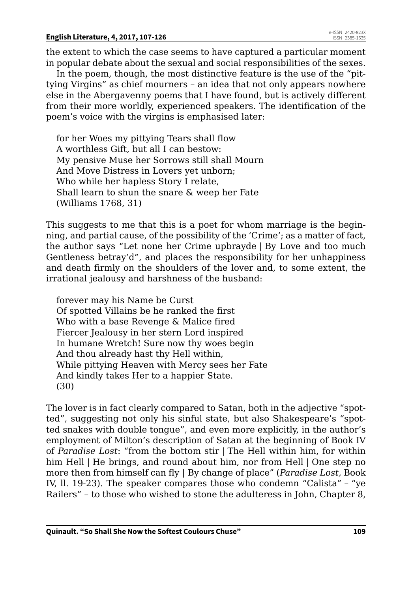the extent to which the case seems to have captured a particular moment in popular debate about the sexual and social responsibilities of the sexes.

In the poem, though, the most distinctive feature is the use of the "pittying Virgins" as chief mourners – an idea that not only appears nowhere else in the Abergavenny poems that I have found, but is actively different from their more worldly, experienced speakers. The identification of the poem's voice with the virgins is emphasised later:

for her Woes my pittying Tears shall flow A worthless Gift, but all I can bestow: My pensive Muse her Sorrows still shall Mourn And Move Distress in Lovers yet unborn; Who while her hapless Story I relate, Shall learn to shun the snare & weep her Fate (Williams 1768, 31)

This suggests to me that this is a poet for whom marriage is the beginning, and partial cause, of the possibility of the 'Crime'; as a matter of fact, the author says "Let none her Crime upbrayde | By Love and too much Gentleness betray'd", and places the responsibility for her unhappiness and death firmly on the shoulders of the lover and, to some extent, the irrational jealousy and harshness of the husband:

forever may his Name be Curst Of spotted Villains be he ranked the first Who with a base Revenge & Malice fired Fiercer Jealousy in her stern Lord inspired In humane Wretch! Sure now thy woes begin And thou already hast thy Hell within, While pittying Heaven with Mercy sees her Fate And kindly takes Her to a happier State. (30)

The lover is in fact clearly compared to Satan, both in the adjective "spotted", suggesting not only his sinful state, but also Shakespeare's "spotted snakes with double tongue", and even more explicitly, in the author's employment of Milton's description of Satan at the beginning of Book IV of *Paradise Lost*: "from the bottom stir | The Hell within him, for within him Hell | He brings, and round about him, nor from Hell | One step no more then from himself can fly | By change of place" (*Paradise Lost,* Book IV, ll. 19-23). The speaker compares those who condemn "Calista" – "ye Railers" – to those who wished to stone the adulteress in John, Chapter 8,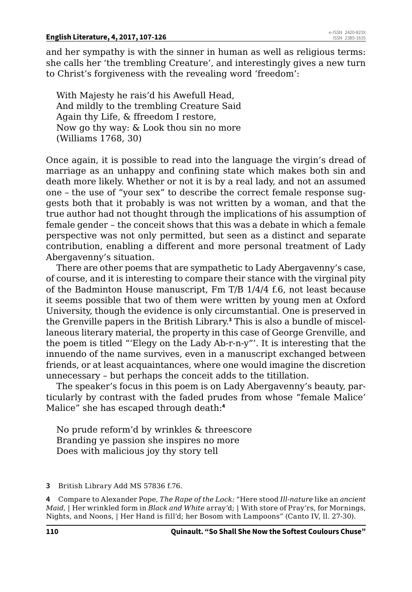and her sympathy is with the sinner in human as well as religious terms: she calls her 'the trembling Creature', and interestingly gives a new turn to Christ's forgiveness with the revealing word 'freedom':

With Majesty he rais'd his Awefull Head, And mildly to the trembling Creature Said Again thy Life, & ffreedom I restore, Now go thy way: & Look thou sin no more (Williams 1768, 30)

Once again, it is possible to read into the language the virgin's dread of marriage as an unhappy and confining state which makes both sin and death more likely. Whether or not it is by a real lady, and not an assumed one – the use of "your sex" to describe the correct female response suggests both that it probably is was not written by a woman, and that the true author had not thought through the implications of his assumption of female gender – the conceit shows that this was a debate in which a female perspective was not only permitted, but seen as a distinct and separate contribution, enabling a different and more personal treatment of Lady Abergavenny's situation.

There are other poems that are sympathetic to Lady Abergavenny's case, of course, and it is interesting to compare their stance with the virginal pity of the Badminton House manuscript, Fm T/B 1/4/4 f.6, not least because it seems possible that two of them were written by young men at Oxford University, though the evidence is only circumstantial. One is preserved in the Grenville papers in the British Library.**<sup>3</sup>** This is also a bundle of miscellaneous literary material, the property in this case of George Grenville, and the poem is titled "'Elegy on the Lady Ab-r-n-y"'. It is interesting that the innuendo of the name survives, even in a manuscript exchanged between friends, or at least acquaintances, where one would imagine the discretion unnecessary – but perhaps the conceit adds to the titillation.

The speaker's focus in this poem is on Lady Abergavenny's beauty, particularly by contrast with the faded prudes from whose "female Malice' Malice" she has escaped through death:**<sup>4</sup>**

No prude reform'd by wrinkles & threescore Branding ye passion she inspires no more Does with malicious joy thy story tell

**4** Compare to Alexander Pope, *The Rape of the Lock:* "Here stood *Ill-nature* like an *ancient Maid*, | Her wrinkled form in *Black and White* array'd; | With store of Pray'rs, for Mornings, Nights, and Noons, | Her Hand is fill'd; her Bosom with Lampoons" (Canto IV, ll. 27-30).

**<sup>3</sup>** British Library Add MS 57836 f.76.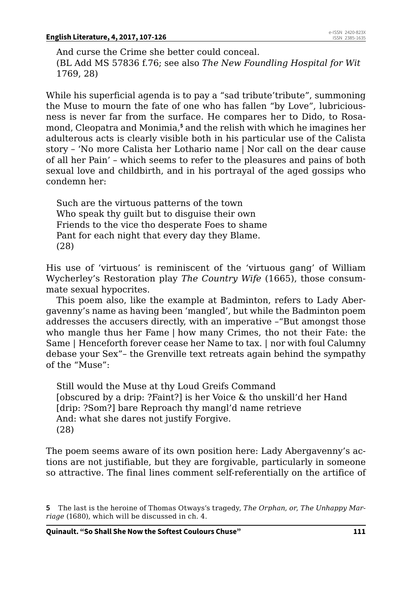And curse the Crime she better could conceal. (BL Add MS 57836 f.76; see also *The New Foundling Hospital for Wit* 1769, 28)

While his superficial agenda is to pay a "sad tribute'tribute", summoning the Muse to mourn the fate of one who has fallen "by Love", lubriciousness is never far from the surface. He compares her to Dido, to Rosamond, Cleopatra and Monimia,**<sup>5</sup>** and the relish with which he imagines her adulterous acts is clearly visible both in his particular use of the Calista story – 'No more Calista her Lothario name | Nor call on the dear cause of all her Pain' – which seems to refer to the pleasures and pains of both sexual love and childbirth, and in his portrayal of the aged gossips who condemn her:

Such are the virtuous patterns of the town Who speak thy guilt but to disguise their own Friends to the vice tho desperate Foes to shame Pant for each night that every day they Blame. (28)

His use of 'virtuous' is reminiscent of the 'virtuous gang' of William Wycherley's Restoration play *The Country Wife* (1665), those consummate sexual hypocrites.

This poem also, like the example at Badminton, refers to Lady Abergavenny's name as having been 'mangled', but while the Badminton poem addresses the accusers directly, with an imperative –"But amongst those who mangle thus her Fame | how many Crimes, tho not their Fate: the Same | Henceforth forever cease her Name to tax. | nor with foul Calumny debase your Sex"– the Grenville text retreats again behind the sympathy of the "Muse":

Still would the Muse at thy Loud Greifs Command [obscured by a drip: ?Faint?] is her Voice & tho unskill'd her Hand [drip: ?Som?] bare Reproach thy mangl'd name retrieve And: what she dares not justify Forgive. (28)

The poem seems aware of its own position here: Lady Abergavenny's actions are not justifiable, but they are forgivable, particularly in someone so attractive. The final lines comment self-referentially on the artifice of

**<sup>5</sup>** The last is the heroine of Thomas Otways's tragedy, *The Orphan, or, The Unhappy Marriage* (1680), which will be discussed in ch. 4.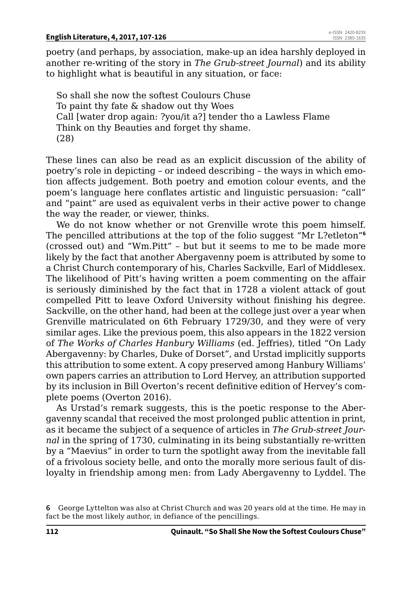poetry (and perhaps, by association, make-up an idea harshly deployed in another re-writing of the story in *The Grub-street Journal*) and its ability to highlight what is beautiful in any situation, or face:

So shall she now the softest Coulours Chuse To paint thy fate & shadow out thy Woes Call [water drop again: ?you/it a?] tender tho a Lawless Flame Think on thy Beauties and forget thy shame. (28)

These lines can also be read as an explicit discussion of the ability of poetry's role in depicting – or indeed describing – the ways in which emotion affects judgement. Both poetry and emotion colour events, and the poem's language here conflates artistic and linguistic persuasion: "call" and "paint" are used as equivalent verbs in their active power to change the way the reader, or viewer, thinks.

We do not know whether or not Grenville wrote this poem himself. The pencilled attributions at the top of the folio suggest "Mr L?etleton"**<sup>6</sup>** (crossed out) and "Wm.Pitt" – but but it seems to me to be made more likely by the fact that another Abergavenny poem is attributed by some to a Christ Church contemporary of his, Charles Sackville, Earl of Middlesex. The likelihood of Pitt's having written a poem commenting on the affair is seriously diminished by the fact that in 1728 a violent attack of gout compelled Pitt to leave Oxford University without finishing his degree. Sackville, on the other hand, had been at the college just over a year when Grenville matriculated on 6th February 1729/30, and they were of very similar ages. Like the previous poem, this also appears in the 1822 version of *The Works of Charles Hanbury Williams* (ed. Jeffries), titled "On Lady Abergavenny: by Charles, Duke of Dorset", and Urstad implicitly supports this attribution to some extent. A copy preserved among Hanbury Williams' own papers carries an attribution to Lord Hervey, an attribution supported by its inclusion in Bill Overton's recent definitive edition of Hervey's complete poems (Overton 2016).

As Urstad's remark suggests, this is the poetic response to the Abergavenny scandal that received the most prolonged public attention in print, as it became the subject of a sequence of articles in *The Grub-street Journal* in the spring of 1730, culminating in its being substantially re-written by a "Maevius" in order to turn the spotlight away from the inevitable fall of a frivolous society belle, and onto the morally more serious fault of disloyalty in friendship among men: from Lady Abergavenny to Lyddel. The

**<sup>6</sup>** George Lyttelton was also at Christ Church and was 20 years old at the time. He may in fact be the most likely author, in defiance of the pencillings.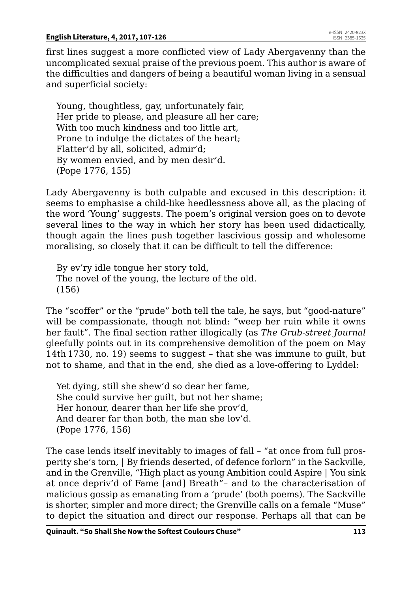first lines suggest a more conflicted view of Lady Abergavenny than the uncomplicated sexual praise of the previous poem. This author is aware of the difficulties and dangers of being a beautiful woman living in a sensual and superficial society:

Young, thoughtless, gay, unfortunately fair, Her pride to please, and pleasure all her care; With too much kindness and too little art. Prone to indulge the dictates of the heart; Flatter'd by all, solicited, admir'd; By women envied, and by men desir'd. (Pope 1776, 155)

Lady Abergavenny is both culpable and excused in this description: it seems to emphasise a child-like heedlessness above all, as the placing of the word 'Young' suggests. The poem's original version goes on to devote several lines to the way in which her story has been used didactically, though again the lines push together lascivious gossip and wholesome moralising, so closely that it can be difficult to tell the difference:

By ev'ry idle tongue her story told, The novel of the young, the lecture of the old. (156)

The "scoffer" or the "prude" both tell the tale, he says, but "good-nature" will be compassionate, though not blind: "weep her ruin while it owns her fault". The final section rather illogically (as *The Grub-street Journal*  gleefully points out in its comprehensive demolition of the poem on May 14th 1730, no. 19) seems to suggest – that she was immune to guilt, but not to shame, and that in the end, she died as a love-offering to Lyddel:

Yet dying, still she shew'd so dear her fame, She could survive her guilt, but not her shame; Her honour, dearer than her life she prov'd, And dearer far than both, the man she lov'd. (Pope 1776, 156)

The case lends itself inevitably to images of fall – "at once from full prosperity she's torn, | By friends deserted, of defence forlorn" in the Sackville, and in the Grenville, "High plact as young Ambition could Aspire | You sink at once depriv'd of Fame [and] Breath"– and to the characterisation of malicious gossip as emanating from a 'prude' (both poems). The Sackville is shorter, simpler and more direct; the Grenville calls on a female "Muse" to depict the situation and direct our response. Perhaps all that can be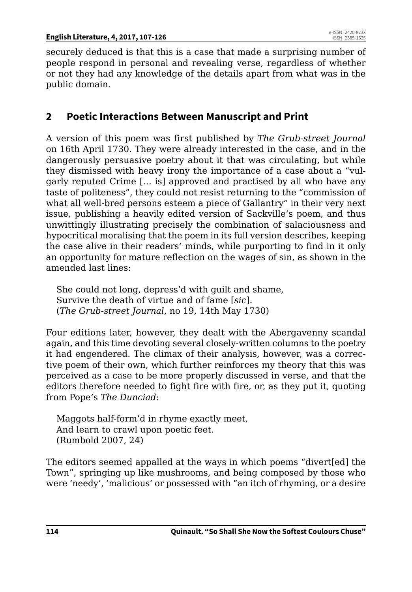securely deduced is that this is a case that made a surprising number of people respond in personal and revealing verse, regardless of whether or not they had any knowledge of the details apart from what was in the public domain.

## **2 Poetic Interactions Between Manuscript and Print**

A version of this poem was first published by *The Grub-street Journal*  on 16th April 1730. They were already interested in the case, and in the dangerously persuasive poetry about it that was circulating, but while they dismissed with heavy irony the importance of a case about a "vulgarly reputed Crime [… is] approved and practised by all who have any taste of politeness", they could not resist returning to the "commission of what all well-bred persons esteem a piece of Gallantry" in their very next issue, publishing a heavily edited version of Sackville's poem, and thus unwittingly illustrating precisely the combination of salaciousness and hypocritical moralising that the poem in its full version describes, keeping the case alive in their readers' minds, while purporting to find in it only an opportunity for mature reflection on the wages of sin, as shown in the amended last lines:

She could not long, depress'd with guilt and shame, Survive the death of virtue and of fame [*sic*]. (*The Grub-street Journal*, no 19, 14th May 1730)

Four editions later, however, they dealt with the Abergavenny scandal again, and this time devoting several closely-written columns to the poetry it had engendered. The climax of their analysis, however, was a corrective poem of their own, which further reinforces my theory that this was perceived as a case to be more properly discussed in verse, and that the editors therefore needed to fight fire with fire, or, as they put it, quoting from Pope's *The Dunciad*:

Maggots half-form'd in rhyme exactly meet, And learn to crawl upon poetic feet. (Rumbold 2007, 24)

The editors seemed appalled at the ways in which poems "divert[ed] the Town", springing up like mushrooms, and being composed by those who were 'needy', 'malicious' or possessed with "an itch of rhyming, or a desire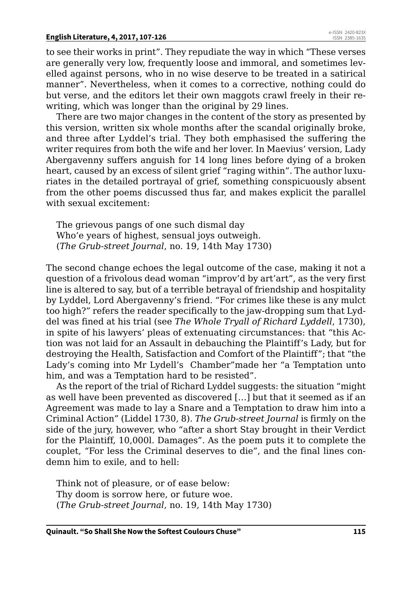to see their works in print". They repudiate the way in which "These verses are generally very low, frequently loose and immoral, and sometimes levelled against persons, who in no wise deserve to be treated in a satirical manner". Nevertheless, when it comes to a corrective, nothing could do but verse, and the editors let their own maggots crawl freely in their rewriting, which was longer than the original by 29 lines.

There are two major changes in the content of the story as presented by this version, written six whole months after the scandal originally broke, and three after Lyddel's trial. They both emphasised the suffering the writer requires from both the wife and her lover. In Maevius' version, Lady Abergavenny suffers anguish for 14 long lines before dying of a broken heart, caused by an excess of silent grief "raging within". The author luxuriates in the detailed portrayal of grief, something conspicuously absent from the other poems discussed thus far, and makes explicit the parallel with sexual excitement:

The grievous pangs of one such dismal day Who'e years of highest, sensual joys outweigh. (*The Grub-street Journal*, no. 19, 14th May 1730)

The second change echoes the legal outcome of the case, making it not a question of a frivolous dead woman "improv'd by art'art", as the very first line is altered to say, but of a terrible betrayal of friendship and hospitality by Lyddel, Lord Abergavenny's friend. "For crimes like these is any mulct too high?" refers the reader specifically to the jaw-dropping sum that Lyddel was fined at his trial (see *The Whole Tryall of Richard Lyddell*, 1730), in spite of his lawyers' pleas of extenuating circumstances: that "this Action was not laid for an Assault in debauching the Plaintiff's Lady, but for destroying the Health, Satisfaction and Comfort of the Plaintiff"; that "the Lady's coming into Mr Lydell's Chamber"made her "a Temptation unto him, and was a Temptation hard to be resisted".

As the report of the trial of Richard Lyddel suggests: the situation "might as well have been prevented as discovered […] but that it seemed as if an Agreement was made to lay a Snare and a Temptation to draw him into a Criminal Action" (Liddel 1730, 8). *The Grub-street Journal* is firmly on the side of the jury, however, who "after a short Stay brought in their Verdict for the Plaintiff, 10,000l. Damages". As the poem puts it to complete the couplet, "For less the Criminal deserves to die", and the final lines condemn him to exile, and to hell:

Think not of pleasure, or of ease below: Thy doom is sorrow here, or future woe. (*The Grub-street Journal*, no. 19, 14th May 1730)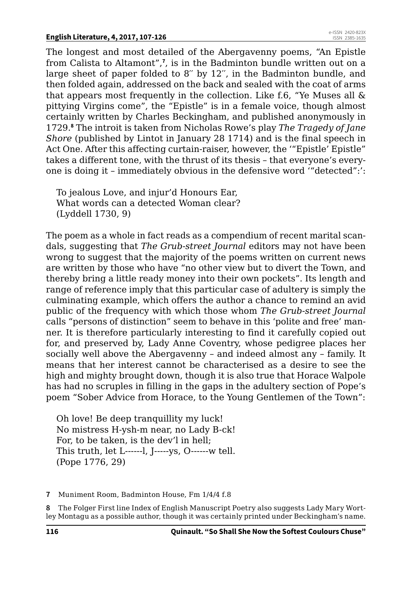The longest and most detailed of the Abergavenny poems, "An Epistle from Calista to Altamont",**<sup>7</sup>** , is in the Badminton bundle written out on a large sheet of paper folded to 8′′ by 12′′, in the Badminton bundle, and then folded again, addressed on the back and sealed with the coat of arms that appears most frequently in the collection. Like f.6, "Ye Muses all & pittying Virgins come", the "Epistle" is in a female voice, though almost certainly written by Charles Beckingham, and published anonymously in 1729.**<sup>8</sup>** The introit is taken from Nicholas Rowe's play *The Tragedy of Jane Shore* (published by Lintot in January 28 1714) and is the final speech in Act One. After this affecting curtain-raiser, however, the '"Epistle' Epistle" takes a different tone, with the thrust of its thesis – that everyone's everyone is doing it – immediately obvious in the defensive word '"detected":':

To jealous Love, and injur'd Honours Ear, What words can a detected Woman clear? (Lyddell 1730, 9)

The poem as a whole in fact reads as a compendium of recent marital scandals, suggesting that *The Grub-street Journal* editors may not have been wrong to suggest that the majority of the poems written on current news are written by those who have "no other view but to divert the Town, and thereby bring a little ready money into their own pockets". Its length and range of reference imply that this particular case of adultery is simply the culminating example, which offers the author a chance to remind an avid public of the frequency with which those whom *The Grub-street Journal* calls "persons of distinction" seem to behave in this 'polite and free' manner. It is therefore particularly interesting to find it carefully copied out for, and preserved by, Lady Anne Coventry, whose pedigree places her socially well above the Abergavenny – and indeed almost any – family. It means that her interest cannot be characterised as a desire to see the high and mighty brought down, though it is also true that Horace Walpole has had no scruples in filling in the gaps in the adultery section of Pope's poem "Sober Advice from Horace, to the Young Gentlemen of the Town":

Oh love! Be deep tranquillity my luck! No mistress H-ysh-m near, no Lady B-ck! For, to be taken, is the dev'l in hell; This truth, let L------l, J-----ys, O------w tell. (Pope 1776, 29)

**7** Muniment Room, Badminton House, Fm 1/4/4 f.8

**8** The Folger First line Index of English Manuscript Poetry also suggests Lady Mary Wortley Montagu as a possible author, though it was certainly printed under Beckingham's name.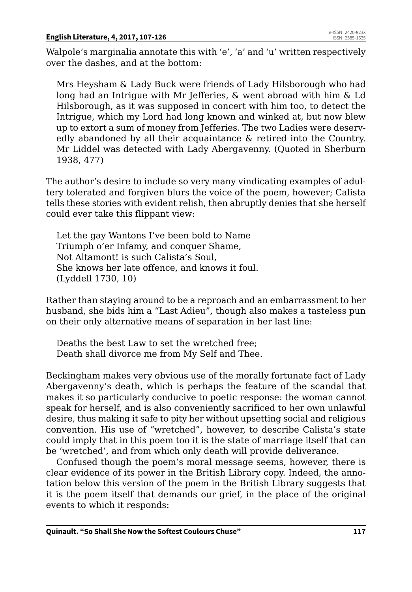#### **English Literature, 4, 2017, 107-126**

Walpole's marginalia annotate this with 'e', 'a' and 'u' written respectively over the dashes, and at the bottom:

Mrs Heysham & Lady Buck were friends of Lady Hilsborough who had long had an Intrigue with Mr Jefferies, & went abroad with him & Ld Hilsborough, as it was supposed in concert with him too, to detect the Intrigue, which my Lord had long known and winked at, but now blew up to extort a sum of money from Jefferies. The two Ladies were deservedly abandoned by all their acquaintance & retired into the Country. Mr Liddel was detected with Lady Abergavenny. (Quoted in Sherburn 1938, 477)

The author's desire to include so very many vindicating examples of adultery tolerated and forgiven blurs the voice of the poem, however; Calista tells these stories with evident relish, then abruptly denies that she herself could ever take this flippant view:

Let the gay Wantons I've been bold to Name Triumph o'er Infamy, and conquer Shame, Not Altamont! is such Calista's Soul, She knows her late offence, and knows it foul. (Lyddell 1730, 10)

Rather than staying around to be a reproach and an embarrassment to her husband, she bids him a "Last Adieu", though also makes a tasteless pun on their only alternative means of separation in her last line:

Deaths the best Law to set the wretched free; Death shall divorce me from My Self and Thee.

Beckingham makes very obvious use of the morally fortunate fact of Lady Abergavenny's death, which is perhaps the feature of the scandal that makes it so particularly conducive to poetic response: the woman cannot speak for herself, and is also conveniently sacrificed to her own unlawful desire, thus making it safe to pity her without upsetting social and religious convention. His use of "wretched", however, to describe Calista's state could imply that in this poem too it is the state of marriage itself that can be 'wretched', and from which only death will provide deliverance.

Confused though the poem's moral message seems, however, there is clear evidence of its power in the British Library copy. Indeed, the annotation below this version of the poem in the British Library suggests that it is the poem itself that demands our grief, in the place of the original events to which it responds: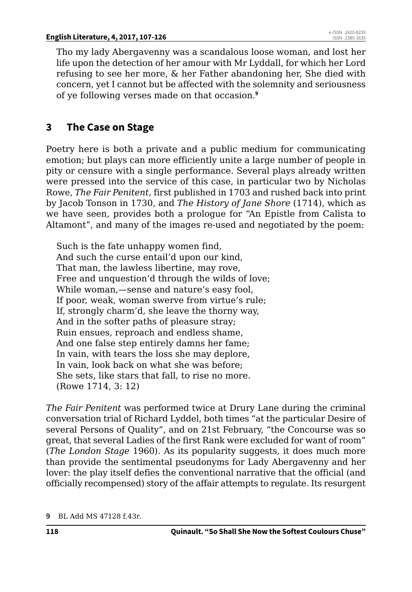Tho my lady Abergavenny was a scandalous loose woman, and lost her life upon the detection of her amour with Mr Lyddall, for which her Lord refusing to see her more, & her Father abandoning her, She died with concern, yet I cannot but be affected with the solemnity and seriousness of ye following verses made on that occasion.**<sup>9</sup>**

# **3 The Case on Stage**

Poetry here is both a private and a public medium for communicating emotion; but plays can more efficiently unite a large number of people in pity or censure with a single performance. Several plays already written were pressed into the service of this case, in particular two by Nicholas Rowe, *The Fair Penitent*, first published in 1703 and rushed back into print by Jacob Tonson in 1730, and *The History of Jane Shore* (1714), which as we have seen, provides both a prologue for "An Epistle from Calista to Altamont", and many of the images re-used and negotiated by the poem:

Such is the fate unhappy women find, And such the curse entail'd upon our kind, That man, the lawless libertine, may rove, Free and unquestion'd through the wilds of love; While woman,—sense and nature's easy fool, If poor, weak, woman swerve from virtue's rule; If, strongly charm'd, she leave the thorny way, And in the softer paths of pleasure stray; Ruin ensues, reproach and endless shame, And one false step entirely damns her fame; In vain, with tears the loss she may deplore, In vain, look back on what she was before; She sets, like stars that fall, to rise no more. (Rowe 1714, 3: 12)

*The Fair Penitent* was performed twice at Drury Lane during the criminal conversation trial of Richard Lyddel, both times "at the particular Desire of several Persons of Quality", and on 21st February, "the Concourse was so great, that several Ladies of the first Rank were excluded for want of room" (*The London Stage* 1960). As its popularity suggests, it does much more than provide the sentimental pseudonyms for Lady Abergavenny and her lover: the play itself defies the conventional narrative that the official (and officially recompensed) story of the affair attempts to regulate. Its resurgent

**<sup>9</sup>** BL Add MS 47128 f.43r.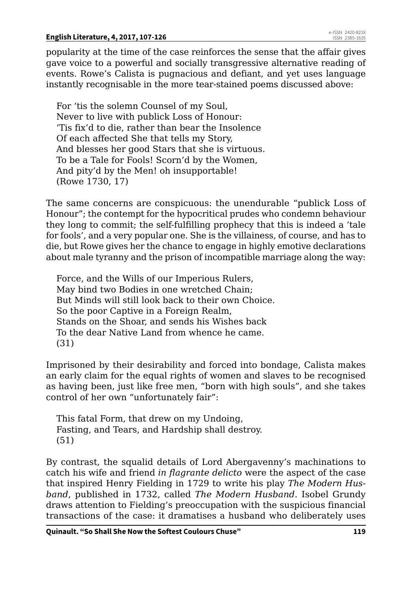#### **English Literature, 4, 2017, 107-126**

popularity at the time of the case reinforces the sense that the affair gives gave voice to a powerful and socially transgressive alternative reading of events. Rowe's Calista is pugnacious and defiant, and yet uses language instantly recognisable in the more tear-stained poems discussed above:

For 'tis the solemn Counsel of my Soul, Never to live with publick Loss of Honour: 'Tis fix'd to die, rather than bear the Insolence Of each affected She that tells my Story, And blesses her good Stars that she is virtuous. To be a Tale for Fools! Scorn'd by the Women, And pity'd by the Men! oh insupportable! (Rowe 1730, 17)

The same concerns are conspicuous: the unendurable "publick Loss of Honour"; the contempt for the hypocritical prudes who condemn behaviour they long to commit; the self-fulfilling prophecy that this is indeed a 'tale for fools', and a very popular one. She is the villainess, of course, and has to die, but Rowe gives her the chance to engage in highly emotive declarations about male tyranny and the prison of incompatible marriage along the way:

Force, and the Wills of our Imperious Rulers, May bind two Bodies in one wretched Chain; But Minds will still look back to their own Choice. So the poor Captive in a Foreign Realm, Stands on the Shoar, and sends his Wishes back To the dear Native Land from whence he came. (31)

Imprisoned by their desirability and forced into bondage, Calista makes an early claim for the equal rights of women and slaves to be recognised as having been, just like free men, "born with high souls", and she takes control of her own "unfortunately fair":

This fatal Form, that drew on my Undoing, Fasting, and Tears, and Hardship shall destroy. (51)

By contrast, the squalid details of Lord Abergavenny's machinations to catch his wife and friend *in flagrante delicto* were the aspect of the case that inspired Henry Fielding in 1729 to write his play *The Modern Husband*, published in 1732, called *The Modern Husband*. Isobel Grundy draws attention to Fielding's preoccupation with the suspicious financial transactions of the case: it dramatises a husband who deliberately uses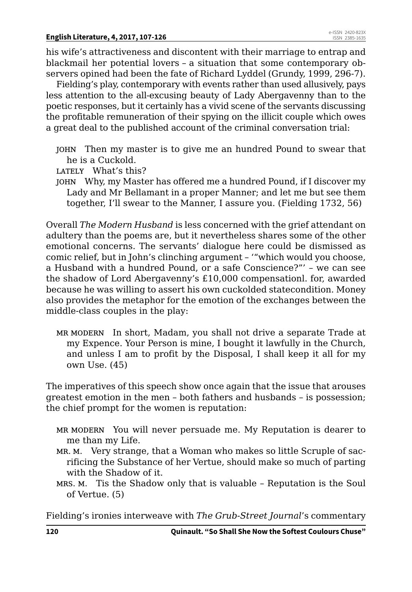his wife's attractiveness and discontent with their marriage to entrap and blackmail her potential lovers – a situation that some contemporary observers opined had been the fate of Richard Lyddel (Grundy, 1999, 296-7).

Fielding's play, contemporary with events rather than used allusively, pays less attention to the all-excusing beauty of Lady Abergavenny than to the poetic responses, but it certainly has a vivid scene of the servants discussing the profitable remuneration of their spying on the illicit couple which owes a great deal to the published account of the criminal conversation trial:

- john Then my master is to give me an hundred Pound to swear that he is a Cuckold.
- LATELY What's this?
- john Why, my Master has offered me a hundred Pound, if I discover my Lady and Mr Bellamant in a proper Manner; and let me but see them together, I'll swear to the Manner, I assure you. (Fielding 1732, 56)

Overall *The Modern Husband* is less concerned with the grief attendant on adultery than the poems are, but it nevertheless shares some of the other emotional concerns. The servants' dialogue here could be dismissed as comic relief, but in John's clinching argument – '"which would you choose, a Husband with a hundred Pound, or a safe Conscience?"' – we can see the shadow of Lord Abergavenny's £10,000 compensationl. for, awarded because he was willing to assert his own cuckolded statecondition. Money also provides the metaphor for the emotion of the exchanges between the middle-class couples in the play:

mr modern In short, Madam, you shall not drive a separate Trade at my Expence. Your Person is mine, I bought it lawfully in the Church, and unless I am to profit by the Disposal, I shall keep it all for my own Use. (45)

The imperatives of this speech show once again that the issue that arouses greatest emotion in the men – both fathers and husbands – is possession; the chief prompt for the women is reputation:

- mr modern You will never persuade me. My Reputation is dearer to me than my Life.
- MR. M. Very strange, that a Woman who makes so little Scruple of sacrificing the Substance of her Vertue, should make so much of parting with the Shadow of it.
- mrs. m. Tis the Shadow only that is valuable Reputation is the Soul of Vertue. (5)

Fielding's ironies interweave with *The Grub-Street Journal*'s commentary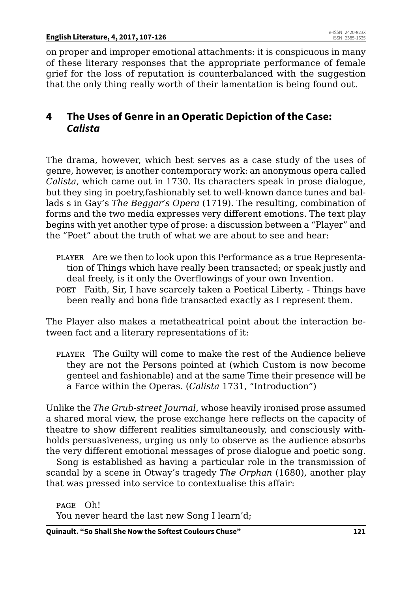on proper and improper emotional attachments: it is conspicuous in many of these literary responses that the appropriate performance of female grief for the loss of reputation is counterbalanced with the suggestion that the only thing really worth of their lamentation is being found out.

## **4 The Uses of Genre in an Operatic Depiction of the Case:**  *Calista*

The drama, however, which best serves as a case study of the uses of genre, however, is another contemporary work: an anonymous opera called *Calista*, which came out in 1730. Its characters speak in prose dialogue, but they sing in poetry,fashionably set to well-known dance tunes and ballads s in Gay's *The Beggar's Opera* (1719). The resulting, combination of forms and the two media expresses very different emotions. The text play begins with yet another type of prose: a discussion between a "Player" and the "Poet" about the truth of what we are about to see and hear:

- player Are we then to look upon this Performance as a true Representation of Things which have really been transacted; or speak justly and deal freely, is it only the Overflowings of your own Invention.
- poet Faith, Sir, I have scarcely taken a Poetical Liberty, Things have been really and bona fide transacted exactly as I represent them.

The Player also makes a metatheatrical point about the interaction between fact and a literary representations of it:

player The Guilty will come to make the rest of the Audience believe they are not the Persons pointed at (which Custom is now become genteel and fashionable) and at the same Time their presence will be a Farce within the Operas. (*Calista* 1731, "Introduction")

Unlike the *The Grub-street Journal*, whose heavily ironised prose assumed a shared moral view, the prose exchange here reflects on the capacity of theatre to show different realities simultaneously, and consciously withholds persuasiveness, urging us only to observe as the audience absorbs the very different emotional messages of prose dialogue and poetic song.

Song is established as having a particular role in the transmission of scandal by a scene in Otway's tragedy *The Orphan* (1680), another play that was pressed into service to contextualise this affair:

page Oh! You never heard the last new Song I learn'd;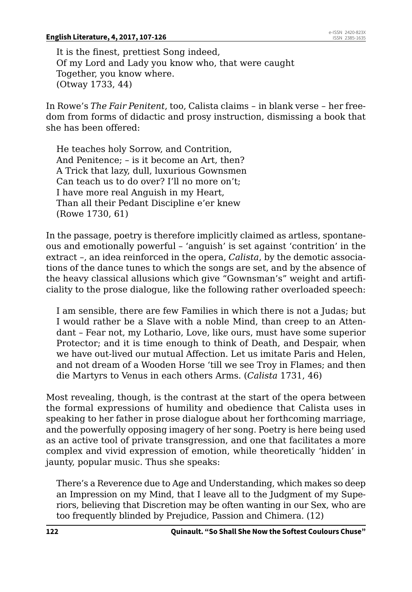It is the finest, prettiest Song indeed, Of my Lord and Lady you know who, that were caught Together, you know where. (Otway 1733, 44)

In Rowe's *The Fair Penitent*, too, Calista claims – in blank verse – her freedom from forms of didactic and prosy instruction, dismissing a book that she has been offered:

He teaches holy Sorrow, and Contrition, And Penitence; – is it become an Art, then? A Trick that lazy, dull, luxurious Gownsmen Can teach us to do over? I'll no more on't; I have more real Anguish in my Heart, Than all their Pedant Discipline e'er knew (Rowe 1730, 61)

In the passage, poetry is therefore implicitly claimed as artless, spontaneous and emotionally powerful – 'anguish' is set against 'contrition' in the extract –, an idea reinforced in the opera, *Calista*, by the demotic associations of the dance tunes to which the songs are set, and by the absence of the heavy classical allusions which give "Gownsman's" weight and artificiality to the prose dialogue, like the following rather overloaded speech:

I am sensible, there are few Families in which there is not a Judas; but I would rather be a Slave with a noble Mind, than creep to an Attendant – Fear not, my Lothario, Love, like ours, must have some superior Protector; and it is time enough to think of Death, and Despair, when we have out-lived our mutual Affection. Let us imitate Paris and Helen, and not dream of a Wooden Horse 'till we see Troy in Flames; and then die Martyrs to Venus in each others Arms. (*Calista* 1731, 46)

Most revealing, though, is the contrast at the start of the opera between the formal expressions of humility and obedience that Calista uses in speaking to her father in prose dialogue about her forthcoming marriage, and the powerfully opposing imagery of her song. Poetry is here being used as an active tool of private transgression, and one that facilitates a more complex and vivid expression of emotion, while theoretically 'hidden' in jaunty, popular music. Thus she speaks:

There's a Reverence due to Age and Understanding, which makes so deep an Impression on my Mind, that I leave all to the Judgment of my Superiors, believing that Discretion may be often wanting in our Sex, who are too frequently blinded by Prejudice, Passion and Chimera. (12)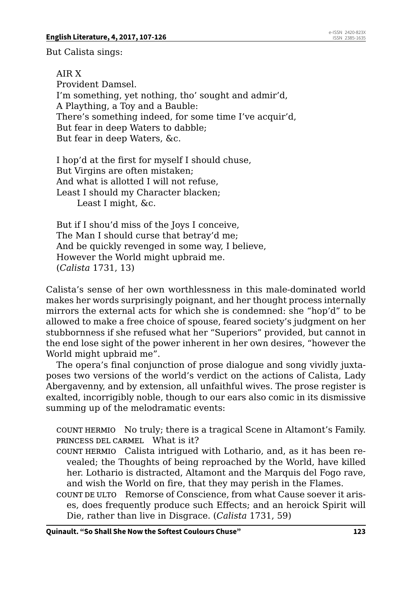But Calista sings:

AIR X Provident Damsel. I'm something, yet nothing, tho' sought and admir'd, A Plaything, a Toy and a Bauble: There's something indeed, for some time I've acquir'd, But fear in deep Waters to dabble; But fear in deep Waters, &c.

I hop'd at the first for myself I should chuse, But Virgins are often mistaken; And what is allotted I will not refuse, Least I should my Character blacken; Least I might, &c.

But if I shou'd miss of the Joys I conceive, The Man I should curse that betray'd me; And be quickly revenged in some way, I believe, However the World might upbraid me. (*Calista* 1731, 13)

Calista's sense of her own worthlessness in this male-dominated world makes her words surprisingly poignant, and her thought process internally mirrors the external acts for which she is condemned: she "hop'd" to be allowed to make a free choice of spouse, feared society's judgment on her stubbornness if she refused what her "Superiors" provided, but cannot in the end lose sight of the power inherent in her own desires, "however the World might upbraid me".

The opera's final conjunction of prose dialogue and song vividly juxtaposes two versions of the world's verdict on the actions of Calista, Lady Abergavenny, and by extension, all unfaithful wives. The prose register is exalted, incorrigibly noble, though to our ears also comic in its dismissive summing up of the melodramatic events:

count hermio No truly; there is a tragical Scene in Altamont's Family. princess del carmel What is it?

- count hermio Calista intrigued with Lothario, and, as it has been revealed; the Thoughts of being reproached by the World, have killed her. Lothario is distracted, Altamont and the Marquis del Fogo rave, and wish the World on fire, that they may perish in the Flames.
- count de ulto Remorse of Conscience, from what Cause soever it arises, does frequently produce such Effects; and an heroick Spirit will Die, rather than live in Disgrace. (*Calista* 1731, 59)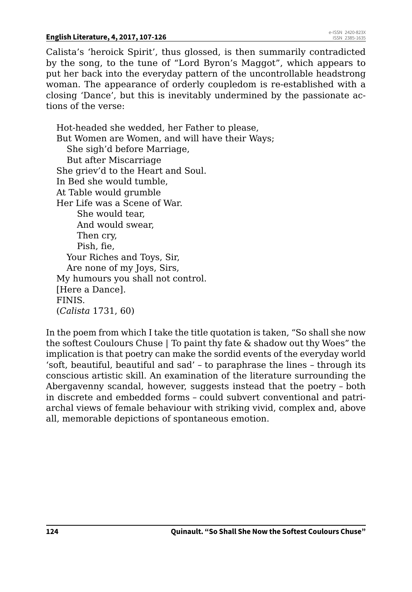Calista's 'heroick Spirit', thus glossed, is then summarily contradicted by the song, to the tune of "Lord Byron's Maggot", which appears to put her back into the everyday pattern of the uncontrollable headstrong woman. The appearance of orderly coupledom is re-established with a closing 'Dance', but this is inevitably undermined by the passionate actions of the verse:

Hot-headed she wedded, her Father to please, But Women are Women, and will have their Ways; She sigh'd before Marriage, But after Miscarriage She griev'd to the Heart and Soul. In Bed she would tumble, At Table would grumble Her Life was a Scene of War. She would tear, And would swear, Then cry, Pish, fie, Your Riches and Toys, Sir, Are none of my Joys, Sirs, My humours you shall not control. [Here a Dance]. FINIS. (*Calista* 1731, 60)

In the poem from which I take the title quotation is taken, "So shall she now the softest Coulours Chuse | To paint thy fate & shadow out thy Woes" the implication is that poetry can make the sordid events of the everyday world 'soft, beautiful, beautiful and sad' – to paraphrase the lines – through its conscious artistic skill. An examination of the literature surrounding the Abergavenny scandal, however, suggests instead that the poetry – both in discrete and embedded forms – could subvert conventional and patriarchal views of female behaviour with striking vivid, complex and, above all, memorable depictions of spontaneous emotion.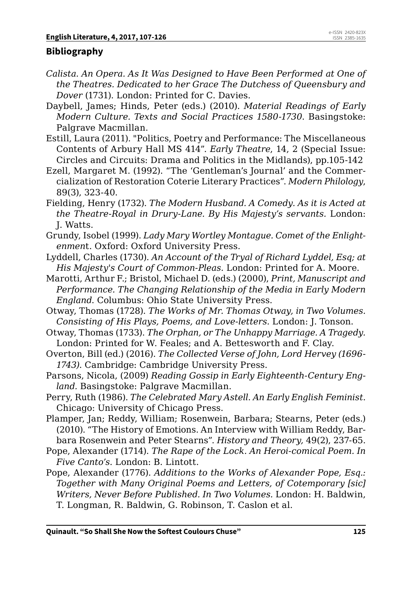## **Bibliography**

- *Calista. An Opera. As It Was Designed to Have Been Performed at One of the Theatres. Dedicated to her Grace The Dutchess of Queensbury and Dover* (1731). London: Printed for C. Davies.
- Daybell, James; Hinds, Peter (eds.) (2010). *Material Readings of Early Modern Culture. Texts and Social Practices 1580-1730*. Basingstoke: Palgrave Macmillan.
- Estill, Laura (2011). "Politics, Poetry and Performance: The Miscellaneous Contents of Arbury Hall MS 414". *Early Theatre*, 14, 2 (Special Issue: Circles and Circuits: Drama and Politics in the Midlands), pp.105-142
- Ezell, Margaret M. (1992). "The 'Gentleman's Journal' and the Commercialization of Restoration Coterie Literary Practices". *Modern Philology*, 89(3), 323-40.
- Fielding, Henry (1732). *The Modern Husband. A Comedy. As it is Acted at the Theatre-Royal in Drury-Lane. By His Majesty's servants.* London: J. Watts.
- Grundy, Isobel (1999). *Lady Mary Wortley Montague. Comet of the Enlightenmen*t. Oxford: Oxford University Press.
- Lyddell, Charles (1730). *An Account of the Tryal of Richard Lyddel, Esq; at His Majesty's Court of Common-Pleas.* London: Printed for A. Moore.
- Marotti, Arthur F.; Bristol, Michael D. (eds.) (2000), *Print, Manuscript and Performance. The Changing Relationship of the Media in Early Modern England*. Columbus: Ohio State University Press.
- Otway, Thomas (1728). *The Works of Mr. Thomas Otway, in Two Volumes. Consisting of His Plays, Poems, and Love-letters.* London: J. Tonson.
- Otway, Thomas (1733). *The Orphan, or The Unhappy Marriage. A Tragedy.* London: Printed for W. Feales; and A. Bettesworth and F. Clay.
- Overton, Bill (ed.) (2016). *The Collected Verse of John, Lord Hervey (1696- 1743)*. Cambridge: Cambridge University Press.
- Parsons, Nicola, (2009) *Reading Gossip in Early Eighteenth-Century England.* Basingstoke: Palgrave Macmillan.
- Perry, Ruth (1986). *The Celebrated Mary Astell. An Early English Feminist*. Chicago: University of Chicago Press.
- Plamper, Jan; Reddy, William; Rosenwein, Barbara; Stearns, Peter (eds.) (2010). "The History of Emotions. An Interview with William Reddy, Barbara Rosenwein and Peter Stearns". *History and Theory,* 49(2), 237-65.
- Pope, Alexander (1714). *The Rape of the Lock. An Heroi-comical Poem. In Five Canto's*. London: B. Lintott.
- Pope, Alexander (1776). *Additions to the Works of Alexander Pope, Esq.: Together with Many Original Poems and Letters, of Cotemporary [sic] Writers, Never Before Published. In Two Volumes.* London: H. Baldwin, T. Longman, R. Baldwin, G. Robinson, T. Caslon et al.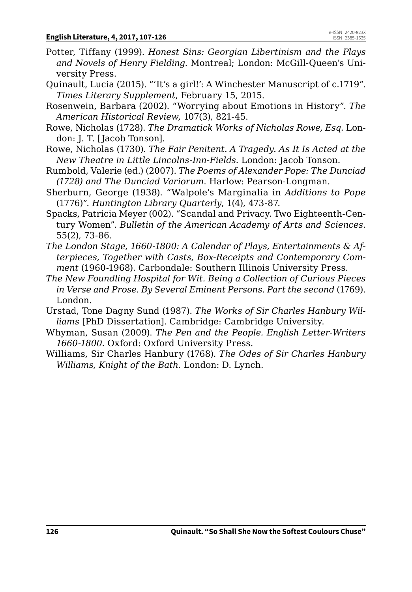- Potter, Tiffany (1999). *Honest Sins: Georgian Libertinism and the Plays and Novels of Henry Fielding.* Montreal; London: McGill-Queen's University Press.
- Quinault, Lucia (2015). "'It's a girl!': A Winchester Manuscript of c.1719". *Times Literary Supplement*, February 15, 2015.
- Rosenwein, Barbara (2002). "Worrying about Emotions in History". *The American Historical Review*, 107(3), 821-45.
- Rowe, Nicholas (1728). *The Dramatick Works of Nicholas Rowe, Esq.* London: J. T. [Jacob Tonson].
- Rowe, Nicholas (1730). *The Fair Penitent. A Tragedy. As It Is Acted at the New Theatre in Little Lincolns-Inn-Fields.* London: Jacob Tonson.
- Rumbold, Valerie (ed.) (2007). *The Poems of Alexander Pope: The Dunciad (1728) and The Dunciad Variorum*. Harlow: Pearson-Longman.
- Sherburn, George (1938). "Walpole's Marginalia in *Additions to Pope*  (1776)". *Huntington Library Quarterly*, 1(4), 473-87.
- Spacks, Patricia Meyer (002). "Scandal and Privacy. Two Eighteenth-Century Women". *Bulletin of the American Academy of Arts and Sciences*. 55(2), 73-86.
- *The London Stage, 1660-1800: A Calendar of Plays, Entertainments & Afterpieces, Together with Casts, Box-Receipts and Contemporary Comment* (1960-1968). Carbondale: Southern Illinois University Press.
- *The New Foundling Hospital for Wit. Being a Collection of Curious Pieces in Verse and Prose. By Several Eminent Persons. Part the second* (1769). London.
- Urstad, Tone Dagny Sund (1987). *The Works of Sir Charles Hanbury Williams* [PhD Dissertation]. Cambridge: Cambridge University.
- Whyman, Susan (2009). *The Pen and the People. English Letter-Writers 1660-1800*. Oxford: Oxford University Press.
- Williams, Sir Charles Hanbury (1768). *The Odes of Sir Charles Hanbury Williams, Knight of the Bath.* London: D. Lynch.